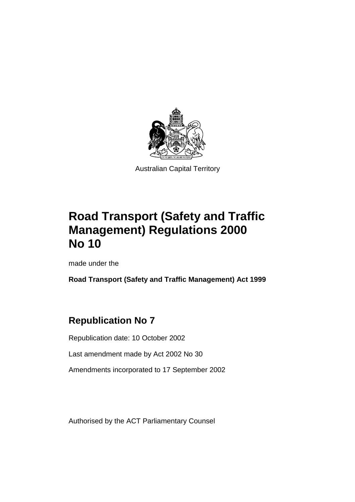

Australian Capital Territory

# **Road Transport (Safety and Traffic Management) Regulations 2000 No 10**

made under the

**Road Transport (Safety and Traffic Management) Act 1999**

# **Republication No 7**

Republication date: 10 October 2002

Last amendment made by Act 2002 No 30

Amendments incorporated to 17 September 2002

Authorised by the ACT Parliamentary Counsel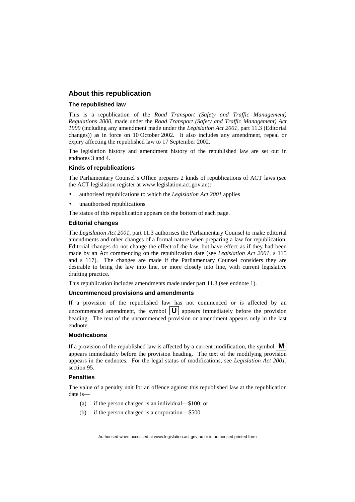#### **About this republication**

#### **The republished law**

This is a republication of the *Road Transport (Safety and Traffic Management) Regulations 2000,* made under the *Road Transport (Safety and Traffic Management) Act 1999* (including any amendment made under the *Legislation Act 2001*, part 11.3 (Editorial changes)) as in force on 10 October 2002*.* It also includes any amendment, repeal or expiry affecting the republished law to 17 September 2002.

The legislation history and amendment history of the republished law are set out in endnotes 3 and 4.

#### **Kinds of republications**

The Parliamentary Counsel's Office prepares 2 kinds of republications of ACT laws (see the ACT legislation register at www.legislation.act.gov.au):

- authorised republications to which the *Legislation Act 2001* applies
- unauthorised republications.

The status of this republication appears on the bottom of each page.

#### **Editorial changes**

The *Legislation Act 2001*, part 11.3 authorises the Parliamentary Counsel to make editorial amendments and other changes of a formal nature when preparing a law for republication. Editorial changes do not change the effect of the law, but have effect as if they had been made by an Act commencing on the republication date (see *Legislation Act 2001*, s 115 and s 117). The changes are made if the Parliamentary Counsel considers they are desirable to bring the law into line, or more closely into line, with current legislative drafting practice.

This republication includes amendments made under part 11.3 (see endnote 1).

#### **Uncommenced provisions and amendments**

If a provision of the republished law has not commenced or is affected by an uncommenced amendment, the symbol  $\boxed{U}$  appears immediately before the provision heading. The text of the uncommenced provision or amendment appears only in the last endnote.

#### **Modifications**

If a provision of the republished law is affected by a current modification, the symbol  $\mathbf{M}$ appears immediately before the provision heading. The text of the modifying provision appears in the endnotes. For the legal status of modifications, see *Legislation Act 2001*, section 95.

#### **Penalties**

The value of a penalty unit for an offence against this republished law at the republication date is—

- (a) if the person charged is an individual—\$100; or
- (b) if the person charged is a corporation—\$500.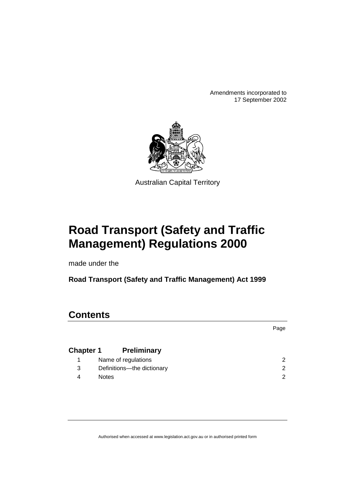Amendments incorporated to 17 September 2002



Australian Capital Territory

# **Road Transport (Safety and Traffic Management) Regulations 2000**

made under the

**Road Transport (Safety and Traffic Management) Act 1999**

## **Contents**

|              |                              | Page |
|--------------|------------------------------|------|
|              | <b>Chapter 1</b> Preliminary |      |
| $\mathbf{1}$ | Name of regulations          | 2    |
| 3            | Definitions-the dictionary   | 2    |
| 4            | <b>Notes</b>                 | າ    |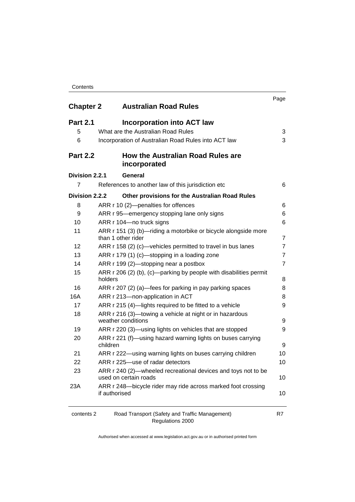| Contents |
|----------|
|----------|

| <b>Chapter 2</b> | <b>Australian Road Rules</b>                                                           | Page           |
|------------------|----------------------------------------------------------------------------------------|----------------|
| <b>Part 2.1</b>  | <b>Incorporation into ACT law</b>                                                      |                |
| 5                | What are the Australian Road Rules                                                     | 3              |
| 6                | Incorporation of Australian Road Rules into ACT law                                    | 3              |
| <b>Part 2.2</b>  | <b>How the Australian Road Rules are</b><br>incorporated                               |                |
| Division 2.2.1   | <b>General</b>                                                                         |                |
| $\overline{7}$   | References to another law of this jurisdiction etc                                     | 6              |
| Division 2.2.2   | Other provisions for the Australian Road Rules                                         |                |
| 8                | ARR r 10 (2)-penalties for offences                                                    | 6              |
| 9                | ARR r 95—emergency stopping lane only signs                                            | 6              |
| 10               | ARR r 104-no truck signs                                                               | 6              |
| 11               | ARR r 151 (3) (b)—riding a motorbike or bicycle alongside more<br>than 1 other rider   | 7              |
| 12               | ARR r 158 (2) (c)-vehicles permitted to travel in bus lanes                            | 7              |
| 13               | ARR r 179 (1) (c)-stopping in a loading zone                                           | $\overline{7}$ |
| 14               | ARR r 199 (2)-stopping near a postbox                                                  | $\overline{7}$ |
| 15               | ARR r 206 (2) (b), (c)—parking by people with disabilities permit<br>holders           | 8              |
| 16               | ARR r 207 (2) (a)—fees for parking in pay parking spaces                               | 8              |
| 16A              | ARR r 213-non-application in ACT                                                       | 8              |
| 17               | ARR r 215 (4)-lights required to be fitted to a vehicle                                | 9              |
| 18               | ARR r 216 (3)-towing a vehicle at night or in hazardous<br>weather conditions          | 9              |
| 19               | ARR r 220 (3)—using lights on vehicles that are stopped                                | 9              |
| 20               | ARR r 221 (f)—using hazard warning lights on buses carrying<br>children                | 9              |
| 21               | ARR r 222—using warning lights on buses carrying children                              | 10             |
| 22               | ARR r 225-use of radar detectors                                                       | 10             |
| 23               | ARR r 240 (2)—wheeled recreational devices and toys not to be<br>used on certain roads | 10             |
| 23A              | ARR r 248-bicycle rider may ride across marked foot crossing<br>if authorised          | 10             |
| contents 2       | Road Transport (Safety and Traffic Management)                                         | R7             |

Regulations 2000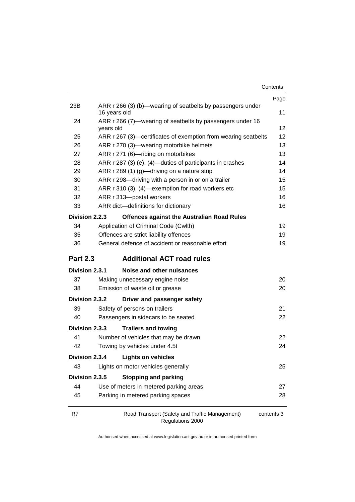| Contents |
|----------|
|----------|

|                 |                                                                            | Page            |
|-----------------|----------------------------------------------------------------------------|-----------------|
| 23B             | ARR r 266 (3) (b)—wearing of seatbelts by passengers under<br>16 years old | 11              |
| 24              | ARR r 266 (7)—wearing of seatbelts by passengers under 16                  |                 |
|                 | years old                                                                  | 12              |
| 25              | ARR r 267 (3)—certificates of exemption from wearing seatbelts             | 12 <sup>2</sup> |
| 26              | ARR r 270 (3)—wearing motorbike helmets                                    | 13              |
| 27              | ARR r 271 (6)-riding on motorbikes                                         | 13              |
| 28              | ARR r 287 (3) (e), (4)—duties of participants in crashes                   | 14              |
| 29              | ARR r 289 (1) (g)—driving on a nature strip                                | 14              |
| 30              | ARR r 298-driving with a person in or on a trailer                         | 15              |
| 31              | ARR r 310 (3), (4)-exemption for road workers etc                          | 15              |
| 32              | ARR r 313-postal workers                                                   | 16              |
| 33              | ARR dict-definitions for dictionary                                        | 16              |
| Division 2.2.3  | <b>Offences against the Australian Road Rules</b>                          |                 |
| 34              | Application of Criminal Code (Cwlth)                                       | 19              |
| 35              | Offences are strict liability offences                                     | 19              |
| 36              | General defence of accident or reasonable effort                           | 19              |
| <b>Part 2.3</b> | <b>Additional ACT road rules</b>                                           |                 |
| Division 2.3.1  | Noise and other nuisances                                                  |                 |
| 37              | Making unnecessary engine noise                                            | 20              |
| 38              | Emission of waste oil or grease                                            | 20              |
| Division 2.3.2  | Driver and passenger safety                                                |                 |
| 39              | Safety of persons on trailers                                              | 21              |
| 40              | Passengers in sidecars to be seated                                        | 22              |
| Division 2.3.3  | <b>Trailers and towing</b>                                                 |                 |
| 41              | Number of vehicles that may be drawn                                       | 22              |
| 42              | Towing by vehicles under 4.5t                                              | 24              |
| Division 2.3.4  | <b>Lights on vehicles</b>                                                  |                 |
| 43              | Lights on motor vehicles generally                                         | 25              |
| Division 2.3.5  | <b>Stopping and parking</b>                                                |                 |
| 44              | Use of meters in metered parking areas                                     | 27              |
| 45              | Parking in metered parking spaces                                          | 28              |
| R7              | Road Transport (Safety and Traffic Management)                             | contents 3      |

Regulations 2000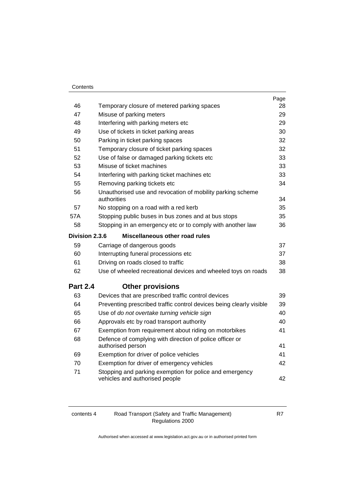|                       |                                                                               | Page |
|-----------------------|-------------------------------------------------------------------------------|------|
| 46                    | Temporary closure of metered parking spaces                                   | 28   |
| 47                    | Misuse of parking meters                                                      | 29   |
| 48                    | Interfering with parking meters etc                                           | 29   |
| 49                    | Use of tickets in ticket parking areas                                        | 30   |
| 50                    | Parking in ticket parking spaces                                              | 32   |
| 51                    | Temporary closure of ticket parking spaces                                    | 32   |
| 52                    | Use of false or damaged parking tickets etc                                   | 33   |
| 53                    | Misuse of ticket machines                                                     | 33   |
| 54                    | Interfering with parking ticket machines etc                                  | 33   |
| 55                    | Removing parking tickets etc                                                  | 34   |
| 56                    | Unauthorised use and revocation of mobility parking scheme<br>authorities     | 34   |
| 57                    | No stopping on a road with a red kerb                                         | 35   |
| 57A                   | Stopping public buses in bus zones and at bus stops                           | 35   |
| 58                    | Stopping in an emergency etc or to comply with another law                    | 36   |
| <b>Division 2.3.6</b> | Miscellaneous other road rules                                                |      |
| 59                    | Carriage of dangerous goods                                                   | 37   |
| 60                    | Interrupting funeral processions etc                                          | 37   |
| 61                    | Driving on roads closed to traffic                                            | 38   |
| 62                    | Use of wheeled recreational devices and wheeled toys on roads                 | 38   |
| <b>Part 2.4</b>       | <b>Other provisions</b>                                                       |      |
| 63                    | Devices that are prescribed traffic control devices                           | 39   |
| 64                    | Preventing prescribed traffic control devices being clearly visible           | 39   |
| 65                    | Use of do not overtake turning vehicle sign                                   | 40   |
| 66                    | Approvals etc by road transport authority                                     | 40   |
| 67                    | Exemption from requirement about riding on motorbikes                         | 41   |
| 68                    | Defence of complying with direction of police officer or<br>authorised person | 41   |
| 69                    | Exemption for driver of police vehicles                                       | 41   |
| 70                    | Exemption for driver of emergency vehicles                                    | 42   |
| 71                    | Stopping and parking exemption for police and emergency                       |      |
|                       | vehicles and authorised people                                                | 42   |

| contents 4 | Road Transport (Safety and Traffic Management) |
|------------|------------------------------------------------|
|            | Regulations 2000                               |

R7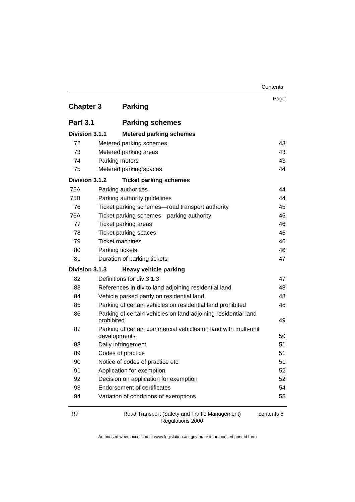| <b>Chapter 3</b> |                        | <b>Parking</b>                                                 | Page |
|------------------|------------------------|----------------------------------------------------------------|------|
| <b>Part 3.1</b>  |                        | <b>Parking schemes</b>                                         |      |
| Division 3.1.1   |                        | <b>Metered parking schemes</b>                                 |      |
| 72               |                        | Metered parking schemes                                        | 43   |
| 73               |                        | Metered parking areas                                          | 43   |
| 74               | Parking meters         |                                                                | 43   |
| 75               |                        | Metered parking spaces                                         | 44   |
| Division 3.1.2   |                        | <b>Ticket parking schemes</b>                                  |      |
| 75A              |                        | Parking authorities                                            | 44   |
| 75B              |                        | Parking authority guidelines                                   | 44   |
| 76               |                        | Ticket parking schemes-road transport authority                | 45   |
| 76A              |                        | Ticket parking schemes-parking authority                       | 45   |
| 77               |                        | <b>Ticket parking areas</b>                                    | 46   |
| 78               |                        | Ticket parking spaces                                          | 46   |
| 79               | <b>Ticket machines</b> |                                                                | 46   |
| 80               | Parking tickets        |                                                                | 46   |
| 81               |                        | Duration of parking tickets                                    | 47   |
| Division 3.1.3   |                        | <b>Heavy vehicle parking</b>                                   |      |
| 82               |                        | Definitions for div 3.1.3                                      | 47   |
| 83               |                        | References in div to land adjoining residential land           | 48   |
| 84               |                        | Vehicle parked partly on residential land                      | 48   |
| 85               |                        | Parking of certain vehicles on residential land prohibited     | 48   |
| 86               | prohibited             | Parking of certain vehicles on land adjoining residential land | 49   |
| 87               | developments           | Parking of certain commercial vehicles on land with multi-unit | 50   |
| 88               |                        | Daily infringement                                             | 51   |
| 89               |                        | Codes of practice                                              | 51   |
| 90               |                        | Notice of codes of practice etc                                | 51   |
| 91               |                        | Application for exemption                                      | 52   |
| 92               |                        | Decision on application for exemption                          | 52   |
| 93               |                        | <b>Endorsement of certificates</b>                             | 54   |
| 94               |                        | Variation of conditions of exemptions                          | 55   |

R7 Road Transport (Safety and Traffic Management) Regulations 2000

contents 5

**Contents**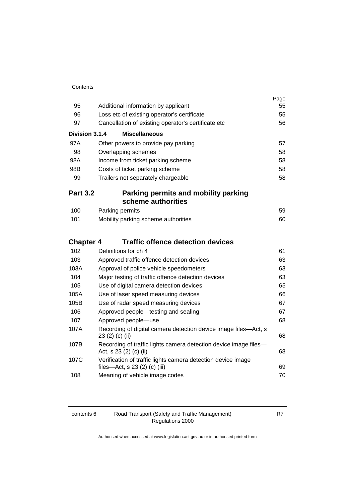|                  |                                                                                               | Page |
|------------------|-----------------------------------------------------------------------------------------------|------|
| 95               | Additional information by applicant                                                           | 55   |
| 96               | Loss etc of existing operator's certificate                                                   | 55   |
| 97               | Cancellation of existing operator's certificate etc                                           | 56   |
| Division 3.1.4   | <b>Miscellaneous</b>                                                                          |      |
| 97A              | Other powers to provide pay parking                                                           | 57   |
| 98               | Overlapping schemes                                                                           | 58   |
| 98A              | Income from ticket parking scheme                                                             | 58   |
| 98B              | Costs of ticket parking scheme                                                                | 58   |
| 99               | Trailers not separately chargeable                                                            | 58   |
| <b>Part 3.2</b>  | Parking permits and mobility parking                                                          |      |
|                  | scheme authorities                                                                            |      |
| 100              | Parking permits                                                                               | 59   |
| 101              | Mobility parking scheme authorities                                                           | 60   |
| <b>Chapter 4</b> | <b>Traffic offence detection devices</b>                                                      |      |
| 102              | Definitions for ch 4                                                                          | 61   |
| 103              | Approved traffic offence detection devices                                                    | 63   |
| 103A             | Approval of police vehicle speedometers                                                       | 63   |
| 104              | Major testing of traffic offence detection devices                                            | 63   |
| 105              | Use of digital camera detection devices                                                       | 65   |
| 105A             | Use of laser speed measuring devices                                                          | 66   |
| 105B             | Use of radar speed measuring devices                                                          | 67   |
| 106              | Approved people-testing and sealing                                                           | 67   |
| 107              | Approved people-use                                                                           | 68   |
| 107A             | Recording of digital camera detection device image files-Act, s<br>23 (2) (c) (ii)            | 68   |
| 107B             | Recording of traffic lights camera detection device image files-<br>Act, s 23 (2) (c) (ii)    | 68   |
| 107C             | Verification of traffic lights camera detection device image<br>files-Act, s 23 (2) (c) (iii) | 69   |
| 108              | Meaning of vehicle image codes                                                                | 70   |

| contents 6 |
|------------|
|------------|

contents 6 Road Transport (Safety and Traffic Management) Regulations 2000

R7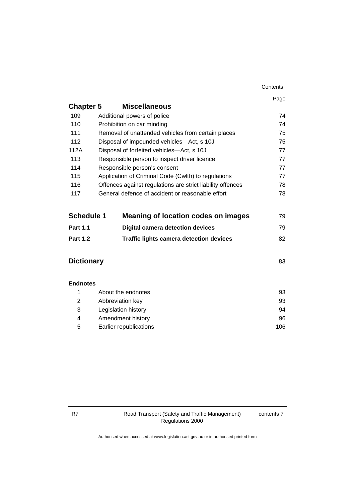|                   |                                                            | Contents |
|-------------------|------------------------------------------------------------|----------|
|                   |                                                            | Page     |
| <b>Chapter 5</b>  | <b>Miscellaneous</b>                                       |          |
| 109               | Additional powers of police                                | 74       |
| 110               | Prohibition on car minding                                 | 74       |
| 111               | Removal of unattended vehicles from certain places         | 75       |
| 112               | Disposal of impounded vehicles-Act, s 10J                  | 75       |
| 112A              | Disposal of forfeited vehicles-Act, s 10J                  | 77       |
| 113               | Responsible person to inspect driver licence               | 77       |
| 114               | Responsible person's consent                               | 77       |
| 115               | Application of Criminal Code (Cwlth) to regulations        | 77       |
| 116               | Offences against regulations are strict liability offences | 78       |
| 117               | General defence of accident or reasonable effort           | 78       |
| <b>Schedule 1</b> | <b>Meaning of location codes on images</b>                 | 79       |
| <b>Part 1.1</b>   | <b>Digital camera detection devices</b>                    | 79       |
| <b>Part 1.2</b>   | <b>Traffic lights camera detection devices</b>             | 82       |
| <b>Dictionary</b> |                                                            | 83       |
| <b>Endnotes</b>   |                                                            |          |
| 1                 | About the endnotes                                         | 93       |
| $\overline{2}$    | 93<br>Abbreviation key                                     |          |
| 3                 | Legislation history<br>94                                  |          |
| 4                 | Amendment history<br>96                                    |          |
| 5                 | Earlier republications<br>106                              |          |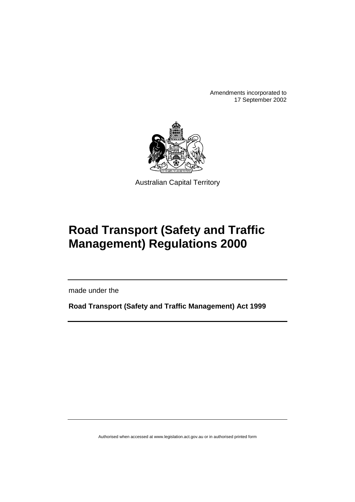Amendments incorporated to 17 September 2002



Australian Capital Territory

# **Road Transport (Safety and Traffic Management) Regulations 2000**

made under the

**Road Transport (Safety and Traffic Management) Act 1999**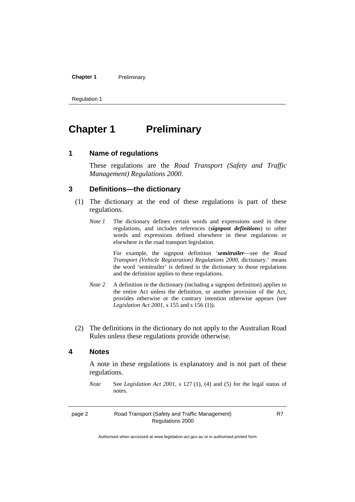#### **Chapter 1** Preliminary

Regulation 1

# **Chapter 1** Preliminary

#### **1 Name of regulations**

These regulations are the *Road Transport (Safety and Traffic Management) Regulations 2000*.

#### **3 Definitions—the dictionary**

- (1) The dictionary at the end of these regulations is part of these regulations.
	- *Note 1* The dictionary defines certain words and expressions used in these regulations, and includes references (*signpost definitions*) to other words and expressions defined elsewhere in these regulations or elsewhere in the road transport legislation.

For example, the signpost definition '*semitrailer*—see the *Road Transport (Vehicle Registration) Regulations 2000*, dictionary.' means the word 'semitrailer' is defined in the dictionary to those regulations and the definition applies to these regulations.

- *Note 2* A definition in the dictionary (including a signpost definition) applies to the entire Act unless the definition, or another provision of the Act, provides otherwise or the contrary intention otherwise appears (see *Legislation Act 2001*, s 155 and s 156 (1)).
- (2) The definitions in the dictionary do not apply to the Australian Road Rules unless these regulations provide otherwise.

#### **4 Notes**

A note in these regulations is explanatory and is not part of these regulations.

*Note* See *Legislation Act 2001*, s 127 (1), (4) and (5) for the legal status of notes.

| page 2 | Road Transport (Safety and Traffic Management) |
|--------|------------------------------------------------|
|        | Regulations 2000                               |

R7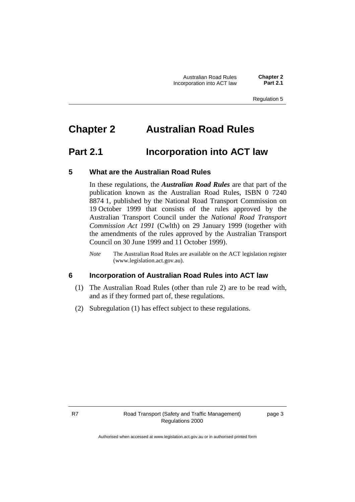Australian Road Rules **Chapter 2 Incorporation into ACT law** 

Regulation 5

# **Chapter 2 Australian Road Rules**

## **Part 2.1 Incorporation into ACT law**

#### **5 What are the Australian Road Rules**

In these regulations, the *Australian Road Rules* are that part of the publication known as the Australian Road Rules, ISBN 0 7240 8874 1, published by the National Road Transport Commission on 19 October 1999 that consists of the rules approved by the Australian Transport Council under the *National Road Transport Commission Act 1991* (Cwlth) on 29 January 1999 (together with the amendments of the rules approved by the Australian Transport Council on 30 June 1999 and 11 October 1999).

*Note* The Australian Road Rules are available on the ACT legislation register (www.legislation.act.gov.au).

#### **6 Incorporation of Australian Road Rules into ACT law**

- (1) The Australian Road Rules (other than rule 2) are to be read with, and as if they formed part of, these regulations.
- (2) Subregulation (1) has effect subject to these regulations.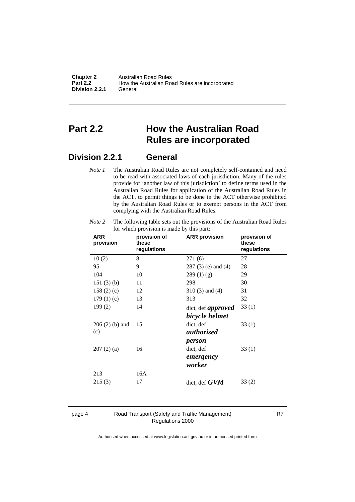| <b>Chapter 2</b> | Australian Road Rules                          |
|------------------|------------------------------------------------|
| <b>Part 2.2</b>  | How the Australian Road Rules are incorporated |
| Division 2.2.1   | General                                        |

## **Part 2.2 How the Australian Road Rules are incorporated**

#### **Division 2.2.1 General**

*Note 1* The Australian Road Rules are not completely self-contained and need to be read with associated laws of each jurisdiction. Many of the rules provide for 'another law of this jurisdiction' to define terms used in the Australian Road Rules for application of the Australian Road Rules in the ACT, to permit things to be done in the ACT otherwise prohibited by the Australian Road Rules or to exempt persons in the ACT from complying with the Australian Road Rules.

| <b>ARR</b><br>provision | provision of<br>these<br>regulations | <b>ARR</b> provision      | provision of<br>these<br>regulations |
|-------------------------|--------------------------------------|---------------------------|--------------------------------------|
| 10(2)                   | 8                                    | 271 (6)                   | 27                                   |
| 95                      | 9                                    | $287(3)$ (e) and (4)      | 28                                   |
| 104                     | 10                                   | 289(1)(g)                 | 29                                   |
| 151(3)(b)               | 11                                   | 298                       | 30                                   |
| 158 $(2)$ $(c)$         | 12                                   | $310(3)$ and $(4)$        | 31                                   |
| 179(1)(c)               | 13                                   | 313                       | 32                                   |
| 199(2)                  | 14                                   | dict, def <i>approved</i> | 33(1)                                |
|                         |                                      | bicycle helmet            |                                      |
| $206(2)$ (b) and        | 15                                   | dict, def                 | 33(1)                                |
| (c)                     |                                      | <i>authorised</i>         |                                      |
|                         |                                      | person                    |                                      |
| 207(2)(a)               | 16                                   | dict, def                 | 33(1)                                |
|                         |                                      | emergency                 |                                      |
|                         |                                      | worker                    |                                      |
| 213                     | 16A                                  |                           |                                      |
| 215(3)                  | 17                                   | dict, def $GVM$           | 33(2)                                |
|                         |                                      |                           |                                      |

*Note 2* The following table sets out the provisions of the Australian Road Rules for which provision is made by this part:

page 4 Road Transport (Safety and Traffic Management) Regulations 2000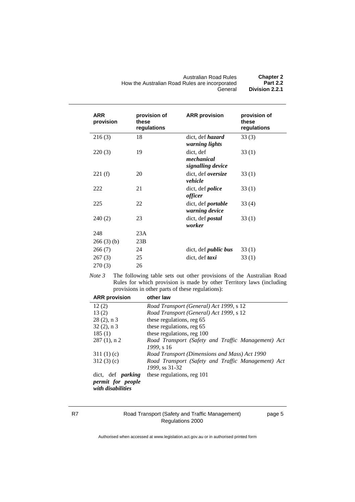| <b>Australian Road Rules</b>                   | <b>Chapter 2</b> |
|------------------------------------------------|------------------|
| How the Australian Road Rules are incorporated | <b>Part 2.2</b>  |
| General                                        | Division 2.2.1   |

| <b>ARR</b><br>provision | provision of<br>these<br>regulations | <b>ARR</b> provision                             | provision of<br>these<br>regulations |
|-------------------------|--------------------------------------|--------------------------------------------------|--------------------------------------|
| 216(3)                  | 18                                   | dict, def <i>hazard</i><br><i>warning lights</i> | 33(3)                                |
| 220(3)                  | 19                                   | dict, def<br>mechanical<br>signalling device     | 33(1)                                |
| 221(f)                  | 20                                   | dict, def oversize<br>vehicle                    | 33(1)                                |
| 222                     | 21                                   | dict, def <i>police</i><br>officer               | 33(1)                                |
| 225                     | 22                                   | dict, def <i>portable</i><br>warning device      | 33(4)                                |
| 240(2)                  | 23                                   | dict, def <i>postal</i><br>worker                | 33(1)                                |
| 248                     | 23A                                  |                                                  |                                      |
| 266(3)(b)               | 23B                                  |                                                  |                                      |
| 266(7)                  | 24                                   | dict, def <i>public</i> bus                      | 33(1)                                |
| 267(3)                  | 25                                   | dict, def taxi                                   | 33 (1)                               |
| 270(3)                  | 26                                   |                                                  |                                      |

*Note 3* The following table sets out other provisions of the Australian Road Rules for which provision is made by other Territory laws (including provisions in other parts of these regulations):

| <b>ARR</b> provision                                               | other law                                                            |  |
|--------------------------------------------------------------------|----------------------------------------------------------------------|--|
| 12(2)                                                              | Road Transport (General) Act 1999, s 12                              |  |
| 13(2)                                                              | Road Transport (General) Act 1999, s 12                              |  |
| $28(2)$ , n 3                                                      | these regulations, reg 65                                            |  |
| $32(2)$ , n 3                                                      | these regulations, reg 65                                            |  |
| 185(1)                                                             | these regulations, reg 100                                           |  |
| $287(1)$ , n 2                                                     | Road Transport (Safety and Traffic Management) Act<br>1999, s 16     |  |
| 311 $(1)(c)$                                                       | Road Transport (Dimensions and Mass) Act 1990                        |  |
| 312(3)(c)                                                          | Road Transport (Safety and Traffic Management) Act<br>1999, ss 31-32 |  |
| dict, def <i>parking</i><br>permit for people<br>with disabilities | these regulations, reg 101                                           |  |

#### R7 Road Transport (Safety and Traffic Management) Regulations 2000

page 5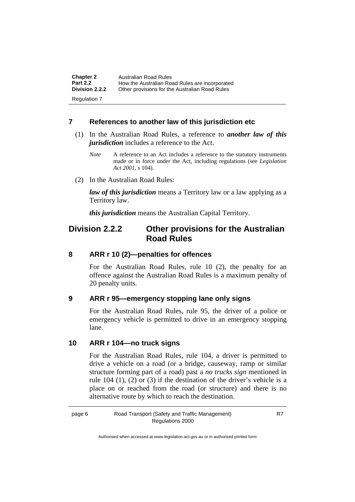| <b>Chapter 2</b><br><b>Part 2.2</b> | Australian Road Rules<br>How the Australian Road Rules are incorporated |
|-------------------------------------|-------------------------------------------------------------------------|
| <b>Division 2.2.2</b>               | Other provisions for the Australian Road Rules                          |
| Regulation 7                        |                                                                         |

#### **7 References to another law of this jurisdiction etc**

- (1) In the Australian Road Rules, a reference to *another law of this jurisdiction* includes a reference to the Act.
	- *Note* A reference to an Act includes a reference to the statutory instruments made or in force under the Act, including regulations (see *Legislation Act 2001*, s 104).
- (2) In the Australian Road Rules:

*law of this jurisdiction* means a Territory law or a law applying as a Territory law.

*this jurisdiction* means the Australian Capital Territory.

### **Division 2.2.2 Other provisions for the Australian Road Rules**

#### **8 ARR r 10 (2)—penalties for offences**

For the Australian Road Rules, rule 10 (2), the penalty for an offence against the Australian Road Rules is a maximum penalty of 20 penalty units.

#### **9 ARR r 95—emergency stopping lane only signs**

For the Australian Road Rules, rule 95, the driver of a police or emergency vehicle is permitted to drive in an emergency stopping lane.

#### **10 ARR r 104—no truck signs**

For the Australian Road Rules, rule 104, a driver is permitted to drive a vehicle on a road (or a bridge, causeway, ramp or similar structure forming part of a road) past a *no trucks sign* mentioned in rule 104 (1), (2) or (3) if the destination of the driver's vehicle is a place on or reached from the road (or structure) and there is no alternative route by which to reach the destination.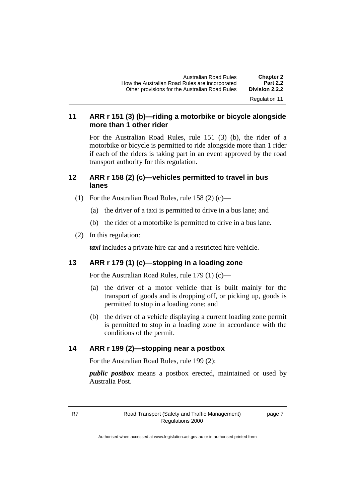#### **11 ARR r 151 (3) (b)—riding a motorbike or bicycle alongside more than 1 other rider**

For the Australian Road Rules, rule 151 (3) (b), the rider of a motorbike or bicycle is permitted to ride alongside more than 1 rider if each of the riders is taking part in an event approved by the road transport authority for this regulation.

#### **12 ARR r 158 (2) (c)—vehicles permitted to travel in bus lanes**

- (1) For the Australian Road Rules, rule 158 (2) (c)—
	- (a) the driver of a taxi is permitted to drive in a bus lane; and
	- (b) the rider of a motorbike is permitted to drive in a bus lane.
- (2) In this regulation:

*taxi* includes a private hire car and a restricted hire vehicle.

#### **13 ARR r 179 (1) (c)—stopping in a loading zone**

For the Australian Road Rules, rule 179 (1) (c)—

- (a) the driver of a motor vehicle that is built mainly for the transport of goods and is dropping off, or picking up, goods is permitted to stop in a loading zone; and
- (b) the driver of a vehicle displaying a current loading zone permit is permitted to stop in a loading zone in accordance with the conditions of the permit.

#### **14 ARR r 199 (2)—stopping near a postbox**

For the Australian Road Rules, rule 199 (2):

*public postbox* means a postbox erected, maintained or used by Australia Post.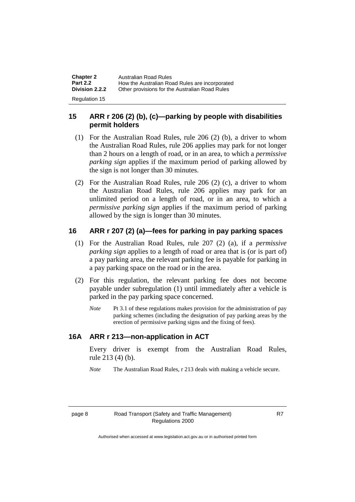| <b>Chapter 2</b><br><b>Part 2.2</b> | Australian Road Rules<br>How the Australian Road Rules are incorporated |
|-------------------------------------|-------------------------------------------------------------------------|
| <b>Division 2.2.2</b>               | Other provisions for the Australian Road Rules                          |
| Regulation 15                       |                                                                         |

#### **15 ARR r 206 (2) (b), (c)—parking by people with disabilities permit holders**

- (1) For the Australian Road Rules, rule 206 (2) (b), a driver to whom the Australian Road Rules, rule 206 applies may park for not longer than 2 hours on a length of road, or in an area, to which a *permissive parking sign* applies if the maximum period of parking allowed by the sign is not longer than 30 minutes.
- (2) For the Australian Road Rules, rule 206 (2) (c), a driver to whom the Australian Road Rules, rule 206 applies may park for an unlimited period on a length of road, or in an area, to which a *permissive parking sign* applies if the maximum period of parking allowed by the sign is longer than 30 minutes.

#### **16 ARR r 207 (2) (a)—fees for parking in pay parking spaces**

- (1) For the Australian Road Rules, rule 207 (2) (a), if a *permissive parking sign* applies to a length of road or area that is (or is part of) a pay parking area, the relevant parking fee is payable for parking in a pay parking space on the road or in the area.
- (2) For this regulation, the relevant parking fee does not become payable under subregulation (1) until immediately after a vehicle is parked in the pay parking space concerned.
	- *Note* Pt 3.1 of these regulations makes provision for the administration of pay parking schemes (including the designation of pay parking areas by the erection of permissive parking signs and the fixing of fees).

#### **16A ARR r 213—non-application in ACT**

Every driver is exempt from the Australian Road Rules, rule 213 (4) (b).

*Note* The Australian Road Rules, r 213 deals with making a vehicle secure.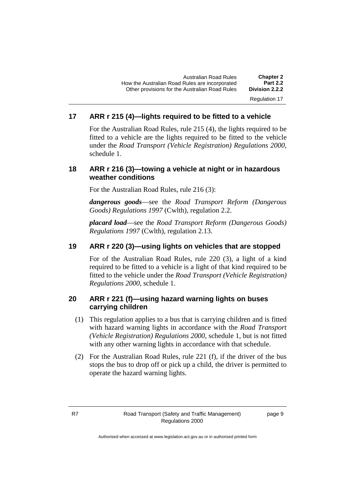#### **17 ARR r 215 (4)—lights required to be fitted to a vehicle**

For the Australian Road Rules, rule 215 (4), the lights required to be fitted to a vehicle are the lights required to be fitted to the vehicle under the *Road Transport (Vehicle Registration) Regulations 2000,* schedule 1.

#### **18 ARR r 216 (3)—towing a vehicle at night or in hazardous weather conditions**

For the Australian Road Rules, rule 216 (3):

*dangerous goods*—see the *Road Transport Reform (Dangerous Goods) Regulations 1997* (Cwlth), regulation 2.2.

*placard load*—see the *Road Transport Reform (Dangerous Goods) Regulations 1997* (Cwlth), regulation 2.13.

#### **19 ARR r 220 (3)—using lights on vehicles that are stopped**

For of the Australian Road Rules, rule 220 (3), a light of a kind required to be fitted to a vehicle is a light of that kind required to be fitted to the vehicle under the *Road Transport (Vehicle Registration) Regulations 2000*, schedule 1.

#### **20 ARR r 221 (f)—using hazard warning lights on buses carrying children**

- (1) This regulation applies to a bus that is carrying children and is fitted with hazard warning lights in accordance with the *Road Transport (Vehicle Registration) Regulations 2000*, schedule 1, but is not fitted with any other warning lights in accordance with that schedule.
- (2) For the Australian Road Rules, rule 221 (f), if the driver of the bus stops the bus to drop off or pick up a child, the driver is permitted to operate the hazard warning lights.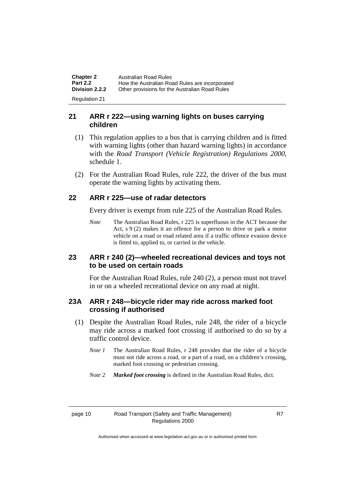**Chapter 2** Australian Road Rules<br>**Part 2.2** How the Australian Road **Part 2.2** How the Australian Road Rules are incorporated<br>**Division 2.2.2** Other provisions for the Australian Road Rules **Other provisions for the Australian Road Rules** Regulation 21

#### **21 ARR r 222—using warning lights on buses carrying children**

- (1) This regulation applies to a bus that is carrying children and is fitted with warning lights (other than hazard warning lights) in accordance with the *Road Transport (Vehicle Registration) Regulations 2000*, schedule 1.
- (2) For the Australian Road Rules, rule 222, the driver of the bus must operate the warning lights by activating them.

#### **22 ARR r 225—use of radar detectors**

Every driver is exempt from rule 225 of the Australian Road Rules.

*Note* The Australian Road Rules, r 225 is superfluous in the ACT because the Act, s 9 (2) makes it an offence for a person to drive or park a motor vehicle on a road or road related area if a traffic offence evasion device is fitted to, applied to, or carried in the vehicle.

#### **23 ARR r 240 (2)—wheeled recreational devices and toys not to be used on certain roads**

For the Australian Road Rules, rule 240 (2), a person must not travel in or on a wheeled recreational device on any road at night.

#### **23A ARR r 248—bicycle rider may ride across marked foot crossing if authorised**

- (1) Despite the Australian Road Rules, rule 248, the rider of a bicycle may ride across a marked foot crossing if authorised to do so by a traffic control device.
	- *Note 1* The Australian Road Rules, r 248 provides that the rider of a bicycle must not ride across a road, or a part of a road, on a children's crossing, marked foot crossing or pedestrian crossing.
	- *Note 2 Marked foot crossing* is defined in the Australian Road Rules, dict.

#### page 10 Road Transport (Safety and Traffic Management) Regulations 2000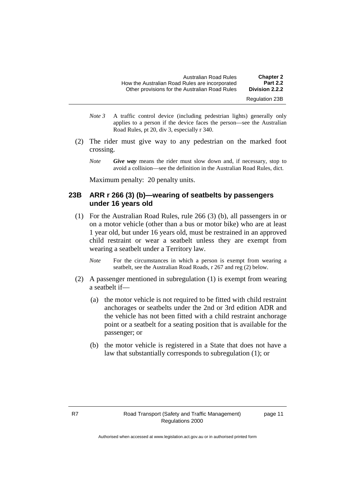| <b>Chapter 2</b>      | <b>Australian Road Rules</b>                   |
|-----------------------|------------------------------------------------|
| <b>Part 2.2</b>       | How the Australian Road Rules are incorporated |
| Division 2.2.2        | Other provisions for the Australian Road Rules |
| <b>Regulation 23B</b> |                                                |

- *Note 3* A traffic control device (including pedestrian lights) generally only applies to a person if the device faces the person—see the Australian Road Rules, pt 20, div 3, especially r 340.
- (2) The rider must give way to any pedestrian on the marked foot crossing.
	- *Note Give way* means the rider must slow down and, if necessary, stop to avoid a collision—see the definition in the Australian Road Rules, dict.

Maximum penalty: 20 penalty units.

#### **23B ARR r 266 (3) (b)—wearing of seatbelts by passengers under 16 years old**

- (1) For the Australian Road Rules, rule 266 (3) (b), all passengers in or on a motor vehicle (other than a bus or motor bike) who are at least 1 year old, but under 16 years old, must be restrained in an approved child restraint or wear a seatbelt unless they are exempt from wearing a seatbelt under a Territory law.
	- *Note* For the circumstances in which a person is exempt from wearing a seatbelt, see the Australian Road Roads, r 267 and reg (2) below.
- (2) A passenger mentioned in subregulation (1) is exempt from wearing a seatbelt if—
	- (a) the motor vehicle is not required to be fitted with child restraint anchorages or seatbelts under the 2nd or 3rd edition ADR and the vehicle has not been fitted with a child restraint anchorage point or a seatbelt for a seating position that is available for the passenger; or
	- (b) the motor vehicle is registered in a State that does not have a law that substantially corresponds to subregulation (1); or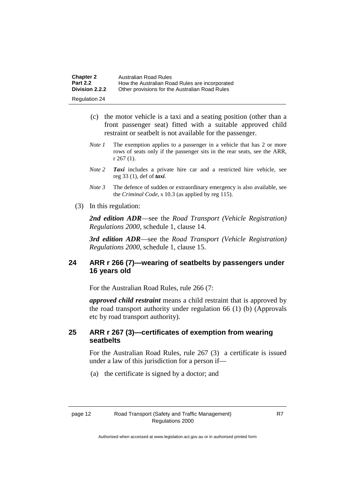| <b>Chapter 2</b>     | Australian Road Rules                          |
|----------------------|------------------------------------------------|
| <b>Part 2.2</b>      | How the Australian Road Rules are incorporated |
| Division 2.2.2       | Other provisions for the Australian Road Rules |
| <b>Regulation 24</b> |                                                |

- (c) the motor vehicle is a taxi and a seating position (other than a front passenger seat) fitted with a suitable approved child restraint or seatbelt is not available for the passenger.
- *Note 1* The exemption applies to a passenger in a vehicle that has 2 or more rows of seats only if the passenger sits in the rear seats, see the ARR, r 267 (1).
- *Note 2 Taxi* includes a private hire car and a restricted hire vehicle, see reg 33 (1), def of *taxi*.
- *Note 3* The defence of sudden or extraordinary emergency is also available, see the *Criminal Code*, s 10.3 (as applied by reg 115).
- (3) In this regulation:

*2nd edition ADR*—see the *Road Transport (Vehicle Registration) Regulations 2000*, schedule 1, clause 14.

*3rd edition ADR*—see the *Road Transport (Vehicle Registration) Regulations 2000*, schedule 1, clause 15.

#### **24 ARR r 266 (7)—wearing of seatbelts by passengers under 16 years old**

For the Australian Road Rules, rule 266 (7:

*approved child restraint* means a child restraint that is approved by the road transport authority under regulation 66 (1) (b) (Approvals etc by road transport authority).

#### **25 ARR r 267 (3)—certificates of exemption from wearing seatbelts**

For the Australian Road Rules, rule 267 (3) a certificate is issued under a law of this jurisdiction for a person if—

(a) the certificate is signed by a doctor; and

Authorised when accessed at www.legislation.act.gov.au or in authorised printed form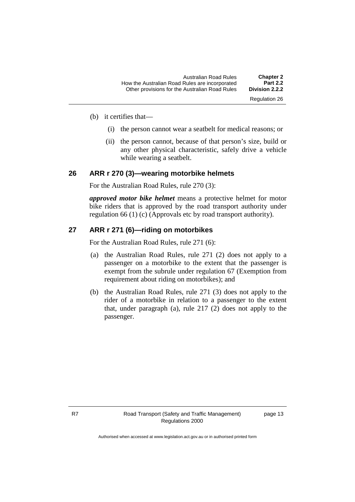| <b>Chapter 2</b> | <b>Australian Road Rules</b>                   |
|------------------|------------------------------------------------|
| <b>Part 2.2</b>  | How the Australian Road Rules are incorporated |
| Division 2.2.2   | Other provisions for the Australian Road Rules |
| Regulation 26    |                                                |

- (b) it certifies that—
	- (i) the person cannot wear a seatbelt for medical reasons; or
	- (ii) the person cannot, because of that person's size, build or any other physical characteristic, safely drive a vehicle while wearing a seatbelt.

#### **26 ARR r 270 (3)—wearing motorbike helmets**

For the Australian Road Rules, rule 270 (3):

*approved motor bike helmet* means a protective helmet for motor bike riders that is approved by the road transport authority under regulation 66 (1) (c) (Approvals etc by road transport authority).

#### **27 ARR r 271 (6)—riding on motorbikes**

For the Australian Road Rules, rule 271 (6):

- (a) the Australian Road Rules, rule 271 (2) does not apply to a passenger on a motorbike to the extent that the passenger is exempt from the subrule under regulation 67 (Exemption from requirement about riding on motorbikes); and
- (b) the Australian Road Rules, rule 271 (3) does not apply to the rider of a motorbike in relation to a passenger to the extent that, under paragraph (a), rule 217 (2) does not apply to the passenger.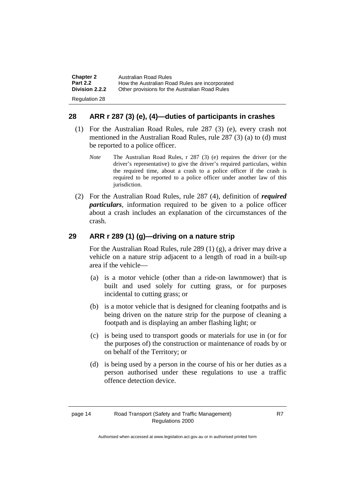| <b>Chapter 2</b> | <b>Australian Road Rules</b>                   |
|------------------|------------------------------------------------|
| <b>Part 2.2</b>  | How the Australian Road Rules are incorporated |
| Division 2.2.2   | Other provisions for the Australian Road Rules |
| Regulation 28    |                                                |

#### **28 ARR r 287 (3) (e), (4)—duties of participants in crashes**

- (1) For the Australian Road Rules, rule 287 (3) (e), every crash not mentioned in the Australian Road Rules, rule 287 (3) (a) to (d) must be reported to a police officer.
	- *Note* The Australian Road Rules, r 287 (3) (e) requires the driver (or the driver's representative) to give the driver's required particulars, within the required time, about a crash to a police officer if the crash is required to be reported to a police officer under another law of this jurisdiction.
- (2) For the Australian Road Rules, rule 287 (4), definition of *required particulars*, information required to be given to a police officer about a crash includes an explanation of the circumstances of the crash.

#### **29 ARR r 289 (1) (g)—driving on a nature strip**

For the Australian Road Rules, rule 289 (1) (g), a driver may drive a vehicle on a nature strip adjacent to a length of road in a built-up area if the vehicle—

- (a) is a motor vehicle (other than a ride-on lawnmower) that is built and used solely for cutting grass, or for purposes incidental to cutting grass; or
- (b) is a motor vehicle that is designed for cleaning footpaths and is being driven on the nature strip for the purpose of cleaning a footpath and is displaying an amber flashing light; or
- (c) is being used to transport goods or materials for use in (or for the purposes of) the construction or maintenance of roads by or on behalf of the Territory; or
- (d) is being used by a person in the course of his or her duties as a person authorised under these regulations to use a traffic offence detection device.

Authorised when accessed at www.legislation.act.gov.au or in authorised printed form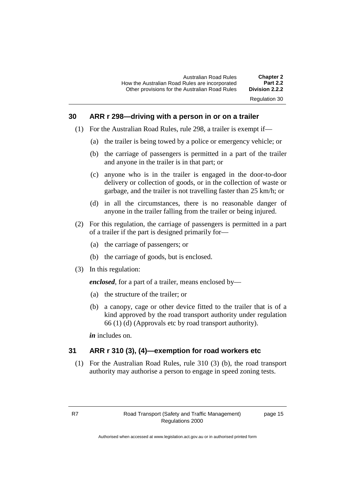#### **30 ARR r 298—driving with a person in or on a trailer**

- (1) For the Australian Road Rules, rule 298, a trailer is exempt if—
	- (a) the trailer is being towed by a police or emergency vehicle; or
	- (b) the carriage of passengers is permitted in a part of the trailer and anyone in the trailer is in that part; or
	- (c) anyone who is in the trailer is engaged in the door-to-door delivery or collection of goods, or in the collection of waste or garbage, and the trailer is not travelling faster than 25 km/h; or
	- (d) in all the circumstances, there is no reasonable danger of anyone in the trailer falling from the trailer or being injured.
- (2) For this regulation, the carriage of passengers is permitted in a part of a trailer if the part is designed primarily for—
	- (a) the carriage of passengers; or
	- (b) the carriage of goods, but is enclosed.
- (3) In this regulation:

*enclosed*, for a part of a trailer, means enclosed by—

- (a) the structure of the trailer; or
- (b) a canopy, cage or other device fitted to the trailer that is of a kind approved by the road transport authority under regulation 66 (1) (d) (Approvals etc by road transport authority).

*in* includes on.

#### **31 ARR r 310 (3), (4)—exemption for road workers etc**

(1) For the Australian Road Rules, rule 310 (3) (b), the road transport authority may authorise a person to engage in speed zoning tests.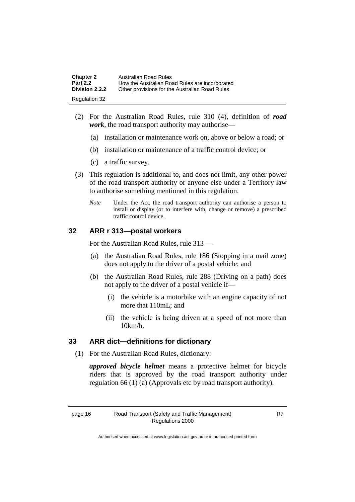| <b>Chapter 2</b> | Australian Road Rules                          |
|------------------|------------------------------------------------|
| <b>Part 2.2</b>  | How the Australian Road Rules are incorporated |
| Division 2.2.2   | Other provisions for the Australian Road Rules |
| Regulation 32    |                                                |

- (2) For the Australian Road Rules, rule 310 (4), definition of *road work*, the road transport authority may authorise—
	- (a) installation or maintenance work on, above or below a road; or
	- (b) installation or maintenance of a traffic control device; or
	- (c) a traffic survey.
- (3) This regulation is additional to, and does not limit, any other power of the road transport authority or anyone else under a Territory law to authorise something mentioned in this regulation.
	- *Note* Under the Act, the road transport authority can authorise a person to install or display (or to interfere with, change or remove) a prescribed traffic control device.

#### **32 ARR r 313—postal workers**

For the Australian Road Rules, rule 313 —

- (a) the Australian Road Rules, rule 186 (Stopping in a mail zone) does not apply to the driver of a postal vehicle; and
- (b) the Australian Road Rules, rule 288 (Driving on a path) does not apply to the driver of a postal vehicle if—
	- (i) the vehicle is a motorbike with an engine capacity of not more that 110mL; and
	- (ii) the vehicle is being driven at a speed of not more than 10km/h.

#### **33 ARR dict—definitions for dictionary**

(1) For the Australian Road Rules, dictionary:

*approved bicycle helmet* means a protective helmet for bicycle riders that is approved by the road transport authority under regulation 66 (1) (a) (Approvals etc by road transport authority).

Authorised when accessed at www.legislation.act.gov.au or in authorised printed form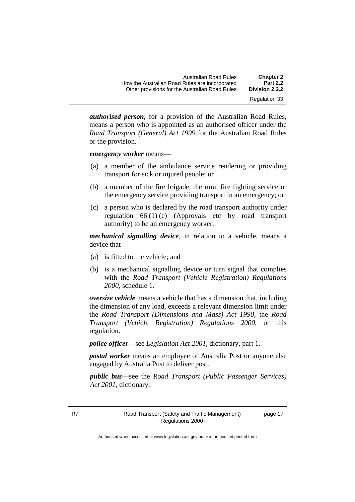| <b>Chapter 2</b> | <b>Australian Road Rules</b>                   |
|------------------|------------------------------------------------|
| <b>Part 2.2</b>  | How the Australian Road Rules are incorporated |
| Division 2.2.2   | Other provisions for the Australian Road Rules |
| Regulation 33    |                                                |

*authorised person,* for a provision of the Australian Road Rules, means a person who is appointed as an authorised officer under the *Road Transport (General) Act 1999* for the Australian Road Rules or the provision.

*emergency worker* means—

- (a) a member of the ambulance service rendering or providing transport for sick or injured people; or
- (b) a member of the fire brigade, the rural fire fighting service or the emergency service providing transport in an emergency; or
- (c) a person who is declared by the road transport authority under regulation 66 (1) (e) (Approvals etc by road transport authority) to be an emergency worker.

*mechanical signalling device*, in relation to a vehicle, means a device that—

- (a) is fitted to the vehicle; and
- (b) is a mechanical signalling device or turn signal that complies with the *Road Transport (Vehicle Registration) Regulations 2000*, schedule 1.

*oversize vehicle* means a vehicle that has a dimension that, including the dimension of any load, exceeds a relevant dimension limit under the *Road Transport (Dimensions and Mass) Act 1990*, the *Road Transport (Vehicle Registration) Regulations 2000*, or this regulation.

*police officer*—see *Legislation Act 2001*, dictionary, part 1.

*postal worker* means an employee of Australia Post or anyone else engaged by Australia Post to deliver post.

*public bus*—see the *Road Transport (Public Passenger Services) Act 2001*, dictionary.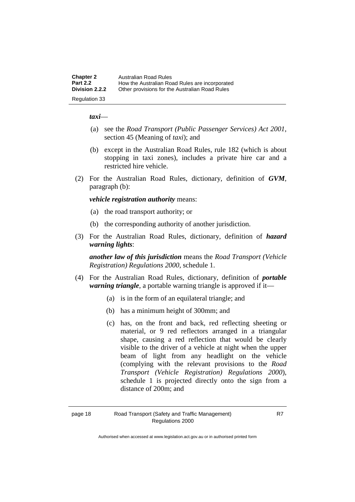| <b>Chapter 2</b> | <b>Australian Road Rules</b>                   |
|------------------|------------------------------------------------|
| <b>Part 2.2</b>  | How the Australian Road Rules are incorporated |
| Division 2.2.2   | Other provisions for the Australian Road Rules |
| Regulation 33    |                                                |

*taxi*—

- (a) see the *Road Transport (Public Passenger Services) Act 2001*, section 45 (Meaning of *taxi*); and
- (b) except in the Australian Road Rules, rule 182 (which is about stopping in taxi zones), includes a private hire car and a restricted hire vehicle.
- (2) For the Australian Road Rules, dictionary, definition of *GVM*, paragraph (b):

*vehicle registration authority* means:

- (a) the road transport authority; or
- (b) the corresponding authority of another jurisdiction.
- (3) For the Australian Road Rules, dictionary, definition of *hazard warning lights*:

*another law of this jurisdiction* means the *Road Transport (Vehicle Registration) Regulations 2000*, schedule 1.

- (4) For the Australian Road Rules, dictionary, definition of *portable warning triangle*, a portable warning triangle is approved if it—
	- (a) is in the form of an equilateral triangle; and
	- (b) has a minimum height of 300mm; and
	- (c) has, on the front and back, red reflecting sheeting or material, or 9 red reflectors arranged in a triangular shape, causing a red reflection that would be clearly visible to the driver of a vehicle at night when the upper beam of light from any headlight on the vehicle (complying with the relevant provisions to the *Road Transport (Vehicle Registration) Regulations 2000*), schedule 1 is projected directly onto the sign from a distance of 200m; and

Authorised when accessed at www.legislation.act.gov.au or in authorised printed form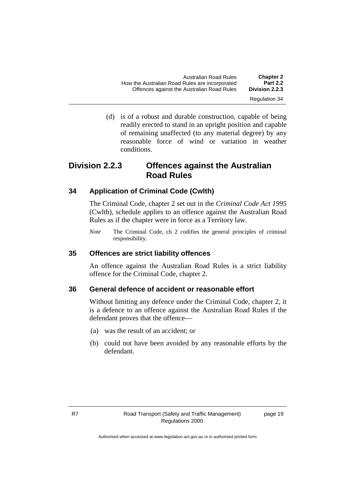| <b>Chapter 2</b><br><b>Part 2.2</b> | Australian Road Rules                                                                        |
|-------------------------------------|----------------------------------------------------------------------------------------------|
| Division 2.2.3                      | How the Australian Road Rules are incorporated<br>Offences against the Australian Road Rules |
| Regulation 34                       |                                                                                              |

(d) is of a robust and durable construction, capable of being readily erected to stand in an upright position and capable of remaining unaffected (to any material degree) by any reasonable force of wind or variation in weather conditions.

### **Division 2.2.3 Offences against the Australian Road Rules**

#### **34 Application of Criminal Code (Cwlth)**

The Criminal Code, chapter 2 set out in the *Criminal Code Act 1995* (Cwlth)*,* schedule applies to an offence against the Australian Road Rules as if the chapter were in force as a Territory law.

*Note* The Criminal Code*,* ch 2 codifies the general principles of criminal responsibility.

#### **35 Offences are strict liability offences**

An offence against the Australian Road Rules is a strict liability offence for the Criminal Code, chapter 2.

#### **36 General defence of accident or reasonable effort**

Without limiting any defence under the Criminal Code, chapter 2, it is a defence to an offence against the Australian Road Rules if the defendant proves that the offence—

- (a) was the result of an accident; or
- (b) could not have been avoided by any reasonable efforts by the defendant.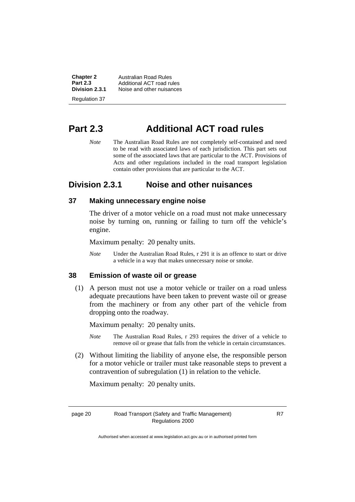| <b>Chapter 2</b> | Australian Road Rules     |
|------------------|---------------------------|
| <b>Part 2.3</b>  | Additional ACT road rules |
| Division 2.3.1   | Noise and other nuisances |
| Regulation 37    |                           |

# **Part 2.3 Additional ACT road rules**

*Note* The Australian Road Rules are not completely self-contained and need to be read with associated laws of each jurisdiction. This part sets out some of the associated laws that are particular to the ACT. Provisions of Acts and other regulations included in the road transport legislation contain other provisions that are particular to the ACT.

#### **Division 2.3.1 Noise and other nuisances**

#### **37 Making unnecessary engine noise**

The driver of a motor vehicle on a road must not make unnecessary noise by turning on, running or failing to turn off the vehicle's engine.

Maximum penalty: 20 penalty units.

*Note* Under the Australian Road Rules, r 291 it is an offence to start or drive a vehicle in a way that makes unnecessary noise or smoke.

#### **38 Emission of waste oil or grease**

(1) A person must not use a motor vehicle or trailer on a road unless adequate precautions have been taken to prevent waste oil or grease from the machinery or from any other part of the vehicle from dropping onto the roadway.

Maximum penalty: 20 penalty units.

- *Note* The Australian Road Rules, r 293 requires the driver of a vehicle to remove oil or grease that falls from the vehicle in certain circumstances.
- (2) Without limiting the liability of anyone else, the responsible person for a motor vehicle or trailer must take reasonable steps to prevent a contravention of subregulation (1) in relation to the vehicle.

Maximum penalty: 20 penalty units.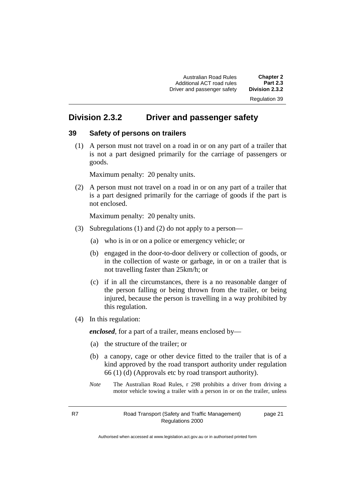Australian Road Rules **Chapter 2** Additional ACT road rules **Part 2.3** Driver and passenger safety

Regulation 39

### **Division 2.3.2 Driver and passenger safety**

#### **39 Safety of persons on trailers**

(1) A person must not travel on a road in or on any part of a trailer that is not a part designed primarily for the carriage of passengers or goods.

Maximum penalty: 20 penalty units.

(2) A person must not travel on a road in or on any part of a trailer that is a part designed primarily for the carriage of goods if the part is not enclosed.

Maximum penalty: 20 penalty units.

- (3) Subregulations (1) and (2) do not apply to a person—
	- (a) who is in or on a police or emergency vehicle; or
	- (b) engaged in the door-to-door delivery or collection of goods, or in the collection of waste or garbage, in or on a trailer that is not travelling faster than 25km/h; or
	- (c) if in all the circumstances, there is a no reasonable danger of the person falling or being thrown from the trailer, or being injured, because the person is travelling in a way prohibited by this regulation.
- (4) In this regulation:

*enclosed*, for a part of a trailer, means enclosed by—

- (a) the structure of the trailer; or
- (b) a canopy, cage or other device fitted to the trailer that is of a kind approved by the road transport authority under regulation 66 (1) (d) (Approvals etc by road transport authority).
- *Note* The Australian Road Rules, r 298 prohibits a driver from driving a motor vehicle towing a trailer with a person in or on the trailer, unless

page 21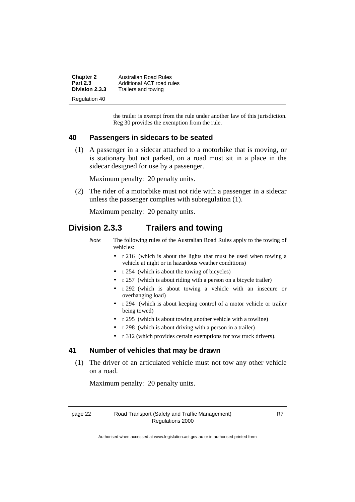| <b>Chapter 2</b> | Australian Road Rules     |
|------------------|---------------------------|
| <b>Part 2.3</b>  | Additional ACT road rules |
| Division 2.3.3   | Trailers and towing       |
| Regulation 40    |                           |

the trailer is exempt from the rule under another law of this jurisdiction. Reg 30 provides the exemption from the rule.

#### **40 Passengers in sidecars to be seated**

(1) A passenger in a sidecar attached to a motorbike that is moving, or is stationary but not parked, on a road must sit in a place in the sidecar designed for use by a passenger.

Maximum penalty: 20 penalty units.

(2) The rider of a motorbike must not ride with a passenger in a sidecar unless the passenger complies with subregulation (1).

Maximum penalty: 20 penalty units.

#### **Division 2.3.3 Trailers and towing**

- *Note* The following rules of the Australian Road Rules apply to the towing of vehicles:
	- r 216 (which is about the lights that must be used when towing a vehicle at night or in hazardous weather conditions)
	- r 254 (which is about the towing of bicycles)
	- r 257 (which is about riding with a person on a bicycle trailer)
	- r 292 (which is about towing a vehicle with an insecure or overhanging load)
	- r 294 (which is about keeping control of a motor vehicle or trailer being towed)
	- r 295 (which is about towing another vehicle with a towline)
	- r 298 (which is about driving with a person in a trailer)
	- r 312 (which provides certain exemptions for tow truck drivers).

#### **41 Number of vehicles that may be drawn**

(1) The driver of an articulated vehicle must not tow any other vehicle on a road.

Maximum penalty: 20 penalty units.

R7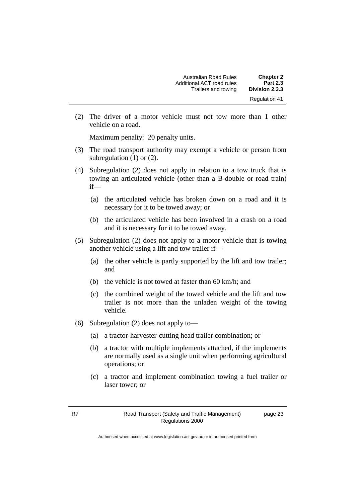| <b>Chapter 2</b>     | Australian Road Rules     |
|----------------------|---------------------------|
| <b>Part 2.3</b>      | Additional ACT road rules |
| Division 2.3.3       | Trailers and towing       |
| <b>Regulation 41</b> |                           |

(2) The driver of a motor vehicle must not tow more than 1 other vehicle on a road.

Maximum penalty: 20 penalty units.

- (3) The road transport authority may exempt a vehicle or person from subregulation (1) or (2).
- (4) Subregulation (2) does not apply in relation to a tow truck that is towing an articulated vehicle (other than a B-double or road train) if—
	- (a) the articulated vehicle has broken down on a road and it is necessary for it to be towed away; or
	- (b) the articulated vehicle has been involved in a crash on a road and it is necessary for it to be towed away.
- (5) Subregulation (2) does not apply to a motor vehicle that is towing another vehicle using a lift and tow trailer if—
	- (a) the other vehicle is partly supported by the lift and tow trailer; and
	- (b) the vehicle is not towed at faster than 60 km/h; and
	- (c) the combined weight of the towed vehicle and the lift and tow trailer is not more than the unladen weight of the towing vehicle.
- (6) Subregulation (2) does not apply to—
	- (a) a tractor-harvester-cutting head trailer combination; or
	- (b) a tractor with multiple implements attached, if the implements are normally used as a single unit when performing agricultural operations; or
	- (c) a tractor and implement combination towing a fuel trailer or laser tower; or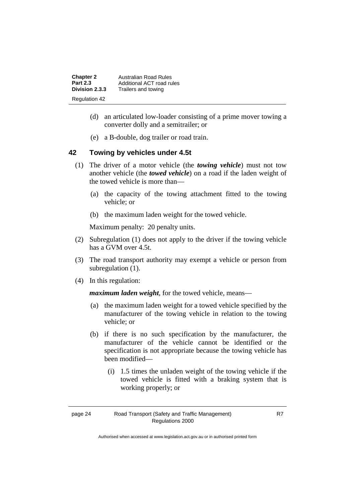| <b>Chapter 2</b> | <b>Australian Road Rules</b> |
|------------------|------------------------------|
| <b>Part 2.3</b>  | Additional ACT road rules    |
| Division 2.3.3   | Trailers and towing          |
| Regulation 42    |                              |

- (d) an articulated low-loader consisting of a prime mover towing a converter dolly and a semitrailer; or
- (e) a B-double, dog trailer or road train.

#### **42 Towing by vehicles under 4.5t**

- (1) The driver of a motor vehicle (the *towing vehicle*) must not tow another vehicle (the *towed vehicle*) on a road if the laden weight of the towed vehicle is more than—
	- (a) the capacity of the towing attachment fitted to the towing vehicle; or
	- (b) the maximum laden weight for the towed vehicle.

Maximum penalty: 20 penalty units.

- (2) Subregulation (1) does not apply to the driver if the towing vehicle has a GVM over 4.5t.
- (3) The road transport authority may exempt a vehicle or person from subregulation  $(1)$ .
- (4) In this regulation:

*maximum laden weight*, for the towed vehicle, means—

- (a) the maximum laden weight for a towed vehicle specified by the manufacturer of the towing vehicle in relation to the towing vehicle; or
- (b) if there is no such specification by the manufacturer, the manufacturer of the vehicle cannot be identified or the specification is not appropriate because the towing vehicle has been modified—
	- (i) 1.5 times the unladen weight of the towing vehicle if the towed vehicle is fitted with a braking system that is working properly; or

Authorised when accessed at www.legislation.act.gov.au or in authorised printed form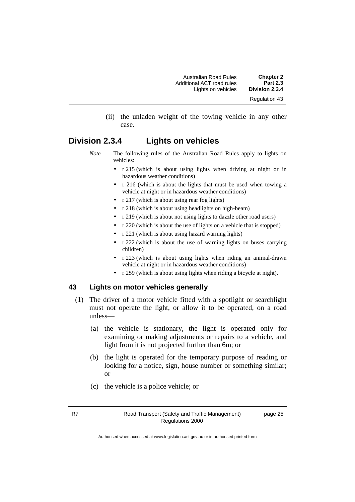(ii) the unladen weight of the towing vehicle in any other case.

#### **Division 2.3.4 Lights on vehicles**

- *Note* The following rules of the Australian Road Rules apply to lights on vehicles:
	- r 215 (which is about using lights when driving at night or in hazardous weather conditions)
	- r 216 (which is about the lights that must be used when towing a vehicle at night or in hazardous weather conditions)
	- r 217 (which is about using rear fog lights)
	- r 218 (which is about using headlights on high-beam)
	- r 219 (which is about not using lights to dazzle other road users)
	- r 220 (which is about the use of lights on a vehicle that is stopped)
	- r 221 (which is about using hazard warning lights)
	- r 222 (which is about the use of warning lights on buses carrying children)
	- r 223 (which is about using lights when riding an animal-drawn vehicle at night or in hazardous weather conditions)
	- r 259 (which is about using lights when riding a bicycle at night).

#### **43 Lights on motor vehicles generally**

- (1) The driver of a motor vehicle fitted with a spotlight or searchlight must not operate the light, or allow it to be operated, on a road unless—
	- (a) the vehicle is stationary, the light is operated only for examining or making adjustments or repairs to a vehicle, and light from it is not projected further than 6m; or
	- (b) the light is operated for the temporary purpose of reading or looking for a notice, sign, house number or something similar; or
	- (c) the vehicle is a police vehicle; or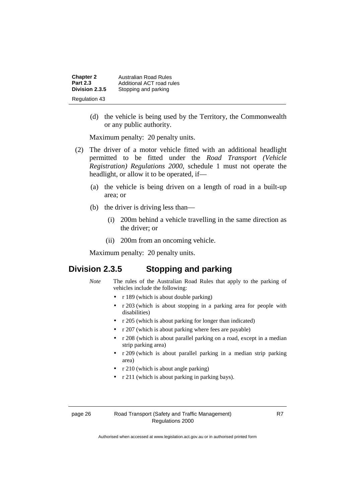| <b>Chapter 2</b> | Australian Road Rules     |
|------------------|---------------------------|
| <b>Part 2.3</b>  | Additional ACT road rules |
| Division 2.3.5   | Stopping and parking      |
| Regulation 43    |                           |

(d) the vehicle is being used by the Territory, the Commonwealth or any public authority.

Maximum penalty: 20 penalty units.

- (2) The driver of a motor vehicle fitted with an additional headlight permitted to be fitted under the *Road Transport (Vehicle Registration) Regulations 2000*, schedule 1 must not operate the headlight, or allow it to be operated, if—
	- (a) the vehicle is being driven on a length of road in a built-up area; or
	- (b) the driver is driving less than—
		- (i) 200m behind a vehicle travelling in the same direction as the driver; or
		- (ii) 200m from an oncoming vehicle.

Maximum penalty: 20 penalty units.

#### **Division 2.3.5 Stopping and parking**

- *Note* The rules of the Australian Road Rules that apply to the parking of vehicles include the following:
	- r 189 (which is about double parking)
	- r 203 (which is about stopping in a parking area for people with disabilities)
	- r 205 (which is about parking for longer than indicated)
	- r 207 (which is about parking where fees are payable)
	- r 208 (which is about parallel parking on a road, except in a median strip parking area)
	- r 209 (which is about parallel parking in a median strip parking area)
	- r 210 (which is about angle parking)
	- r 211 (which is about parking in parking bays).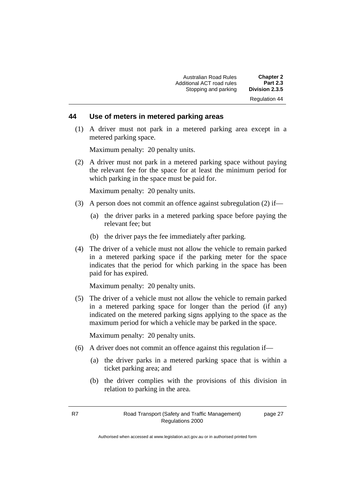Australian Road Rules **Chapter 2** Additional ACT road rules **Part 2.3** Stopping and parking Regulation 44

#### **44 Use of meters in metered parking areas**

(1) A driver must not park in a metered parking area except in a metered parking space.

Maximum penalty: 20 penalty units.

(2) A driver must not park in a metered parking space without paying the relevant fee for the space for at least the minimum period for which parking in the space must be paid for.

Maximum penalty: 20 penalty units.

- (3) A person does not commit an offence against subregulation (2) if—
	- (a) the driver parks in a metered parking space before paying the relevant fee; but
	- (b) the driver pays the fee immediately after parking.
- (4) The driver of a vehicle must not allow the vehicle to remain parked in a metered parking space if the parking meter for the space indicates that the period for which parking in the space has been paid for has expired.

Maximum penalty: 20 penalty units.

(5) The driver of a vehicle must not allow the vehicle to remain parked in a metered parking space for longer than the period (if any) indicated on the metered parking signs applying to the space as the maximum period for which a vehicle may be parked in the space.

Maximum penalty: 20 penalty units.

- (6) A driver does not commit an offence against this regulation if—
	- (a) the driver parks in a metered parking space that is within a ticket parking area; and
	- (b) the driver complies with the provisions of this division in relation to parking in the area.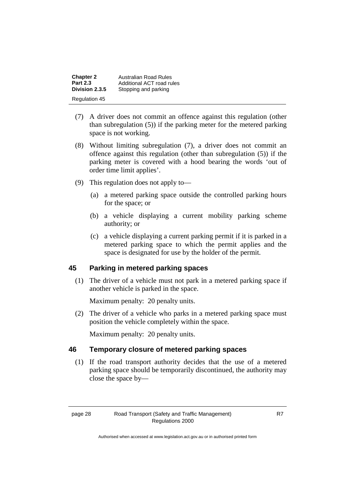| <b>Chapter 2</b> | <b>Australian Road Rules</b> |
|------------------|------------------------------|
| <b>Part 2.3</b>  | Additional ACT road rules    |
| Division 2.3.5   | Stopping and parking         |
| Regulation 45    |                              |

- (7) A driver does not commit an offence against this regulation (other than subregulation (5)) if the parking meter for the metered parking space is not working.
- (8) Without limiting subregulation (7), a driver does not commit an offence against this regulation (other than subregulation (5)) if the parking meter is covered with a hood bearing the words 'out of order time limit applies'.
- (9) This regulation does not apply to—
	- (a) a metered parking space outside the controlled parking hours for the space; or
	- (b) a vehicle displaying a current mobility parking scheme authority; or
	- (c) a vehicle displaying a current parking permit if it is parked in a metered parking space to which the permit applies and the space is designated for use by the holder of the permit.

### **45 Parking in metered parking spaces**

(1) The driver of a vehicle must not park in a metered parking space if another vehicle is parked in the space.

Maximum penalty: 20 penalty units.

(2) The driver of a vehicle who parks in a metered parking space must position the vehicle completely within the space.

Maximum penalty: 20 penalty units.

#### **46 Temporary closure of metered parking spaces**

(1) If the road transport authority decides that the use of a metered parking space should be temporarily discontinued, the authority may close the space by—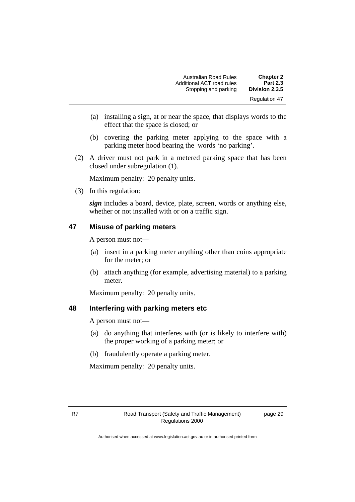| <b>Chapter 2</b>     | <b>Australian Road Rules</b> |
|----------------------|------------------------------|
| <b>Part 2.3</b>      | Additional ACT road rules    |
| Division 2.3.5       | Stopping and parking         |
| <b>Regulation 47</b> |                              |

- (a) installing a sign, at or near the space, that displays words to the effect that the space is closed; or
- (b) covering the parking meter applying to the space with a parking meter hood bearing the words 'no parking'.
- (2) A driver must not park in a metered parking space that has been closed under subregulation (1).

Maximum penalty: 20 penalty units.

(3) In this regulation:

*sign* includes a board, device, plate, screen, words or anything else, whether or not installed with or on a traffic sign.

#### **47 Misuse of parking meters**

A person must not—

- (a) insert in a parking meter anything other than coins appropriate for the meter; or
- (b) attach anything (for example, advertising material) to a parking meter.

Maximum penalty: 20 penalty units.

#### **48 Interfering with parking meters etc**

A person must not—

- (a) do anything that interferes with (or is likely to interfere with) the proper working of a parking meter; or
- (b) fraudulently operate a parking meter.

Maximum penalty: 20 penalty units.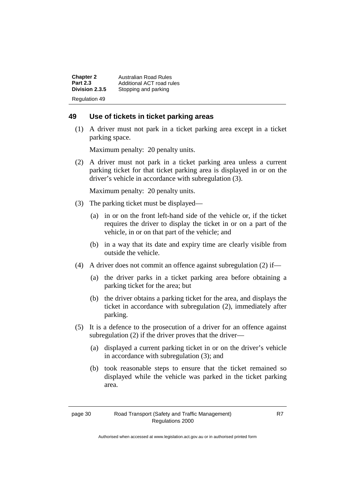| <b>Chapter 2</b>     | <b>Australian Road Rules</b> |
|----------------------|------------------------------|
| <b>Part 2.3</b>      | Additional ACT road rules    |
| Division 2.3.5       | Stopping and parking         |
| <b>Regulation 49</b> |                              |

#### **49 Use of tickets in ticket parking areas**

(1) A driver must not park in a ticket parking area except in a ticket parking space.

Maximum penalty: 20 penalty units.

(2) A driver must not park in a ticket parking area unless a current parking ticket for that ticket parking area is displayed in or on the driver's vehicle in accordance with subregulation (3).

Maximum penalty: 20 penalty units.

- (3) The parking ticket must be displayed—
	- (a) in or on the front left-hand side of the vehicle or, if the ticket requires the driver to display the ticket in or on a part of the vehicle, in or on that part of the vehicle; and
	- (b) in a way that its date and expiry time are clearly visible from outside the vehicle.
- (4) A driver does not commit an offence against subregulation (2) if—
	- (a) the driver parks in a ticket parking area before obtaining a parking ticket for the area; but
	- (b) the driver obtains a parking ticket for the area, and displays the ticket in accordance with subregulation (2), immediately after parking.
- (5) It is a defence to the prosecution of a driver for an offence against subregulation (2) if the driver proves that the driver—
	- (a) displayed a current parking ticket in or on the driver's vehicle in accordance with subregulation (3); and
	- (b) took reasonable steps to ensure that the ticket remained so displayed while the vehicle was parked in the ticket parking area.

Authorised when accessed at www.legislation.act.gov.au or in authorised printed form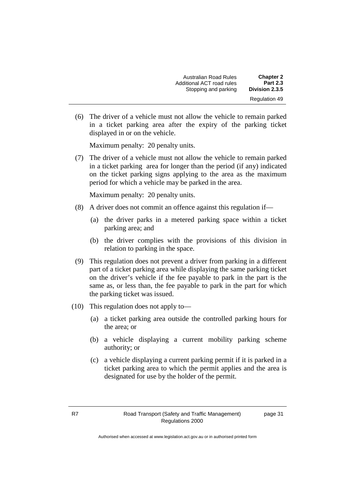| <b>Chapter 2</b>     | <b>Australian Road Rules</b> |
|----------------------|------------------------------|
| <b>Part 2.3</b>      | Additional ACT road rules    |
| Division 2.3.5       | Stopping and parking         |
| <b>Regulation 49</b> |                              |

(6) The driver of a vehicle must not allow the vehicle to remain parked in a ticket parking area after the expiry of the parking ticket displayed in or on the vehicle.

Maximum penalty: 20 penalty units.

(7) The driver of a vehicle must not allow the vehicle to remain parked in a ticket parking area for longer than the period (if any) indicated on the ticket parking signs applying to the area as the maximum period for which a vehicle may be parked in the area.

Maximum penalty: 20 penalty units.

- (8) A driver does not commit an offence against this regulation if—
	- (a) the driver parks in a metered parking space within a ticket parking area; and
	- (b) the driver complies with the provisions of this division in relation to parking in the space.
- (9) This regulation does not prevent a driver from parking in a different part of a ticket parking area while displaying the same parking ticket on the driver's vehicle if the fee payable to park in the part is the same as, or less than, the fee payable to park in the part for which the parking ticket was issued.
- (10) This regulation does not apply to—
	- (a) a ticket parking area outside the controlled parking hours for the area; or
	- (b) a vehicle displaying a current mobility parking scheme authority; or
	- (c) a vehicle displaying a current parking permit if it is parked in a ticket parking area to which the permit applies and the area is designated for use by the holder of the permit.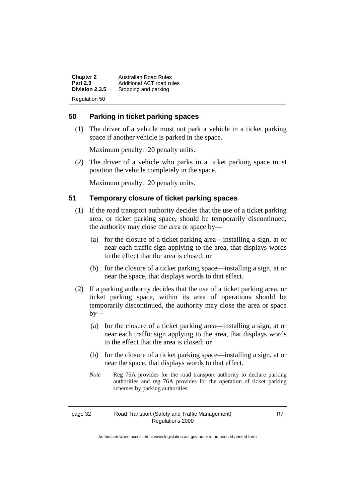| <b>Chapter 2</b>     | <b>Australian Road Rules</b> |
|----------------------|------------------------------|
| <b>Part 2.3</b>      | Additional ACT road rules    |
| Division 2.3.5       | Stopping and parking         |
| <b>Regulation 50</b> |                              |

#### **50 Parking in ticket parking spaces**

(1) The driver of a vehicle must not park a vehicle in a ticket parking space if another vehicle is parked in the space.

Maximum penalty: 20 penalty units.

(2) The driver of a vehicle who parks in a ticket parking space must position the vehicle completely in the space.

Maximum penalty: 20 penalty units.

#### **51 Temporary closure of ticket parking spaces**

- (1) If the road transport authority decides that the use of a ticket parking area, or ticket parking space, should be temporarily discontinued, the authority may close the area or space by—
	- (a) for the closure of a ticket parking area—installing a sign, at or near each traffic sign applying to the area, that displays words to the effect that the area is closed; or
	- (b) for the closure of a ticket parking space—installing a sign, at or near the space, that displays words to that effect.
- (2) If a parking authority decides that the use of a ticket parking area, or ticket parking space, within its area of operations should be temporarily discontinued, the authority may close the area or space by—
	- (a) for the closure of a ticket parking area—installing a sign, at or near each traffic sign applying to the area, that displays words to the effect that the area is closed; or
	- (b) for the closure of a ticket parking space—installing a sign, at or near the space, that displays words to that effect.
	- *Note* Reg 75A provides for the road transport authority to declare parking authorities and reg 76A provides for the operation of ticket parking schemes by parking authorities.

```
page 32 Road Transport (Safety and Traffic Management)
                Regulations 2000
```
R7

Authorised when accessed at www.legislation.act.gov.au or in authorised printed form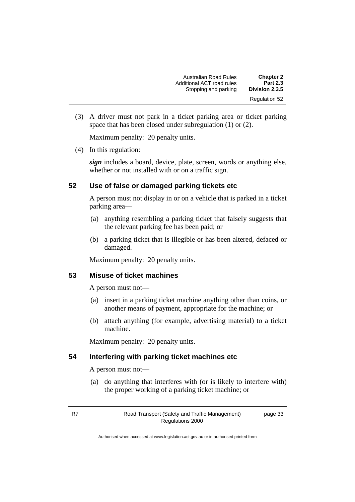| <b>Chapter 2</b>     | Australian Road Rules     |
|----------------------|---------------------------|
| <b>Part 2.3</b>      | Additional ACT road rules |
| Division 2.3.5       | Stopping and parking      |
| <b>Regulation 52</b> |                           |

(3) A driver must not park in a ticket parking area or ticket parking space that has been closed under subregulation (1) or (2).

Maximum penalty: 20 penalty units.

(4) In this regulation:

*sign* includes a board, device, plate, screen, words or anything else, whether or not installed with or on a traffic sign.

#### **52 Use of false or damaged parking tickets etc**

A person must not display in or on a vehicle that is parked in a ticket parking area—

- (a) anything resembling a parking ticket that falsely suggests that the relevant parking fee has been paid; or
- (b) a parking ticket that is illegible or has been altered, defaced or damaged.

Maximum penalty: 20 penalty units.

#### **53 Misuse of ticket machines**

A person must not—

- (a) insert in a parking ticket machine anything other than coins, or another means of payment, appropriate for the machine; or
- (b) attach anything (for example, advertising material) to a ticket machine.

Maximum penalty: 20 penalty units.

#### **54 Interfering with parking ticket machines etc**

A person must not—

(a) do anything that interferes with (or is likely to interfere with) the proper working of a parking ticket machine; or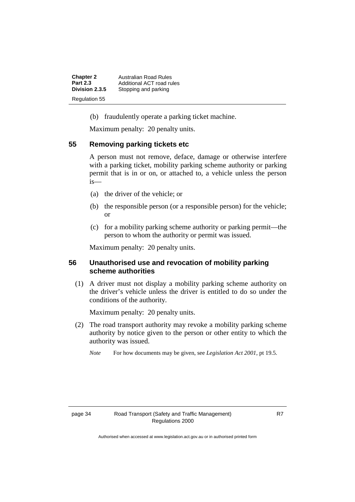| <b>Chapter 2</b> | Australian Road Rules     |
|------------------|---------------------------|
| <b>Part 2.3</b>  | Additional ACT road rules |
| Division 2.3.5   | Stopping and parking      |
| Regulation 55    |                           |

(b) fraudulently operate a parking ticket machine.

Maximum penalty: 20 penalty units.

#### **55 Removing parking tickets etc**

A person must not remove, deface, damage or otherwise interfere with a parking ticket, mobility parking scheme authority or parking permit that is in or on, or attached to, a vehicle unless the person is—

- (a) the driver of the vehicle; or
- (b) the responsible person (or a responsible person) for the vehicle; or
- (c) for a mobility parking scheme authority or parking permit—the person to whom the authority or permit was issued.

Maximum penalty: 20 penalty units.

#### **56 Unauthorised use and revocation of mobility parking scheme authorities**

(1) A driver must not display a mobility parking scheme authority on the driver's vehicle unless the driver is entitled to do so under the conditions of the authority.

Maximum penalty: 20 penalty units.

- (2) The road transport authority may revoke a mobility parking scheme authority by notice given to the person or other entity to which the authority was issued.
	- *Note* For how documents may be given, see *Legislation Act 2001*, pt 19.5.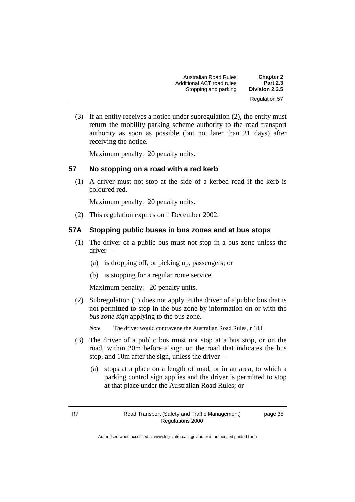Australian Road Rules **Chapter 2** Additional ACT road rules **Part 2.3** Stopping and parking Regulation 57

(3) If an entity receives a notice under subregulation (2), the entity must return the mobility parking scheme authority to the road transport authority as soon as possible (but not later than 21 days) after receiving the notice.

Maximum penalty: 20 penalty units.

## **57 No stopping on a road with a red kerb**

(1) A driver must not stop at the side of a kerbed road if the kerb is coloured red.

Maximum penalty: 20 penalty units.

(2) This regulation expires on 1 December 2002.

### **57A Stopping public buses in bus zones and at bus stops**

- (1) The driver of a public bus must not stop in a bus zone unless the driver—
	- (a) is dropping off, or picking up, passengers; or
	- (b) is stopping for a regular route service.

Maximum penalty: 20 penalty units.

(2) Subregulation (1) does not apply to the driver of a public bus that is not permitted to stop in the bus zone by information on or with the *bus zone sign* applying to the bus zone.

*Note* The driver would contravene the Australian Road Rules, r 183.

- (3) The driver of a public bus must not stop at a bus stop, or on the road, within 20m before a sign on the road that indicates the bus stop, and 10m after the sign, unless the driver—
	- (a) stops at a place on a length of road, or in an area, to which a parking control sign applies and the driver is permitted to stop at that place under the Australian Road Rules; or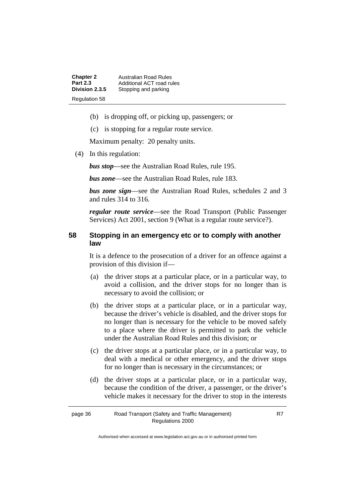**Chapter 2** Australian Road Rules<br>**Part 2.3** Additional ACT road ru **Part 2.3** Additional ACT road rules<br>**Division 2.3.5** Stopping and parking **Stopping and parking** Regulation 58

- (b) is dropping off, or picking up, passengers; or
- (c) is stopping for a regular route service.

Maximum penalty: 20 penalty units.

(4) In this regulation:

*bus stop*—see the Australian Road Rules, rule 195.

*bus zone*—see the Australian Road Rules, rule 183.

*bus zone sign*—see the Australian Road Rules, schedules 2 and 3 and rules 314 to 316.

*regular route service*—see the Road Transport (Public Passenger Services) Act 2001, section 9 (What is a regular route service?).

#### **58 Stopping in an emergency etc or to comply with another law**

It is a defence to the prosecution of a driver for an offence against a provision of this division if—

- (a) the driver stops at a particular place, or in a particular way, to avoid a collision, and the driver stops for no longer than is necessary to avoid the collision; or
- (b) the driver stops at a particular place, or in a particular way, because the driver's vehicle is disabled, and the driver stops for no longer than is necessary for the vehicle to be moved safely to a place where the driver is permitted to park the vehicle under the Australian Road Rules and this division; or
- (c) the driver stops at a particular place, or in a particular way, to deal with a medical or other emergency, and the driver stops for no longer than is necessary in the circumstances; or
- (d) the driver stops at a particular place, or in a particular way, because the condition of the driver, a passenger, or the driver's vehicle makes it necessary for the driver to stop in the interests

| page 36 | Road Transport (Safety and Traffic Management) |
|---------|------------------------------------------------|
|         | Regulations 2000                               |

Authorised when accessed at www.legislation.act.gov.au or in authorised printed form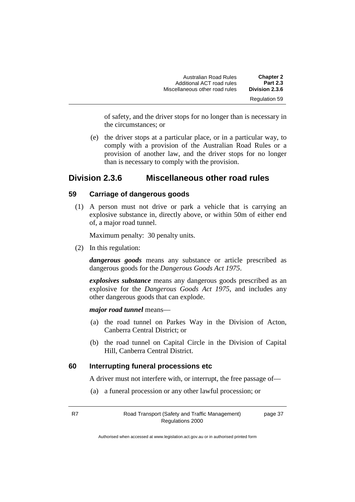| <b>Chapter 2</b>     | <b>Australian Road Rules</b>   |
|----------------------|--------------------------------|
| <b>Part 2.3</b>      | Additional ACT road rules      |
| Division 2.3.6       | Miscellaneous other road rules |
| <b>Regulation 59</b> |                                |

of safety, and the driver stops for no longer than is necessary in the circumstances; or

(e) the driver stops at a particular place, or in a particular way, to comply with a provision of the Australian Road Rules or a provision of another law, and the driver stops for no longer than is necessary to comply with the provision.

## **Division 2.3.6 Miscellaneous other road rules**

#### **59 Carriage of dangerous goods**

(1) A person must not drive or park a vehicle that is carrying an explosive substance in, directly above, or within 50m of either end of, a major road tunnel.

Maximum penalty: 30 penalty units.

(2) In this regulation:

*dangerous goods* means any substance or article prescribed as dangerous goods for the *Dangerous Goods Act 1975*.

*explosives substance* means any dangerous goods prescribed as an explosive for the *Dangerous Goods Act 1975*, and includes any other dangerous goods that can explode.

*major road tunnel* means—

- (a) the road tunnel on Parkes Way in the Division of Acton, Canberra Central District; or
- (b) the road tunnel on Capital Circle in the Division of Capital Hill, Canberra Central District.

#### **60 Interrupting funeral processions etc**

A driver must not interfere with, or interrupt, the free passage of—

(a) a funeral procession or any other lawful procession; or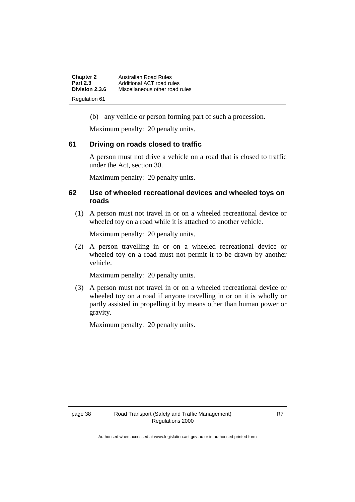| <b>Chapter 2</b>     | Australian Road Rules          |
|----------------------|--------------------------------|
| <b>Part 2.3</b>      | Additional ACT road rules      |
| Division 2.3.6       | Miscellaneous other road rules |
| <b>Regulation 61</b> |                                |

(b) any vehicle or person forming part of such a procession.

Maximum penalty: 20 penalty units.

#### **61 Driving on roads closed to traffic**

A person must not drive a vehicle on a road that is closed to traffic under the Act, section 30.

Maximum penalty: 20 penalty units.

#### **62 Use of wheeled recreational devices and wheeled toys on roads**

(1) A person must not travel in or on a wheeled recreational device or wheeled toy on a road while it is attached to another vehicle.

Maximum penalty: 20 penalty units.

(2) A person travelling in or on a wheeled recreational device or wheeled toy on a road must not permit it to be drawn by another vehicle.

Maximum penalty: 20 penalty units.

(3) A person must not travel in or on a wheeled recreational device or wheeled toy on a road if anyone travelling in or on it is wholly or partly assisted in propelling it by means other than human power or gravity.

Maximum penalty: 20 penalty units.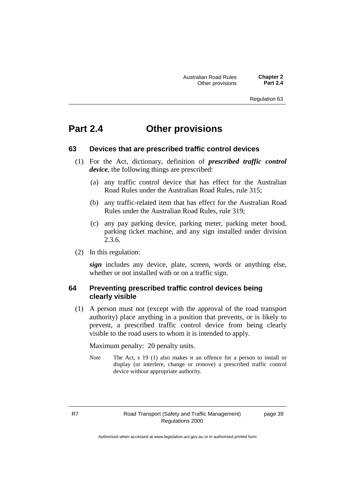## **Part 2.4 Other provisions**

#### **63 Devices that are prescribed traffic control devices**

- (1) For the Act, dictionary, definition of *prescribed traffic control device*, the following things are prescribed:
	- (a) any traffic control device that has effect for the Australian Road Rules under the Australian Road Rules, rule 315;
	- (b) any traffic-related item that has effect for the Australian Road Rules under the Australian Road Rules, rule 319;
	- (c) any pay parking device, parking meter, parking meter hood, parking ticket machine, and any sign installed under division 2.3.6.
- (2) In this regulation:

*sign* includes any device, plate, screen, words or anything else, whether or not installed with or on a traffic sign.

#### **64 Preventing prescribed traffic control devices being clearly visible**

(1) A person must not (except with the approval of the road transport authority) place anything in a position that prevents, or is likely to prevent, a prescribed traffic control device from being clearly visible to the road users to whom it is intended to apply.

Maximum penalty: 20 penalty units.

*Note* The Act, s 19 (1) also makes it an offence for a person to install or display (or interfere, change or remove) a prescribed traffic control device without appropriate authority.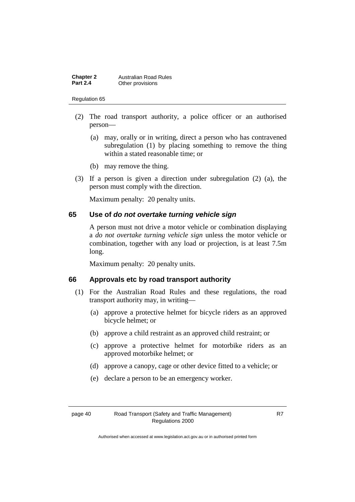| <b>Chapter 2</b> | <b>Australian Road Rules</b> |
|------------------|------------------------------|
| <b>Part 2.4</b>  | Other provisions             |

- (2) The road transport authority, a police officer or an authorised person—
	- (a) may, orally or in writing, direct a person who has contravened subregulation (1) by placing something to remove the thing within a stated reasonable time; or
	- (b) may remove the thing.
- (3) If a person is given a direction under subregulation (2) (a), the person must comply with the direction.

Maximum penalty: 20 penalty units.

#### **65 Use of** *do not overtake turning vehicle sign*

A person must not drive a motor vehicle or combination displaying a *do not overtake turning vehicle sign* unless the motor vehicle or combination, together with any load or projection, is at least 7.5m long.

Maximum penalty: 20 penalty units.

#### **66 Approvals etc by road transport authority**

- (1) For the Australian Road Rules and these regulations, the road transport authority may, in writing—
	- (a) approve a protective helmet for bicycle riders as an approved bicycle helmet; or
	- (b) approve a child restraint as an approved child restraint; or
	- (c) approve a protective helmet for motorbike riders as an approved motorbike helmet; or
	- (d) approve a canopy, cage or other device fitted to a vehicle; or
	- (e) declare a person to be an emergency worker.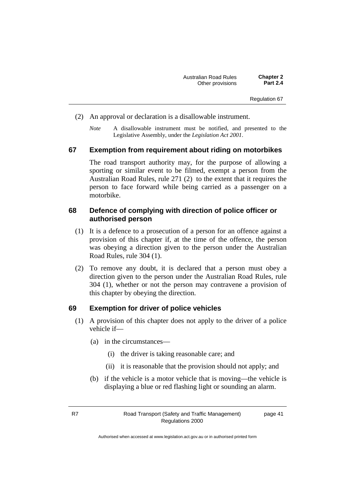- (2) An approval or declaration is a disallowable instrument.
	- *Note* A disallowable instrument must be notified, and presented to the Legislative Assembly, under the *Legislation Act 2001*.

#### **67 Exemption from requirement about riding on motorbikes**

The road transport authority may, for the purpose of allowing a sporting or similar event to be filmed, exempt a person from the Australian Road Rules, rule 271 (2) to the extent that it requires the person to face forward while being carried as a passenger on a motorbike.

#### **68 Defence of complying with direction of police officer or authorised person**

- (1) It is a defence to a prosecution of a person for an offence against a provision of this chapter if, at the time of the offence, the person was obeying a direction given to the person under the Australian Road Rules, rule 304 (1).
- (2) To remove any doubt, it is declared that a person must obey a direction given to the person under the Australian Road Rules, rule 304 (1), whether or not the person may contravene a provision of this chapter by obeying the direction.

#### **69 Exemption for driver of police vehicles**

- (1) A provision of this chapter does not apply to the driver of a police vehicle if—
	- (a) in the circumstances—
		- (i) the driver is taking reasonable care; and
		- (ii) it is reasonable that the provision should not apply; and
	- (b) if the vehicle is a motor vehicle that is moving—the vehicle is displaying a blue or red flashing light or sounding an alarm.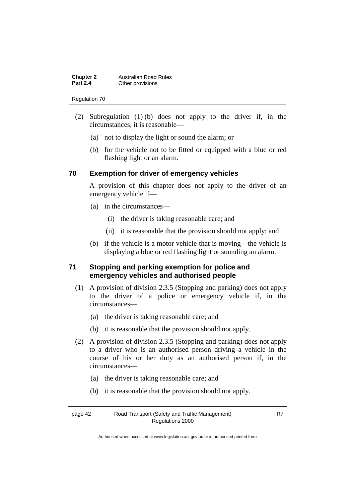| <b>Chapter 2</b> | <b>Australian Road Rules</b> |
|------------------|------------------------------|
| <b>Part 2.4</b>  | Other provisions             |

- (2) Subregulation (1) (b) does not apply to the driver if, in the circumstances, it is reasonable—
	- (a) not to display the light or sound the alarm; or
	- (b) for the vehicle not to be fitted or equipped with a blue or red flashing light or an alarm.

#### **70 Exemption for driver of emergency vehicles**

A provision of this chapter does not apply to the driver of an emergency vehicle if—

- (a) in the circumstances—
	- (i) the driver is taking reasonable care; and
	- (ii) it is reasonable that the provision should not apply; and
- (b) if the vehicle is a motor vehicle that is moving—the vehicle is displaying a blue or red flashing light or sounding an alarm.

#### **71 Stopping and parking exemption for police and emergency vehicles and authorised people**

- (1) A provision of division 2.3.5 (Stopping and parking) does not apply to the driver of a police or emergency vehicle if, in the circumstances—
	- (a) the driver is taking reasonable care; and
	- (b) it is reasonable that the provision should not apply.
- (2) A provision of division 2.3.5 (Stopping and parking) does not apply to a driver who is an authorised person driving a vehicle in the course of his or her duty as an authorised person if, in the circumstances—
	- (a) the driver is taking reasonable care; and
	- (b) it is reasonable that the provision should not apply.

page 42 Road Transport (Safety and Traffic Management) Regulations 2000

R7

Authorised when accessed at www.legislation.act.gov.au or in authorised printed form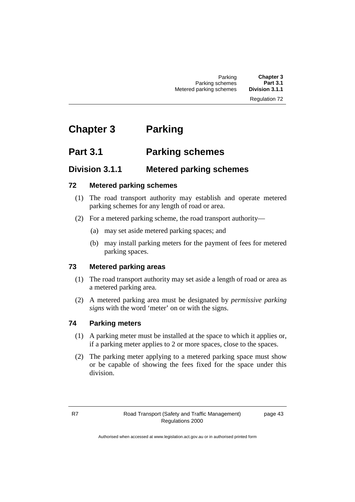# **Chapter 3 Parking**

## **Part 3.1 Parking schemes**

## **Division 3.1.1 Metered parking schemes**

## **72 Metered parking schemes**

- (1) The road transport authority may establish and operate metered parking schemes for any length of road or area.
- (2) For a metered parking scheme, the road transport authority—
	- (a) may set aside metered parking spaces; and
	- (b) may install parking meters for the payment of fees for metered parking spaces.

## **73 Metered parking areas**

- (1) The road transport authority may set aside a length of road or area as a metered parking area.
- (2) A metered parking area must be designated by *permissive parking signs* with the word 'meter' on or with the signs.

## **74 Parking meters**

- (1) A parking meter must be installed at the space to which it applies or, if a parking meter applies to 2 or more spaces, close to the spaces.
- (2) The parking meter applying to a metered parking space must show or be capable of showing the fees fixed for the space under this division.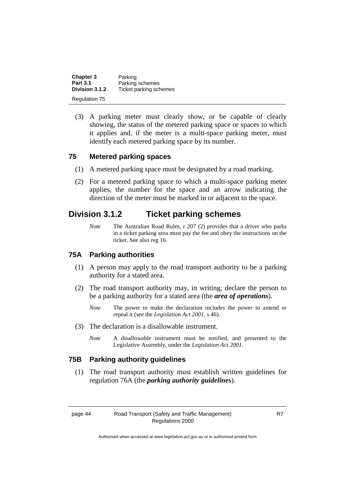| <b>Chapter 3</b> | Parking                |
|------------------|------------------------|
| <b>Part 3.1</b>  | Parking schemes        |
| Division 3.1.2   | Ticket parking schemes |
| Regulation 75    |                        |

(3) A parking meter must clearly show, or be capable of clearly showing, the status of the metered parking space or spaces to which it applies and, if the meter is a multi-space parking meter, must identify each metered parking space by its number.

#### **75 Metered parking spaces**

- (1) A metered parking space must be designated by a road marking.
- (2) For a metered parking space to which a multi-space parking meter applies, the number for the space and an arrow indicating the direction of the meter must be marked in or adjacent to the space.

## **Division 3.1.2 Ticket parking schemes**

*Note* The Australian Road Rules, r 207 (2) provides that a driver who parks in a ticket parking area must pay the fee and obey the instructions on the ticket. See also reg 16.

#### **75A Parking authorities**

- (1) A person may apply to the road transport authority to be a parking authority for a stated area.
- (2) The road transport authority may, in writing, declare the person to be a parking authority for a stated area (the *area of operations*).
	- *Note* The power to make the declaration includes the power to amend or repeal it (see the *Legislation Act 2001*, s 46).
- (3) The declaration is a disallowable instrument.
	- *Note* A disallowable instrument must be notified, and presented to the Legislative Assembly, under the *Legislation Act 2001*.

## **75B Parking authority guidelines**

(1) The road transport authority must establish written guidelines for regulation 76A (the *parking authority guidelines*).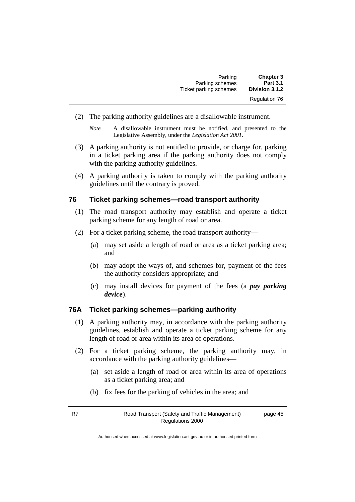| <b>Chapter 3</b>     | Parking                |
|----------------------|------------------------|
| <b>Part 3.1</b>      | Parking schemes        |
| Division 3.1.2       | Ticket parking schemes |
| <b>Regulation 76</b> |                        |

(2) The parking authority guidelines are a disallowable instrument.

- (3) A parking authority is not entitled to provide, or charge for, parking in a ticket parking area if the parking authority does not comply with the parking authority guidelines.
- (4) A parking authority is taken to comply with the parking authority guidelines until the contrary is proved.

#### **76 Ticket parking schemes—road transport authority**

- (1) The road transport authority may establish and operate a ticket parking scheme for any length of road or area.
- (2) For a ticket parking scheme, the road transport authority—
	- (a) may set aside a length of road or area as a ticket parking area; and
	- (b) may adopt the ways of, and schemes for, payment of the fees the authority considers appropriate; and
	- (c) may install devices for payment of the fees (a *pay parking device*).

#### **76A Ticket parking schemes—parking authority**

- (1) A parking authority may, in accordance with the parking authority guidelines, establish and operate a ticket parking scheme for any length of road or area within its area of operations.
- (2) For a ticket parking scheme, the parking authority may, in accordance with the parking authority guidelines—
	- (a) set aside a length of road or area within its area of operations as a ticket parking area; and
	- (b) fix fees for the parking of vehicles in the area; and
- R7 Road Transport (Safety and Traffic Management) Regulations 2000

page 45

*Note* A disallowable instrument must be notified, and presented to the Legislative Assembly, under the *Legislation Act 2001*.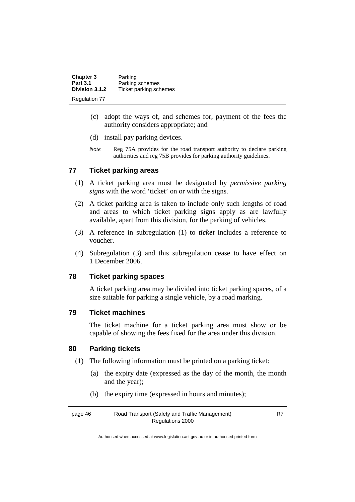| <b>Chapter 3</b>     | Parking                |
|----------------------|------------------------|
| <b>Part 3.1</b>      | Parking schemes        |
| Division 3.1.2       | Ticket parking schemes |
| <b>Regulation 77</b> |                        |

- (c) adopt the ways of, and schemes for, payment of the fees the authority considers appropriate; and
- (d) install pay parking devices.
- *Note* Reg 75A provides for the road transport authority to declare parking authorities and reg 75B provides for parking authority guidelines.

#### **77 Ticket parking areas**

- (1) A ticket parking area must be designated by *permissive parking signs* with the word 'ticket' on or with the signs.
- (2) A ticket parking area is taken to include only such lengths of road and areas to which ticket parking signs apply as are lawfully available, apart from this division, for the parking of vehicles.
- (3) A reference in subregulation (1) to *ticket* includes a reference to voucher.
- (4) Subregulation (3) and this subregulation cease to have effect on 1 December 2006.

#### **78 Ticket parking spaces**

A ticket parking area may be divided into ticket parking spaces, of a size suitable for parking a single vehicle, by a road marking.

#### **79 Ticket machines**

The ticket machine for a ticket parking area must show or be capable of showing the fees fixed for the area under this division.

#### **80 Parking tickets**

- (1) The following information must be printed on a parking ticket:
	- (a) the expiry date (expressed as the day of the month, the month and the year);
	- (b) the expiry time (expressed in hours and minutes);

| page 46 | Road Transport (Safety and Traffic Management) |
|---------|------------------------------------------------|
|         | Regulations 2000                               |

R7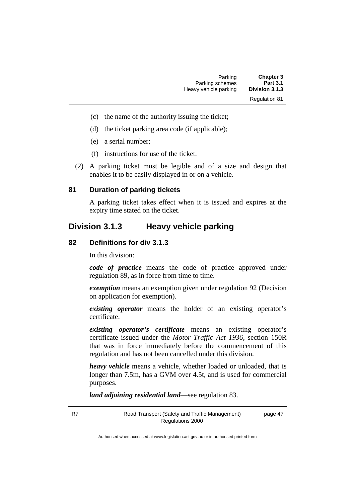- (c) the name of the authority issuing the ticket;
- (d) the ticket parking area code (if applicable);
- (e) a serial number;
- (f) instructions for use of the ticket.
- (2) A parking ticket must be legible and of a size and design that enables it to be easily displayed in or on a vehicle.

#### **81 Duration of parking tickets**

A parking ticket takes effect when it is issued and expires at the expiry time stated on the ticket.

## **Division 3.1.3 Heavy vehicle parking**

#### **82 Definitions for div 3.1.3**

In this division:

*code of practice* means the code of practice approved under regulation 89, as in force from time to time.

*exemption* means an exemption given under regulation 92 (Decision on application for exemption).

*existing operator* means the holder of an existing operator's certificate.

*existing operator's certificate* means an existing operator's certificate issued under the *Motor Traffic Act 1936,* section 150R that was in force immediately before the commencement of this regulation and has not been cancelled under this division.

*heavy vehicle* means a vehicle, whether loaded or unloaded, that is longer than 7.5m, has a GVM over 4.5t, and is used for commercial purposes.

*land adjoining residential land*—see regulation 83.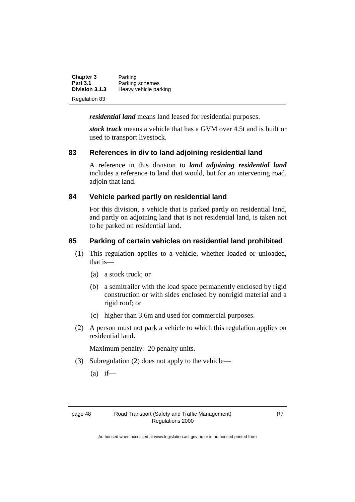| <b>Chapter 3</b> | Parking               |
|------------------|-----------------------|
| <b>Part 3.1</b>  | Parking schemes       |
| Division 3.1.3   | Heavy vehicle parking |
| Regulation 83    |                       |

*residential land* means land leased for residential purposes.

*stock truck* means a vehicle that has a GVM over 4.5t and is built or used to transport livestock.

### **83 References in div to land adjoining residential land**

A reference in this division to *land adjoining residential land* includes a reference to land that would, but for an intervening road, adjoin that land.

### **84 Vehicle parked partly on residential land**

For this division, a vehicle that is parked partly on residential land, and partly on adjoining land that is not residential land, is taken not to be parked on residential land.

### **85 Parking of certain vehicles on residential land prohibited**

- (1) This regulation applies to a vehicle, whether loaded or unloaded, that is—
	- (a) a stock truck; or
	- (b) a semitrailer with the load space permanently enclosed by rigid construction or with sides enclosed by nonrigid material and a rigid roof; or
	- (c) higher than 3.6m and used for commercial purposes.
- (2) A person must not park a vehicle to which this regulation applies on residential land.

Maximum penalty: 20 penalty units.

- (3) Subregulation (2) does not apply to the vehicle—
	- $(a)$  if—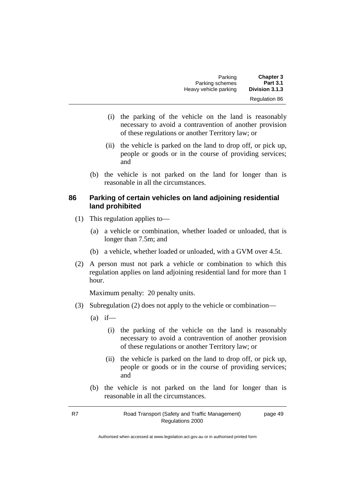| <b>Chapter 3</b>     | Parking               |
|----------------------|-----------------------|
| <b>Part 3.1</b>      | Parking schemes       |
| Division 3.1.3       | Heavy vehicle parking |
| <b>Regulation 86</b> |                       |

- (i) the parking of the vehicle on the land is reasonably necessary to avoid a contravention of another provision of these regulations or another Territory law; or
- (ii) the vehicle is parked on the land to drop off, or pick up, people or goods or in the course of providing services; and
- (b) the vehicle is not parked on the land for longer than is reasonable in all the circumstances.

#### **86 Parking of certain vehicles on land adjoining residential land prohibited**

- (1) This regulation applies to—
	- (a) a vehicle or combination, whether loaded or unloaded, that is longer than 7.5m; and
	- (b) a vehicle, whether loaded or unloaded, with a GVM over 4.5t.
- (2) A person must not park a vehicle or combination to which this regulation applies on land adjoining residential land for more than 1 hour.

Maximum penalty: 20 penalty units.

- (3) Subregulation (2) does not apply to the vehicle or combination—
	- $(a)$  if—
		- (i) the parking of the vehicle on the land is reasonably necessary to avoid a contravention of another provision of these regulations or another Territory law; or
		- (ii) the vehicle is parked on the land to drop off, or pick up, people or goods or in the course of providing services; and
	- (b) the vehicle is not parked on the land for longer than is reasonable in all the circumstances.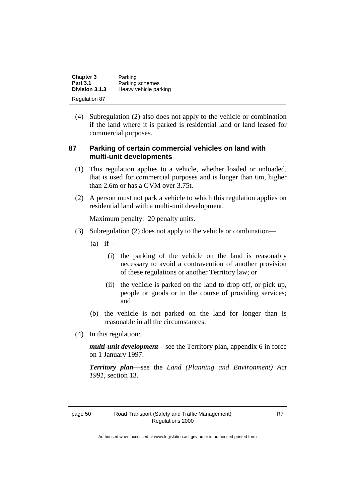| <b>Chapter 3</b> | Parking               |
|------------------|-----------------------|
| <b>Part 3.1</b>  | Parking schemes       |
| Division 3.1.3   | Heavy vehicle parking |
| Regulation 87    |                       |

(4) Subregulation (2) also does not apply to the vehicle or combination if the land where it is parked is residential land or land leased for commercial purposes.

#### **87 Parking of certain commercial vehicles on land with multi-unit developments**

- (1) This regulation applies to a vehicle, whether loaded or unloaded, that is used for commercial purposes and is longer than 6m, higher than 2.6m or has a GVM over 3.75t.
- (2) A person must not park a vehicle to which this regulation applies on residential land with a multi-unit development.

Maximum penalty: 20 penalty units.

- (3) Subregulation (2) does not apply to the vehicle or combination—
	- $(a)$  if—
		- (i) the parking of the vehicle on the land is reasonably necessary to avoid a contravention of another provision of these regulations or another Territory law; or
		- (ii) the vehicle is parked on the land to drop off, or pick up, people or goods or in the course of providing services; and
	- (b) the vehicle is not parked on the land for longer than is reasonable in all the circumstances.
- (4) In this regulation:

*multi-unit development*—see the Territory plan, appendix 6 in force on 1 January 1997.

*Territory plan*—see the *Land (Planning and Environment) Act 1991*, section 13.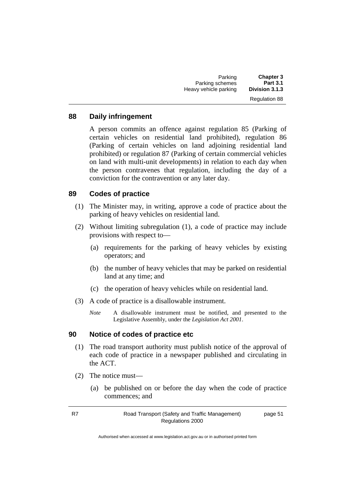| <b>Chapter 3</b>     | Parking               |
|----------------------|-----------------------|
| <b>Part 3.1</b>      | Parking schemes       |
| Division 3.1.3       | Heavy vehicle parking |
| <b>Regulation 88</b> |                       |

#### **88 Daily infringement**

A person commits an offence against regulation 85 (Parking of certain vehicles on residential land prohibited), regulation 86 (Parking of certain vehicles on land adjoining residential land prohibited) or regulation 87 (Parking of certain commercial vehicles on land with multi-unit developments) in relation to each day when the person contravenes that regulation, including the day of a conviction for the contravention or any later day.

#### **89 Codes of practice**

- (1) The Minister may, in writing, approve a code of practice about the parking of heavy vehicles on residential land.
- (2) Without limiting subregulation (1), a code of practice may include provisions with respect to—
	- (a) requirements for the parking of heavy vehicles by existing operators; and
	- (b) the number of heavy vehicles that may be parked on residential land at any time; and
	- (c) the operation of heavy vehicles while on residential land.
- (3) A code of practice is a disallowable instrument.
	- *Note* A disallowable instrument must be notified, and presented to the Legislative Assembly, under the *Legislation Act 2001*.

#### **90 Notice of codes of practice etc**

- (1) The road transport authority must publish notice of the approval of each code of practice in a newspaper published and circulating in the ACT.
- (2) The notice must—
	- (a) be published on or before the day when the code of practice commences; and

R7 Road Transport (Safety and Traffic Management) Regulations 2000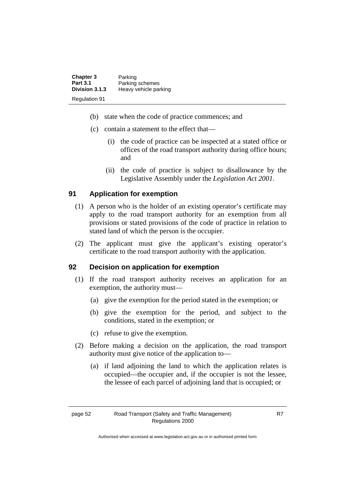| <b>Chapter 3</b>     | Parking               |
|----------------------|-----------------------|
| <b>Part 3.1</b>      | Parking schemes       |
| Division 3.1.3       | Heavy vehicle parking |
| <b>Regulation 91</b> |                       |

- (b) state when the code of practice commences; and
- (c) contain a statement to the effect that—
	- (i) the code of practice can be inspected at a stated office or offices of the road transport authority during office hours; and
	- (ii) the code of practice is subject to disallowance by the Legislative Assembly under the *Legislation Act 2001*.

## **91 Application for exemption**

- (1) A person who is the holder of an existing operator's certificate may apply to the road transport authority for an exemption from all provisions or stated provisions of the code of practice in relation to stated land of which the person is the occupier.
- (2) The applicant must give the applicant's existing operator's certificate to the road transport authority with the application.

## **92 Decision on application for exemption**

- (1) If the road transport authority receives an application for an exemption, the authority must—
	- (a) give the exemption for the period stated in the exemption; or
	- (b) give the exemption for the period, and subject to the conditions, stated in the exemption; or
	- (c) refuse to give the exemption.
- (2) Before making a decision on the application, the road transport authority must give notice of the application to—
	- (a) if land adjoining the land to which the application relates is occupied—the occupier and, if the occupier is not the lessee, the lessee of each parcel of adjoining land that is occupied; or

Authorised when accessed at www.legislation.act.gov.au or in authorised printed form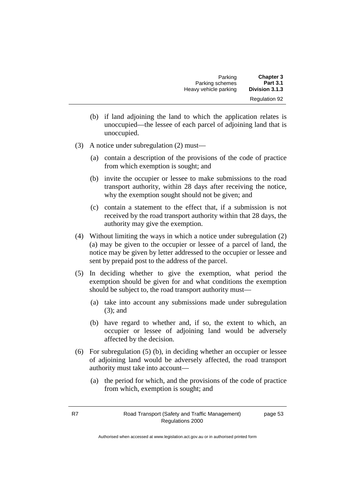| Parking               | <b>Chapter 3</b>     |
|-----------------------|----------------------|
| Parking schemes       | <b>Part 3.1</b>      |
| Heavy vehicle parking | Division 3.1.3       |
|                       | <b>Regulation 92</b> |

- (b) if land adjoining the land to which the application relates is unoccupied—the lessee of each parcel of adjoining land that is unoccupied.
- (3) A notice under subregulation (2) must—
	- (a) contain a description of the provisions of the code of practice from which exemption is sought; and
	- (b) invite the occupier or lessee to make submissions to the road transport authority, within 28 days after receiving the notice, why the exemption sought should not be given; and
	- (c) contain a statement to the effect that, if a submission is not received by the road transport authority within that 28 days, the authority may give the exemption.
- (4) Without limiting the ways in which a notice under subregulation (2) (a) may be given to the occupier or lessee of a parcel of land, the notice may be given by letter addressed to the occupier or lessee and sent by prepaid post to the address of the parcel.
- (5) In deciding whether to give the exemption, what period the exemption should be given for and what conditions the exemption should be subject to, the road transport authority must—
	- (a) take into account any submissions made under subregulation (3); and
	- (b) have regard to whether and, if so, the extent to which, an occupier or lessee of adjoining land would be adversely affected by the decision.
- (6) For subregulation (5) (b), in deciding whether an occupier or lessee of adjoining land would be adversely affected, the road transport authority must take into account—
	- (a) the period for which, and the provisions of the code of practice from which, exemption is sought; and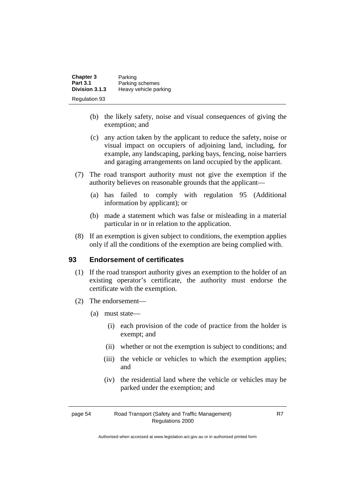| <b>Chapter 3</b> | Parking               |
|------------------|-----------------------|
| <b>Part 3.1</b>  | Parking schemes       |
| Division 3.1.3   | Heavy vehicle parking |
| Regulation 93    |                       |

- (b) the likely safety, noise and visual consequences of giving the exemption; and
- (c) any action taken by the applicant to reduce the safety, noise or visual impact on occupiers of adjoining land, including, for example, any landscaping, parking bays, fencing, noise barriers and garaging arrangements on land occupied by the applicant.
- (7) The road transport authority must not give the exemption if the authority believes on reasonable grounds that the applicant—
	- (a) has failed to comply with regulation 95 (Additional information by applicant); or
	- (b) made a statement which was false or misleading in a material particular in or in relation to the application.
- (8) If an exemption is given subject to conditions, the exemption applies only if all the conditions of the exemption are being complied with.

#### **93 Endorsement of certificates**

- (1) If the road transport authority gives an exemption to the holder of an existing operator's certificate, the authority must endorse the certificate with the exemption.
- (2) The endorsement—
	- (a) must state—
		- (i) each provision of the code of practice from the holder is exempt; and
		- (ii) whether or not the exemption is subject to conditions; and
		- (iii) the vehicle or vehicles to which the exemption applies; and
		- (iv) the residential land where the vehicle or vehicles may be parked under the exemption; and

R7

page 54 Road Transport (Safety and Traffic Management) Regulations 2000

Authorised when accessed at www.legislation.act.gov.au or in authorised printed form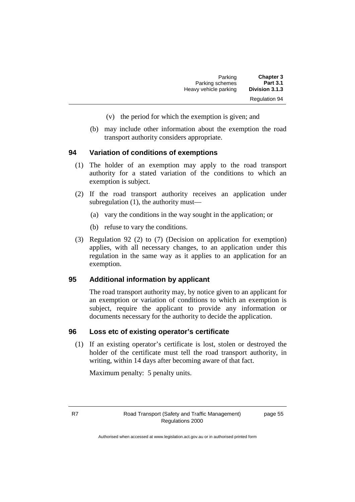| <b>Chapter 3</b>     | Parking               |
|----------------------|-----------------------|
| <b>Part 3.1</b>      | Parking schemes       |
| Division 3.1.3       | Heavy vehicle parking |
| <b>Regulation 94</b> |                       |

- (v) the period for which the exemption is given; and
- (b) may include other information about the exemption the road transport authority considers appropriate.

#### **94 Variation of conditions of exemptions**

- (1) The holder of an exemption may apply to the road transport authority for a stated variation of the conditions to which an exemption is subject.
- (2) If the road transport authority receives an application under subregulation (1), the authority must—
	- (a) vary the conditions in the way sought in the application; or
	- (b) refuse to vary the conditions.
- (3) Regulation 92 (2) to (7) (Decision on application for exemption) applies, with all necessary changes, to an application under this regulation in the same way as it applies to an application for an exemption.

#### **95 Additional information by applicant**

The road transport authority may, by notice given to an applicant for an exemption or variation of conditions to which an exemption is subject, require the applicant to provide any information or documents necessary for the authority to decide the application.

#### **96 Loss etc of existing operator's certificate**

(1) If an existing operator's certificate is lost, stolen or destroyed the holder of the certificate must tell the road transport authority, in writing, within 14 days after becoming aware of that fact.

Maximum penalty: 5 penalty units.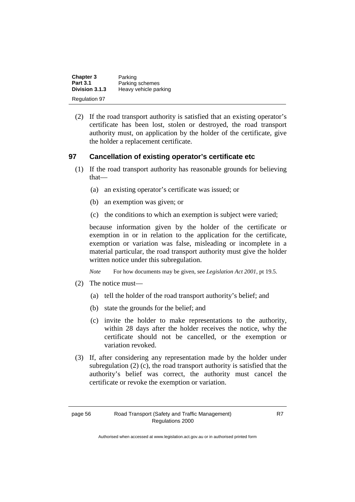| <b>Chapter 3</b>     | Parking               |
|----------------------|-----------------------|
| <b>Part 3.1</b>      | Parking schemes       |
| Division 3.1.3       | Heavy vehicle parking |
| <b>Regulation 97</b> |                       |

(2) If the road transport authority is satisfied that an existing operator's certificate has been lost, stolen or destroyed, the road transport authority must, on application by the holder of the certificate, give the holder a replacement certificate.

## **97 Cancellation of existing operator's certificate etc**

- (1) If the road transport authority has reasonable grounds for believing that—
	- (a) an existing operator's certificate was issued; or
	- (b) an exemption was given; or
	- (c) the conditions to which an exemption is subject were varied;

because information given by the holder of the certificate or exemption in or in relation to the application for the certificate, exemption or variation was false, misleading or incomplete in a material particular, the road transport authority must give the holder written notice under this subregulation.

*Note* For how documents may be given, see *Legislation Act 2001*, pt 19.5.

- (2) The notice must—
	- (a) tell the holder of the road transport authority's belief; and
	- (b) state the grounds for the belief; and
	- (c) invite the holder to make representations to the authority, within 28 days after the holder receives the notice, why the certificate should not be cancelled, or the exemption or variation revoked.
- (3) If, after considering any representation made by the holder under subregulation (2) (c), the road transport authority is satisfied that the authority's belief was correct, the authority must cancel the certificate or revoke the exemption or variation.

Authorised when accessed at www.legislation.act.gov.au or in authorised printed form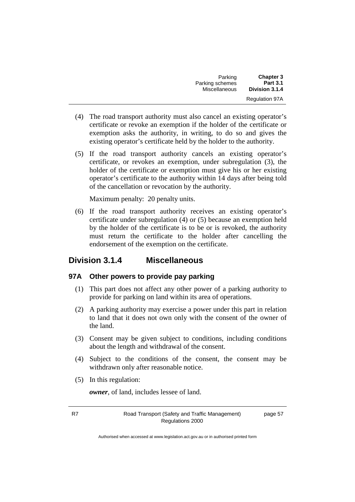| <b>Chapter 3</b>      | Parking              |
|-----------------------|----------------------|
| <b>Part 3.1</b>       | Parking schemes      |
| Division 3.1.4        | <b>Miscellaneous</b> |
| <b>Regulation 97A</b> |                      |

- (4) The road transport authority must also cancel an existing operator's certificate or revoke an exemption if the holder of the certificate or exemption asks the authority, in writing, to do so and gives the existing operator's certificate held by the holder to the authority.
- (5) If the road transport authority cancels an existing operator's certificate, or revokes an exemption, under subregulation (3), the holder of the certificate or exemption must give his or her existing operator's certificate to the authority within 14 days after being told of the cancellation or revocation by the authority.

Maximum penalty: 20 penalty units.

(6) If the road transport authority receives an existing operator's certificate under subregulation (4) or (5) because an exemption held by the holder of the certificate is to be or is revoked, the authority must return the certificate to the holder after cancelling the endorsement of the exemption on the certificate.

## **Division 3.1.4 Miscellaneous**

#### **97A Other powers to provide pay parking**

- (1) This part does not affect any other power of a parking authority to provide for parking on land within its area of operations.
- (2) A parking authority may exercise a power under this part in relation to land that it does not own only with the consent of the owner of the land.
- (3) Consent may be given subject to conditions, including conditions about the length and withdrawal of the consent.
- (4) Subject to the conditions of the consent, the consent may be withdrawn only after reasonable notice.
- (5) In this regulation:

*owner*, of land, includes lessee of land.

R7 Road Transport (Safety and Traffic Management) Regulations 2000

page 57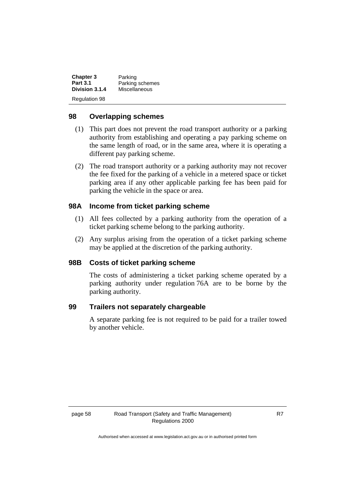| <b>Chapter 3</b>     | Parking              |
|----------------------|----------------------|
| <b>Part 3.1</b>      | Parking schemes      |
| Division 3.1.4       | <b>Miscellaneous</b> |
| <b>Regulation 98</b> |                      |

#### **98 Overlapping schemes**

- (1) This part does not prevent the road transport authority or a parking authority from establishing and operating a pay parking scheme on the same length of road, or in the same area, where it is operating a different pay parking scheme.
- (2) The road transport authority or a parking authority may not recover the fee fixed for the parking of a vehicle in a metered space or ticket parking area if any other applicable parking fee has been paid for parking the vehicle in the space or area.

#### **98A Income from ticket parking scheme**

- (1) All fees collected by a parking authority from the operation of a ticket parking scheme belong to the parking authority.
- (2) Any surplus arising from the operation of a ticket parking scheme may be applied at the discretion of the parking authority.

#### **98B Costs of ticket parking scheme**

The costs of administering a ticket parking scheme operated by a parking authority under regulation 76A are to be borne by the parking authority.

#### **99 Trailers not separately chargeable**

A separate parking fee is not required to be paid for a trailer towed by another vehicle.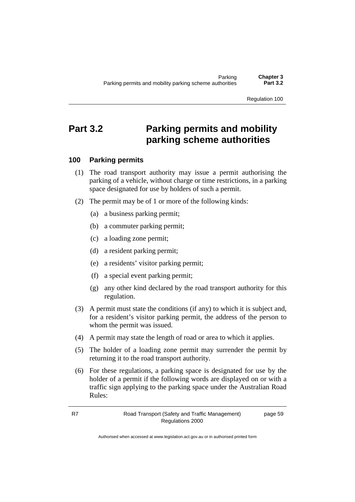# **Part 3.2 Parking permits and mobility parking scheme authorities**

#### **100 Parking permits**

- (1) The road transport authority may issue a permit authorising the parking of a vehicle, without charge or time restrictions, in a parking space designated for use by holders of such a permit.
- (2) The permit may be of 1 or more of the following kinds:
	- (a) a business parking permit;
	- (b) a commuter parking permit;
	- (c) a loading zone permit;
	- (d) a resident parking permit;
	- (e) a residents' visitor parking permit;
	- (f) a special event parking permit;
	- (g) any other kind declared by the road transport authority for this regulation.
- (3) A permit must state the conditions (if any) to which it is subject and, for a resident's visitor parking permit, the address of the person to whom the permit was issued.
- (4) A permit may state the length of road or area to which it applies.
- (5) The holder of a loading zone permit may surrender the permit by returning it to the road transport authority.
- (6) For these regulations, a parking space is designated for use by the holder of a permit if the following words are displayed on or with a traffic sign applying to the parking space under the Australian Road Rules: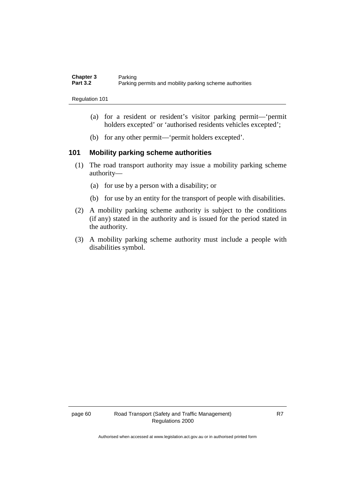| Chapter 3       | Parking                                                 |
|-----------------|---------------------------------------------------------|
| <b>Part 3.2</b> | Parking permits and mobility parking scheme authorities |

- (a) for a resident or resident's visitor parking permit—'permit holders excepted' or 'authorised residents vehicles excepted';
- (b) for any other permit—'permit holders excepted'.

#### **101 Mobility parking scheme authorities**

- (1) The road transport authority may issue a mobility parking scheme authority—
	- (a) for use by a person with a disability; or
	- (b) for use by an entity for the transport of people with disabilities.
- (2) A mobility parking scheme authority is subject to the conditions (if any) stated in the authority and is issued for the period stated in the authority.
- (3) A mobility parking scheme authority must include a people with disabilities symbol.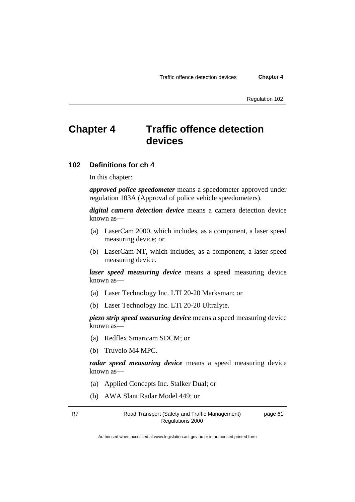# **Chapter 4 Traffic offence detection devices**

#### **102 Definitions for ch 4**

In this chapter:

*approved police speedometer* means a speedometer approved under regulation 103A (Approval of police vehicle speedometers).

*digital camera detection device* means a camera detection device known as—

- (a) LaserCam 2000, which includes, as a component, a laser speed measuring device; or
- (b) LaserCam NT, which includes, as a component, a laser speed measuring device.

*laser speed measuring device* means a speed measuring device known as—

- (a) Laser Technology Inc. LTI 20-20 Marksman; or
- (b) Laser Technology Inc. LTI 20-20 Ultralyte.

*piezo strip speed measuring device* means a speed measuring device known as—

- (a) Redflex Smartcam SDCM; or
- (b) Truvelo M4 MPC.

*radar speed measuring device* means a speed measuring device known as—

- (a) Applied Concepts Inc. Stalker Dual; or
- (b) AWA Slant Radar Model 449; or

R7 Road Transport (Safety and Traffic Management) Regulations 2000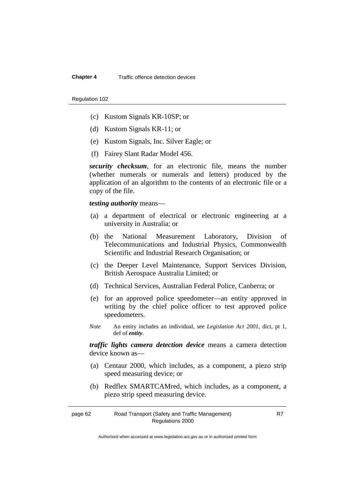- (c) Kustom Signals KR-10SP; or
- (d) Kustom Signals KR-11; or
- (e) Kustom Signals, Inc. Silver Eagle; or
- (f) Fairey Slant Radar Model 456.

*security checksum*, for an electronic file, means the number (whether numerals or numerals and letters) produced by the application of an algorithm to the contents of an electronic file or a copy of the file.

*testing authority* means—

- (a) a department of electrical or electronic engineering at a university in Australia; or
- (b) the National Measurement Laboratory, Division of Telecommunications and Industrial Physics, Commonwealth Scientific and Industrial Research Organisation; or
- (c) the Deeper Level Maintenance, Support Services Division, British Aerospace Australia Limited; or
- (d) Technical Services, Australian Federal Police, Canberra; or
- (e) for an approved police speedometer—an entity approved in writing by the chief police officer to test approved police speedometers.
- *Note* An entity includes an individual, see *Legislation Act 2001*, dict, pt 1, def of *entity*.

*traffic lights camera detection device* means a camera detection device known as—

- (a) Centaur 2000, which includes, as a component, a piezo strip speed measuring device; or
- (b) Redflex SMARTCAMred, which includes, as a component, a piezo strip speed measuring device.

| page 62 | Road Transport (Safety and Traffic Management) |
|---------|------------------------------------------------|
|         | Regulations 2000                               |

R7

Authorised when accessed at www.legislation.act.gov.au or in authorised printed form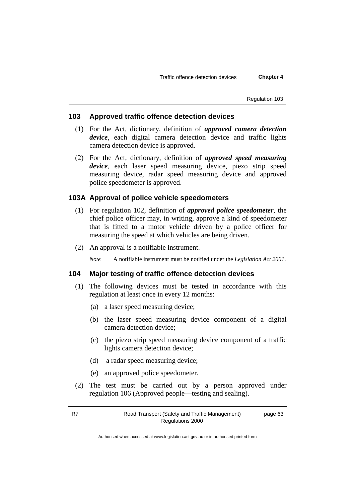#### **103 Approved traffic offence detection devices**

- (1) For the Act, dictionary, definition of *approved camera detection device*, each digital camera detection device and traffic lights camera detection device is approved.
- (2) For the Act, dictionary, definition of *approved speed measuring device*, each laser speed measuring device, piezo strip speed measuring device, radar speed measuring device and approved police speedometer is approved.

#### **103A Approval of police vehicle speedometers**

- (1) For regulation 102, definition of *approved police speedometer*, the chief police officer may, in writing, approve a kind of speedometer that is fitted to a motor vehicle driven by a police officer for measuring the speed at which vehicles are being driven.
- (2) An approval is a notifiable instrument.

*Note* A notifiable instrument must be notified under the *Legislation Act 2001*.

#### **104 Major testing of traffic offence detection devices**

- (1) The following devices must be tested in accordance with this regulation at least once in every 12 months:
	- (a) a laser speed measuring device;
	- (b) the laser speed measuring device component of a digital camera detection device;
	- (c) the piezo strip speed measuring device component of a traffic lights camera detection device;
	- (d) a radar speed measuring device;
	- (e) an approved police speedometer.
- (2) The test must be carried out by a person approved under regulation 106 (Approved people—testing and sealing).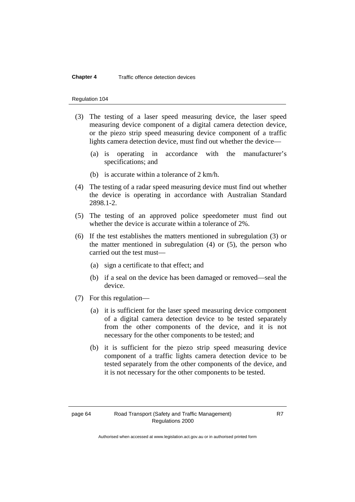## **Chapter 4** Traffic offence detection devices

#### Regulation 104

- (3) The testing of a laser speed measuring device, the laser speed measuring device component of a digital camera detection device, or the piezo strip speed measuring device component of a traffic lights camera detection device, must find out whether the device—
	- (a) is operating in accordance with the manufacturer's specifications; and
	- (b) is accurate within a tolerance of 2 km/h.
- (4) The testing of a radar speed measuring device must find out whether the device is operating in accordance with Australian Standard 2898.1-2.
- (5) The testing of an approved police speedometer must find out whether the device is accurate within a tolerance of 2%.
- (6) If the test establishes the matters mentioned in subregulation (3) or the matter mentioned in subregulation  $(4)$  or  $(5)$ , the person who carried out the test must—
	- (a) sign a certificate to that effect; and
	- (b) if a seal on the device has been damaged or removed—seal the device.
- (7) For this regulation—
	- (a) it is sufficient for the laser speed measuring device component of a digital camera detection device to be tested separately from the other components of the device, and it is not necessary for the other components to be tested; and
	- (b) it is sufficient for the piezo strip speed measuring device component of a traffic lights camera detection device to be tested separately from the other components of the device, and it is not necessary for the other components to be tested.

Authorised when accessed at www.legislation.act.gov.au or in authorised printed form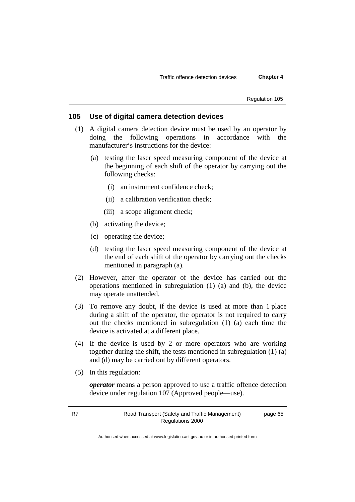## **105 Use of digital camera detection devices**

- (1) A digital camera detection device must be used by an operator by doing the following operations in accordance with the manufacturer's instructions for the device:
	- (a) testing the laser speed measuring component of the device at the beginning of each shift of the operator by carrying out the following checks:
		- (i) an instrument confidence check;
		- (ii) a calibration verification check;
		- (iii) a scope alignment check;
	- (b) activating the device;
	- (c) operating the device;
	- (d) testing the laser speed measuring component of the device at the end of each shift of the operator by carrying out the checks mentioned in paragraph (a).
- (2) However, after the operator of the device has carried out the operations mentioned in subregulation (1) (a) and (b), the device may operate unattended.
- (3) To remove any doubt, if the device is used at more than 1 place during a shift of the operator, the operator is not required to carry out the checks mentioned in subregulation (1) (a) each time the device is activated at a different place.
- (4) If the device is used by 2 or more operators who are working together during the shift, the tests mentioned in subregulation (1) (a) and (d) may be carried out by different operators.
- (5) In this regulation:

*operator* means a person approved to use a traffic offence detection device under regulation 107 (Approved people—use).

page 65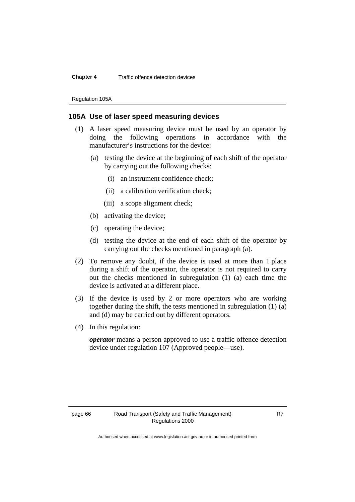## **Chapter 4** Traffic offence detection devices

Regulation 105A

## **105A Use of laser speed measuring devices**

- (1) A laser speed measuring device must be used by an operator by doing the following operations in accordance with the manufacturer's instructions for the device:
	- (a) testing the device at the beginning of each shift of the operator by carrying out the following checks:
		- (i) an instrument confidence check;
		- (ii) a calibration verification check;
		- (iii) a scope alignment check;
	- (b) activating the device;
	- (c) operating the device;
	- (d) testing the device at the end of each shift of the operator by carrying out the checks mentioned in paragraph (a).
- (2) To remove any doubt, if the device is used at more than 1 place during a shift of the operator, the operator is not required to carry out the checks mentioned in subregulation (1) (a) each time the device is activated at a different place.
- (3) If the device is used by 2 or more operators who are working together during the shift, the tests mentioned in subregulation (1) (a) and (d) may be carried out by different operators.
- (4) In this regulation:

*operator* means a person approved to use a traffic offence detection device under regulation 107 (Approved people—use).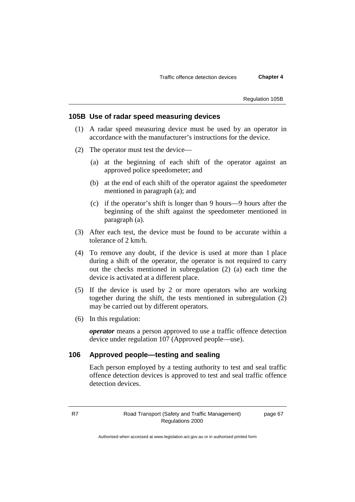Regulation 105B

## **105B Use of radar speed measuring devices**

- (1) A radar speed measuring device must be used by an operator in accordance with the manufacturer's instructions for the device.
- (2) The operator must test the device—
	- (a) at the beginning of each shift of the operator against an approved police speedometer; and
	- (b) at the end of each shift of the operator against the speedometer mentioned in paragraph (a); and
	- (c) if the operator's shift is longer than 9 hours—9 hours after the beginning of the shift against the speedometer mentioned in paragraph (a).
- (3) After each test, the device must be found to be accurate within a tolerance of 2 km/h.
- (4) To remove any doubt, if the device is used at more than 1 place during a shift of the operator, the operator is not required to carry out the checks mentioned in subregulation (2) (a) each time the device is activated at a different place.
- (5) If the device is used by 2 or more operators who are working together during the shift, the tests mentioned in subregulation (2) may be carried out by different operators.
- (6) In this regulation:

*operator* means a person approved to use a traffic offence detection device under regulation 107 (Approved people—use).

## **106 Approved people—testing and sealing**

Each person employed by a testing authority to test and seal traffic offence detection devices is approved to test and seal traffic offence detection devices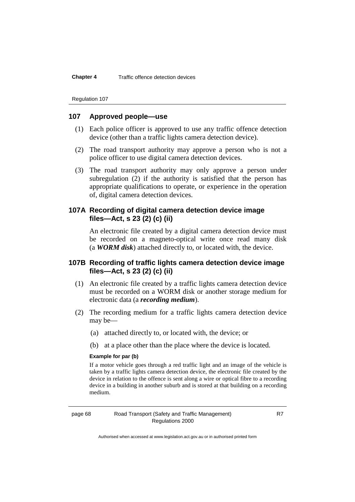**Chapter 4** Traffic offence detection devices

Regulation 107

## **107 Approved people—use**

- (1) Each police officer is approved to use any traffic offence detection device (other than a traffic lights camera detection device).
- (2) The road transport authority may approve a person who is not a police officer to use digital camera detection devices.
- (3) The road transport authority may only approve a person under subregulation (2) if the authority is satisfied that the person has appropriate qualifications to operate, or experience in the operation of, digital camera detection devices.

## **107A Recording of digital camera detection device image files—Act, s 23 (2) (c) (ii)**

An electronic file created by a digital camera detection device must be recorded on a magneto-optical write once read many disk (a *WORM disk*) attached directly to, or located with, the device.

## **107B Recording of traffic lights camera detection device image files—Act, s 23 (2) (c) (ii)**

- (1) An electronic file created by a traffic lights camera detection device must be recorded on a WORM disk or another storage medium for electronic data (a *recording medium*).
- (2) The recording medium for a traffic lights camera detection device may be—
	- (a) attached directly to, or located with, the device; or
	- (b) at a place other than the place where the device is located.

## **Example for par (b)**

If a motor vehicle goes through a red traffic light and an image of the vehicle is taken by a traffic lights camera detection device, the electronic file created by the device in relation to the offence is sent along a wire or optical fibre to a recording device in a building in another suburb and is stored at that building on a recording medium.

## page 68 Road Transport (Safety and Traffic Management) Regulations 2000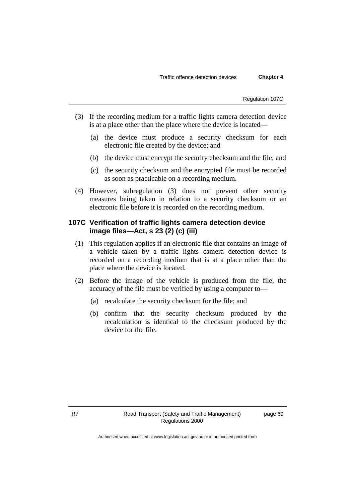Regulation 107C

- (3) If the recording medium for a traffic lights camera detection device is at a place other than the place where the device is located—
	- (a) the device must produce a security checksum for each electronic file created by the device; and
	- (b) the device must encrypt the security checksum and the file; and
	- (c) the security checksum and the encrypted file must be recorded as soon as practicable on a recording medium.
- (4) However, subregulation (3) does not prevent other security measures being taken in relation to a security checksum or an electronic file before it is recorded on the recording medium.

## **107C Verification of traffic lights camera detection device image files—Act, s 23 (2) (c) (iii)**

- (1) This regulation applies if an electronic file that contains an image of a vehicle taken by a traffic lights camera detection device is recorded on a recording medium that is at a place other than the place where the device is located.
- (2) Before the image of the vehicle is produced from the file, the accuracy of the file must be verified by using a computer to—
	- (a) recalculate the security checksum for the file; and
	- (b) confirm that the security checksum produced by the recalculation is identical to the checksum produced by the device for the file.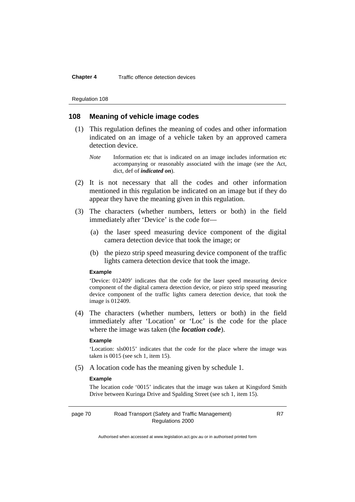Regulation 108

## **108 Meaning of vehicle image codes**

- (1) This regulation defines the meaning of codes and other information indicated on an image of a vehicle taken by an approved camera detection device.
	- *Note* Information etc that is indicated on an image includes information etc accompanying or reasonably associated with the image (see the Act, dict, def of *indicated on*).
- (2) It is not necessary that all the codes and other information mentioned in this regulation be indicated on an image but if they do appear they have the meaning given in this regulation.
- (3) The characters (whether numbers, letters or both) in the field immediately after 'Device' is the code for—
	- (a) the laser speed measuring device component of the digital camera detection device that took the image; or
	- (b) the piezo strip speed measuring device component of the traffic lights camera detection device that took the image.

## **Example**

'Device: 012409' indicates that the code for the laser speed measuring device component of the digital camera detection device, or piezo strip speed measuring device component of the traffic lights camera detection device, that took the image is 012409.

(4) The characters (whether numbers, letters or both) in the field immediately after 'Location' or 'Loc' is the code for the place where the image was taken (the *location code*).

#### **Example**

'Location: sls0015' indicates that the code for the place where the image was taken is 0015 (see sch 1, item 15).

(5) A location code has the meaning given by schedule 1.

## **Example**

The location code '0015' indicates that the image was taken at Kingsford Smith Drive between Kuringa Drive and Spalding Street (see sch 1, item 15).

## page 70 Road Transport (Safety and Traffic Management) Regulations 2000

R7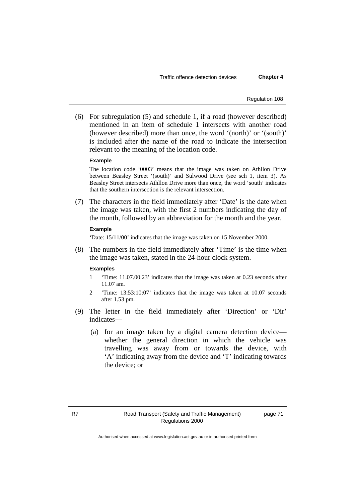Traffic offence detection devices **Chapter 4**

Regulation 108

(6) For subregulation (5) and schedule 1, if a road (however described) mentioned in an item of schedule 1 intersects with another road (however described) more than once, the word '(north)' or '(south)' is included after the name of the road to indicate the intersection relevant to the meaning of the location code.

## **Example**

The location code '0003' means that the image was taken on Athllon Drive between Beasley Street '(south)' and Sulwood Drive (see sch 1, item 3). As Beasley Street intersects Athllon Drive more than once, the word 'south' indicates that the southern intersection is the relevant intersection.

(7) The characters in the field immediately after 'Date' is the date when the image was taken, with the first 2 numbers indicating the day of the month, followed by an abbreviation for the month and the year.

#### **Example**

'Date: 15/11/00' indicates that the image was taken on 15 November 2000.

(8) The numbers in the field immediately after 'Time' is the time when the image was taken, stated in the 24-hour clock system.

#### **Examples**

- 1 'Time: 11.07.00.23' indicates that the image was taken at 0.23 seconds after 11.07 am.
- 2 'Time: 13:53:10:07' indicates that the image was taken at 10.07 seconds after 1.53 pm.
- (9) The letter in the field immediately after 'Direction' or 'Dir' indicates—
	- (a) for an image taken by a digital camera detection device whether the general direction in which the vehicle was travelling was away from or towards the device, with 'A' indicating away from the device and 'T' indicating towards the device; or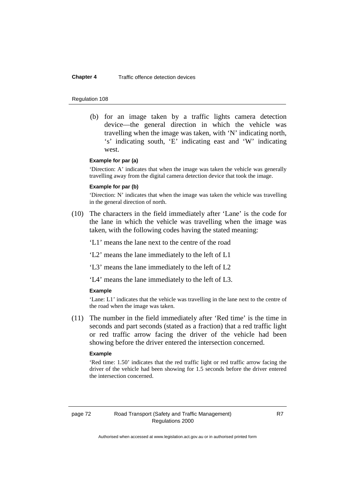#### **Chapter 4** Traffic offence detection devices

#### Regulation 108

(b) for an image taken by a traffic lights camera detection device—the general direction in which the vehicle was travelling when the image was taken, with 'N' indicating north, 's' indicating south, 'E' indicating east and 'W' indicating west.

## **Example for par (a)**

'Direction: A' indicates that when the image was taken the vehicle was generally travelling away from the digital camera detection device that took the image.

#### **Example for par (b)**

'Direction: N' indicates that when the image was taken the vehicle was travelling in the general direction of north.

(10) The characters in the field immediately after 'Lane' is the code for the lane in which the vehicle was travelling when the image was taken, with the following codes having the stated meaning:

'L1' means the lane next to the centre of the road

'L2' means the lane immediately to the left of L1

'L3' means the lane immediately to the left of L2

'L4' means the lane immediately to the left of L3.

#### **Example**

'Lane: L1' indicates that the vehicle was travelling in the lane next to the centre of the road when the image was taken.

(11) The number in the field immediately after 'Red time' is the time in seconds and part seconds (stated as a fraction) that a red traffic light or red traffic arrow facing the driver of the vehicle had been showing before the driver entered the intersection concerned.

### **Example**

'Red time: 1.50' indicates that the red traffic light or red traffic arrow facing the driver of the vehicle had been showing for 1.5 seconds before the driver entered the intersection concerned.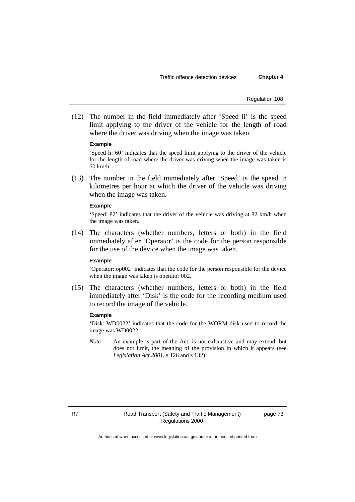Regulation 108

(12) The number in the field immediately after 'Speed li' is the speed limit applying to the driver of the vehicle for the length of road where the driver was driving when the image was taken.

#### **Example**

'Speed li: 60' indicates that the speed limit applying to the driver of the vehicle for the length of road where the driver was driving when the image was taken is 60 km/h.

(13) The number in the field immediately after 'Speed' is the speed in kilometres per hour at which the driver of the vehicle was driving when the image was taken.

#### **Example**

'Speed: 82' indicates that the driver of the vehicle was driving at 82 km/h when the image was taken.

(14) The characters (whether numbers, letters or both) in the field immediately after 'Operator' is the code for the person responsible for the use of the device when the image was taken.

## **Example**

'Operator: op002' indicates that the code for the person responsible for the device when the image was taken is operator 002.

(15) The characters (whether numbers, letters or both) in the field immediately after 'Disk' is the code for the recording medium used to record the image of the vehicle.

## **Example**

'Disk: WD0022' indicates that the code for the WORM disk used to record the image was WD0022.

*Note* An example is part of the Act, is not exhaustive and may extend, but does not limit, the meaning of the provision in which it appears (see *Legislation Act 2001*, s 126 and s 132).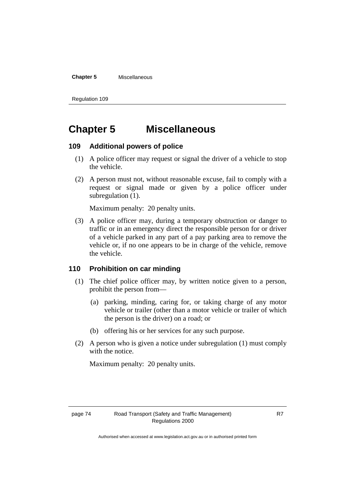### **Chapter 5** Miscellaneous

Regulation 109

# **Chapter 5 Miscellaneous**

## **109 Additional powers of police**

- (1) A police officer may request or signal the driver of a vehicle to stop the vehicle.
- (2) A person must not, without reasonable excuse, fail to comply with a request or signal made or given by a police officer under subregulation  $(1)$ .

Maximum penalty: 20 penalty units.

(3) A police officer may, during a temporary obstruction or danger to traffic or in an emergency direct the responsible person for or driver of a vehicle parked in any part of a pay parking area to remove the vehicle or, if no one appears to be in charge of the vehicle, remove the vehicle.

## **110 Prohibition on car minding**

- (1) The chief police officer may, by written notice given to a person, prohibit the person from—
	- (a) parking, minding, caring for, or taking charge of any motor vehicle or trailer (other than a motor vehicle or trailer of which the person is the driver) on a road; or
	- (b) offering his or her services for any such purpose.
- (2) A person who is given a notice under subregulation (1) must comply with the notice.

Maximum penalty: 20 penalty units.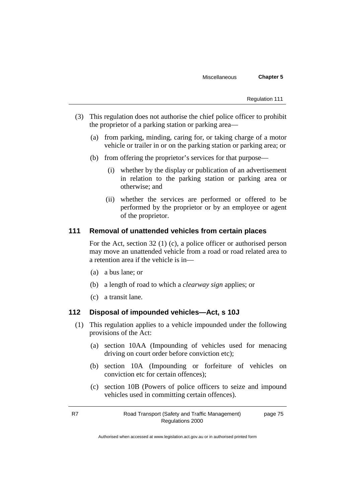- (3) This regulation does not authorise the chief police officer to prohibit the proprietor of a parking station or parking area—
	- (a) from parking, minding, caring for, or taking charge of a motor vehicle or trailer in or on the parking station or parking area; or
	- (b) from offering the proprietor's services for that purpose—
		- (i) whether by the display or publication of an advertisement in relation to the parking station or parking area or otherwise; and
		- (ii) whether the services are performed or offered to be performed by the proprietor or by an employee or agent of the proprietor.

## **111 Removal of unattended vehicles from certain places**

For the Act, section 32 (1) (c), a police officer or authorised person may move an unattended vehicle from a road or road related area to a retention area if the vehicle is in—

- (a) a bus lane; or
- (b) a length of road to which a *clearway sign* applies; or
- (c) a transit lane.

## **112 Disposal of impounded vehicles—Act, s 10J**

- (1) This regulation applies to a vehicle impounded under the following provisions of the Act:
	- (a) section 10AA (Impounding of vehicles used for menacing driving on court order before conviction etc);
	- (b) section 10A (Impounding or forfeiture of vehicles on conviction etc for certain offences);
	- (c) section 10B (Powers of police officers to seize and impound vehicles used in committing certain offences).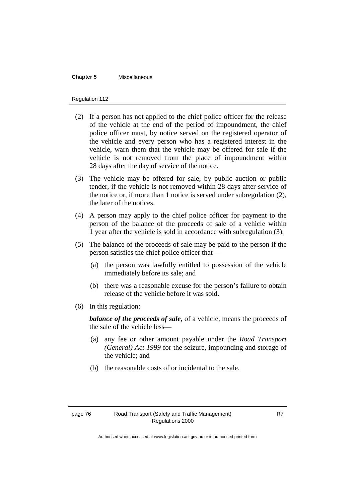#### **Chapter 5** Miscellaneous

#### Regulation 112

- (2) If a person has not applied to the chief police officer for the release of the vehicle at the end of the period of impoundment, the chief police officer must, by notice served on the registered operator of the vehicle and every person who has a registered interest in the vehicle, warn them that the vehicle may be offered for sale if the vehicle is not removed from the place of impoundment within 28 days after the day of service of the notice.
- (3) The vehicle may be offered for sale, by public auction or public tender, if the vehicle is not removed within 28 days after service of the notice or, if more than 1 notice is served under subregulation (2), the later of the notices.
- (4) A person may apply to the chief police officer for payment to the person of the balance of the proceeds of sale of a vehicle within 1 year after the vehicle is sold in accordance with subregulation (3).
- (5) The balance of the proceeds of sale may be paid to the person if the person satisfies the chief police officer that—
	- (a) the person was lawfully entitled to possession of the vehicle immediately before its sale; and
	- (b) there was a reasonable excuse for the person's failure to obtain release of the vehicle before it was sold.
- (6) In this regulation:

*balance of the proceeds of sale*, of a vehicle, means the proceeds of the sale of the vehicle less—

- (a) any fee or other amount payable under the *Road Transport (General) Act 1999* for the seizure, impounding and storage of the vehicle; and
- (b) the reasonable costs of or incidental to the sale.

Authorised when accessed at www.legislation.act.gov.au or in authorised printed form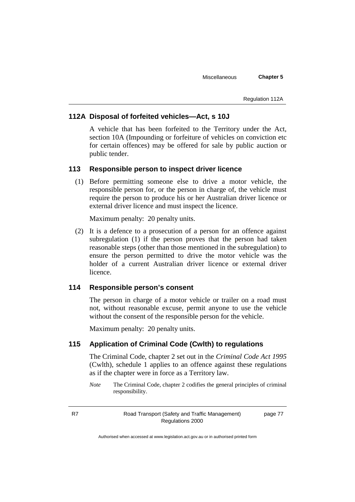#### Regulation 112A

## **112A Disposal of forfeited vehicles—Act, s 10J**

A vehicle that has been forfeited to the Territory under the Act, section 10A (Impounding or forfeiture of vehicles on conviction etc for certain offences) may be offered for sale by public auction or public tender.

## **113 Responsible person to inspect driver licence**

(1) Before permitting someone else to drive a motor vehicle, the responsible person for, or the person in charge of, the vehicle must require the person to produce his or her Australian driver licence or external driver licence and must inspect the licence.

Maximum penalty: 20 penalty units.

(2) It is a defence to a prosecution of a person for an offence against subregulation (1) if the person proves that the person had taken reasonable steps (other than those mentioned in the subregulation) to ensure the person permitted to drive the motor vehicle was the holder of a current Australian driver licence or external driver licence.

## **114 Responsible person's consent**

The person in charge of a motor vehicle or trailer on a road must not, without reasonable excuse, permit anyone to use the vehicle without the consent of the responsible person for the vehicle.

Maximum penalty: 20 penalty units.

## **115 Application of Criminal Code (Cwlth) to regulations**

The Criminal Code, chapter 2 set out in the *Criminal Code Act 1995* (Cwlth), schedule 1 applies to an offence against these regulations as if the chapter were in force as a Territory law.

*Note* The Criminal Code, chapter 2 codifies the general principles of criminal responsibility.

R7 Road Transport (Safety and Traffic Management) Regulations 2000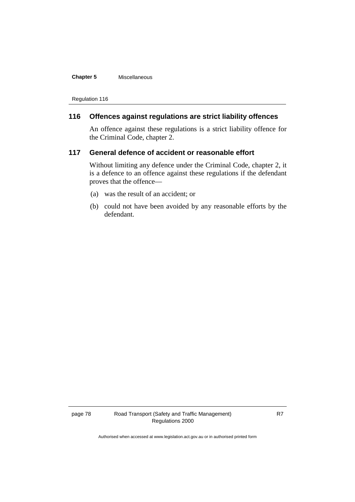### **Chapter 5** Miscellaneous

Regulation 116

## **116 Offences against regulations are strict liability offences**

An offence against these regulations is a strict liability offence for the Criminal Code, chapter 2.

## **117 General defence of accident or reasonable effort**

Without limiting any defence under the Criminal Code, chapter 2, it is a defence to an offence against these regulations if the defendant proves that the offence—

- (a) was the result of an accident; or
- (b) could not have been avoided by any reasonable efforts by the defendant.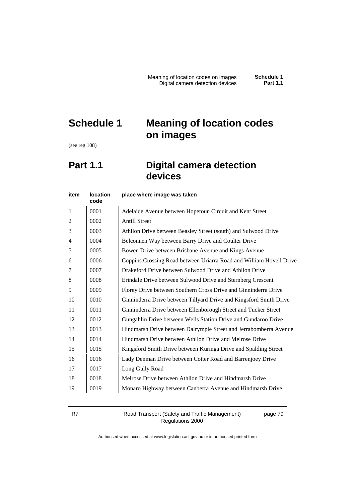# **Schedule 1 Meaning of location codes on images**

(see reg 108)

# **Part 1.1 Digital camera detection devices**

| item           | <b>location</b><br>code | place where image was taken                                         |
|----------------|-------------------------|---------------------------------------------------------------------|
| $\mathbf{1}$   | 0001                    | Adelaide Avenue between Hopetoun Circuit and Kent Street            |
| $\overline{2}$ | 0002                    | <b>Antill Street</b>                                                |
| 3              | 0003                    | Athllon Drive between Beasley Street (south) and Sulwood Drive      |
| 4              | 0004                    | Belconnen Way between Barry Drive and Coulter Drive                 |
| 5              | 0005                    | Bowen Drive between Brisbane Avenue and Kings Avenue                |
| 6              | 0006                    | Coppins Crossing Road between Uriarra Road and William Hovell Drive |
| 7              | 0007                    | Drakeford Drive between Sulwood Drive and Athllon Drive             |
| 8              | 0008                    | Erindale Drive between Sulwood Drive and Sternberg Crescent         |
| 9              | 0009                    | Florey Drive between Southern Cross Drive and Ginninderra Drive     |
| 10             | 0010                    | Ginninderra Drive between Tillyard Drive and Kingsford Smith Drive  |
| 11             | 0011                    | Ginninderra Drive between Ellenborough Street and Tucker Street     |
| 12             | 0012                    | Gungahlin Drive between Wells Station Drive and Gundaroo Drive      |
| 13             | 0013                    | Hindmarsh Drive between Dalrymple Street and Jerrabomberra Avenue   |
| 14             | 0014                    | Hindmarsh Drive between Athllon Drive and Melrose Drive             |
| 15             | 0015                    | Kingsford Smith Drive between Kuringa Drive and Spalding Street     |
| 16             | 0016                    | Lady Denman Drive between Cotter Road and Barrenjoey Drive          |
| 17             | 0017                    | Long Gully Road                                                     |
| 18             | 0018                    | Melrose Drive between Athllon Drive and Hindmarsh Drive             |
| 19             | 0019                    | Monaro Highway between Canberra Avenue and Hindmarsh Drive          |
|                |                         |                                                                     |

R7 Road Transport (Safety and Traffic Management) Regulations 2000

page 79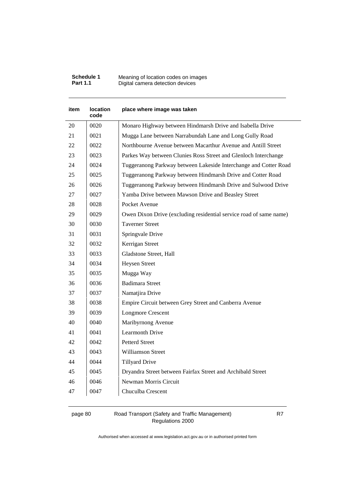| Schedule 1      | Meaning of location codes on images |
|-----------------|-------------------------------------|
| <b>Part 1.1</b> | Digital camera detection devices    |

| item | location<br>code | place where image was taken                                        |
|------|------------------|--------------------------------------------------------------------|
| 20   | 0020             | Monaro Highway between Hindmarsh Drive and Isabella Drive          |
| 21   | 0021             | Mugga Lane between Narrabundah Lane and Long Gully Road            |
| 22   | 0022             | Northbourne Avenue between Macarthur Avenue and Antill Street      |
| 23   | 0023             | Parkes Way between Clunies Ross Street and Glenloch Interchange    |
| 24   | 0024             | Tuggeranong Parkway between Lakeside Interchange and Cotter Road   |
| 25   | 0025             | Tuggeranong Parkway between Hindmarsh Drive and Cotter Road        |
| 26   | 0026             | Tuggeranong Parkway between Hindmarsh Drive and Sulwood Drive      |
| 27   | 0027             | Yamba Drive between Mawson Drive and Beasley Street                |
| 28   | 0028             | Pocket Avenue                                                      |
| 29   | 0029             | Owen Dixon Drive (excluding residential service road of same name) |
| 30   | 0030             | <b>Taverner Street</b>                                             |
| 31   | 0031             | Springvale Drive                                                   |
| 32   | 0032             | Kerrigan Street                                                    |
| 33   | 0033             | Gladstone Street, Hall                                             |
| 34   | 0034             | <b>Heysen Street</b>                                               |
| 35   | 0035             | Mugga Way                                                          |
| 36   | 0036             | <b>Badimara Street</b>                                             |
| 37   | 0037             | Namatjira Drive                                                    |
| 38   | 0038             | Empire Circuit between Grey Street and Canberra Avenue             |
| 39   | 0039             | <b>Longmore Crescent</b>                                           |
| 40   | 0040             | Maribyrnong Avenue                                                 |
| 41   | 0041             | <b>Learmonth Drive</b>                                             |
| 42   | 0042             | Petterd Street                                                     |
| 43   | 0043             | <b>Williamson Street</b>                                           |
| 44   | 0044             | <b>Tillyard Drive</b>                                              |
| 45   | 0045             | Dryandra Street between Fairfax Street and Archibald Street        |
| 46   | 0046             | Newman Morris Circuit                                              |
| 47   | 0047             | Chuculba Crescent                                                  |

page 80 Road Transport (Safety and Traffic Management) Regulations 2000

R7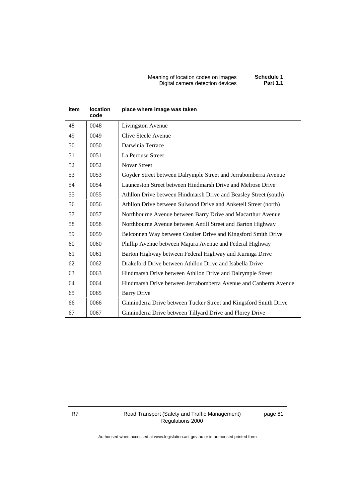#### Meaning of location codes on images **Schedule 1** Digital camera detection devices **Part 1.1**

| Schedule 1      |  |
|-----------------|--|
| <b>Part 1.1</b> |  |

| <b>item</b> | <b>location</b><br>code | place where image was taken                                       |
|-------------|-------------------------|-------------------------------------------------------------------|
| 48          | 0048                    | Livingston Avenue                                                 |
| 49          | 0049                    | Clive Steele Avenue                                               |
| 50          | 0050                    | Darwinia Terrace                                                  |
| 51          | 0051                    | La Perouse Street                                                 |
| 52          | 0052                    | <b>Novar Street</b>                                               |
| 53          | 0053                    | Goyder Street between Dalrymple Street and Jerrabomberra Avenue   |
| 54          | 0054                    | Launceston Street between Hindmarsh Drive and Melrose Drive       |
| 55          | 0055                    | Athllon Drive between Hindmarsh Drive and Beasley Street (south)  |
| 56          | 0056                    | Athllon Drive between Sulwood Drive and Anketell Street (north)   |
| 57          | 0057                    | Northbourne Avenue between Barry Drive and Macarthur Avenue       |
| 58          | 0058                    | Northbourne Avenue between Antill Street and Barton Highway       |
| 59          | 0059                    | Belconnen Way between Coulter Drive and Kingsford Smith Drive     |
| 60          | 0060                    | Phillip Avenue between Majura Avenue and Federal Highway          |
| 61          | 0061                    | Barton Highway between Federal Highway and Kuringa Drive          |
| 62          | 0062                    | Drakeford Drive between Athllon Drive and Isabella Drive          |
| 63          | 0063                    | Hindmarsh Drive between Athllon Drive and Dalrymple Street        |
| 64          | 0064                    | Hindmarsh Drive between Jerrabomberra Avenue and Canberra Avenue  |
| 65          | 0065                    | <b>Barry Drive</b>                                                |
| 66          | 0066                    | Ginninderra Drive between Tucker Street and Kingsford Smith Drive |
| 67          | 0067                    | Ginninderra Drive between Tillyard Drive and Florey Drive         |

R7 Road Transport (Safety and Traffic Management) Regulations 2000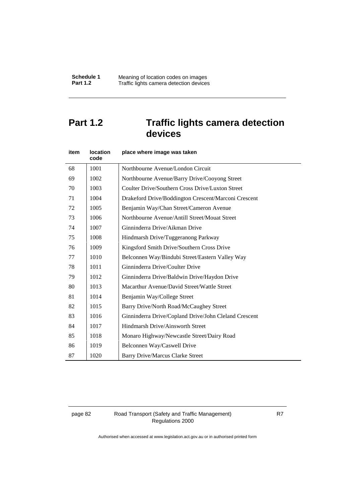# **Part 1.2 Traffic lights camera detection devices**

| item | <b>location</b><br>code | place where image was taken                           |
|------|-------------------------|-------------------------------------------------------|
| 68   | 1001                    | Northbourne Avenue/London Circuit                     |
| 69   | 1002                    | Northbourne Avenue/Barry Drive/Cooyong Street         |
| 70   | 1003                    | Coulter Drive/Southern Cross Drive/Luxton Street      |
| 71   | 1004                    | Drakeford Drive/Boddington Crescent/Marconi Crescent  |
| 72   | 1005                    | Benjamin Way/Chan Street/Cameron Avenue               |
| 73   | 1006                    | Northbourne Avenue/Antill Street/Mouat Street         |
| 74   | 1007                    | Ginninderra Drive/Aikman Drive                        |
| 75   | 1008                    | Hindmarsh Drive/Tuggeranong Parkway                   |
| 76   | 1009                    | Kingsford Smith Drive/Southern Cross Drive            |
| 77   | 1010                    | Belconnen Way/Bindubi Street/Eastern Valley Way       |
| 78   | 1011                    | Ginninderra Drive/Coulter Drive                       |
| 79   | 1012                    | Ginninderra Drive/Baldwin Drive/Haydon Drive          |
| 80   | 1013                    | Macarthur Avenue/David Street/Wattle Street           |
| 81   | 1014                    | Benjamin Way/College Street                           |
| 82   | 1015                    | Barry Drive/North Road/McCaughey Street               |
| 83   | 1016                    | Ginninderra Drive/Copland Drive/John Cleland Crescent |
| 84   | 1017                    | Hindmarsh Drive/Ainsworth Street                      |
| 85   | 1018                    | Monaro Highway/Newcastle Street/Dairy Road            |
| 86   | 1019                    | Belconnen Way/Caswell Drive                           |
| 87   | 1020                    | <b>Barry Drive/Marcus Clarke Street</b>               |

## page 82 Road Transport (Safety and Traffic Management) Regulations 2000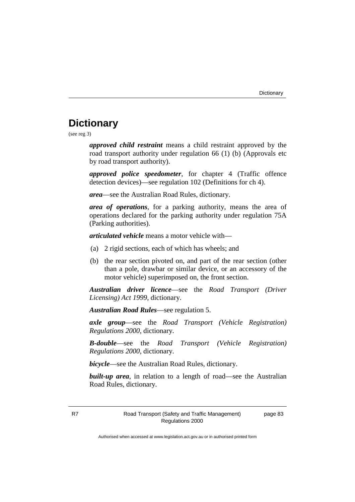# **Dictionary**

(see reg 3)

*approved child restraint* means a child restraint approved by the road transport authority under regulation 66 (1) (b) (Approvals etc by road transport authority).

*approved police speedometer*, for chapter 4 (Traffic offence detection devices)—see regulation 102 (Definitions for ch 4).

*area*—see the Australian Road Rules, dictionary.

*area of operations*, for a parking authority, means the area of operations declared for the parking authority under regulation 75A (Parking authorities).

*articulated vehicle* means a motor vehicle with—

- (a) 2 rigid sections, each of which has wheels; and
- (b) the rear section pivoted on, and part of the rear section (other than a pole, drawbar or similar device, or an accessory of the motor vehicle) superimposed on, the front section.

*Australian driver licence*—see the *Road Transport (Driver Licensing) Act 1999*, dictionary.

*Australian Road Rules*—see regulation 5.

*axle group*—see the *Road Transport (Vehicle Registration) Regulations 2000*, dictionary.

*B-double*—see the *Road Transport (Vehicle Registration) Regulations 2000*, dictionary.

*bicycle*—see the Australian Road Rules, dictionary.

**built-up area**, in relation to a length of road—see the Australian Road Rules, dictionary.

page 83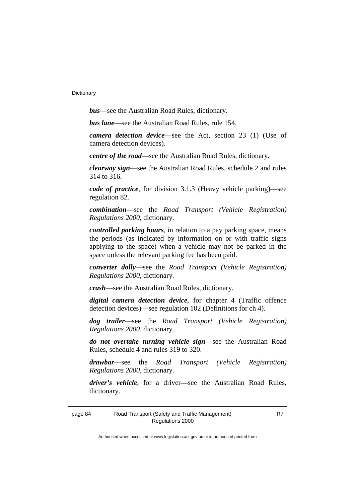*bus*—see the Australian Road Rules, dictionary.

*bus lane*—see the Australian Road Rules, rule 154.

*camera detection device*—see the Act, section 23 (1) (Use of camera detection devices).

*centre of the road*—see the Australian Road Rules, dictionary.

*clearway sign*—see the Australian Road Rules, schedule 2 and rules 314 to 316.

*code of practice*, for division 3.1.3 (Heavy vehicle parking)—see regulation 82.

*combination*—see the *Road Transport (Vehicle Registration) Regulations 2000*, dictionary.

*controlled parking hours*, in relation to a pay parking space, means the periods (as indicated by information on or with traffic signs applying to the space) when a vehicle may not be parked in the space unless the relevant parking fee has been paid.

*converter dolly*—see the *Road Transport (Vehicle Registration) Regulations 2000*, dictionary.

*crash*—see the Australian Road Rules, dictionary.

*digital camera detection device*, for chapter 4 (Traffic offence detection devices)—see regulation 102 (Definitions for ch 4).

*dog trailer*—see the *Road Transport (Vehicle Registration) Regulations 2000*, dictionary.

*do not overtake turning vehicle sign*—see the Australian Road Rules, schedule 4 and rules 319 to 320.

*drawbar*—see the *Road Transport (Vehicle Registration) Regulations 2000*, dictionary.

*driver's vehicle*, for a driver*—*see the Australian Road Rules, dictionary.

page 84 Road Transport (Safety and Traffic Management) Regulations 2000

R7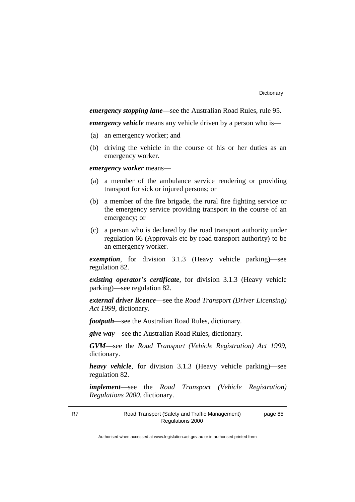*emergency stopping lane*—see the Australian Road Rules, rule 95.

*emergency vehicle* means any vehicle driven by a person who is—

- (a) an emergency worker; and
- (b) driving the vehicle in the course of his or her duties as an emergency worker.

*emergency worker* means—

- (a) a member of the ambulance service rendering or providing transport for sick or injured persons; or
- (b) a member of the fire brigade, the rural fire fighting service or the emergency service providing transport in the course of an emergency; or
- (c) a person who is declared by the road transport authority under regulation 66 (Approvals etc by road transport authority) to be an emergency worker.

*exemption*, for division 3.1.3 (Heavy vehicle parking)—see regulation 82.

*existing operator's certificate*, for division 3.1.3 (Heavy vehicle parking)—see regulation 82.

*external driver licence*—see the *Road Transport (Driver Licensing) Act 1999*, dictionary.

*footpath*—see the Australian Road Rules, dictionary.

*give way*—see the Australian Road Rules, dictionary.

*GVM*—see the *Road Transport (Vehicle Registration) Act 1999*, dictionary.

*heavy vehicle*, for division 3.1.3 (Heavy vehicle parking)—see regulation 82.

*implement*—see the *Road Transport (Vehicle Registration) Regulations 2000*, dictionary.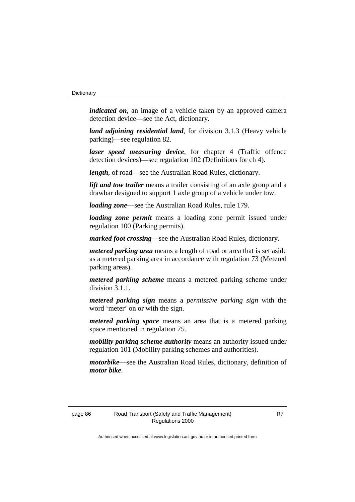*indicated on*, an image of a vehicle taken by an approved camera detection device—see the Act, dictionary.

*land adjoining residential land*, for division 3.1.3 (Heavy vehicle parking)—see regulation 82.

*laser speed measuring device*, for chapter 4 (Traffic offence detection devices)—see regulation 102 (Definitions for ch 4).

*length*, of road—see the Australian Road Rules, dictionary.

*lift and tow trailer* means a trailer consisting of an axle group and a drawbar designed to support 1 axle group of a vehicle under tow.

*loading zone*—see the Australian Road Rules, rule 179.

*loading zone permit* means a loading zone permit issued under regulation 100 (Parking permits).

*marked foot crossing*—see the Australian Road Rules, dictionary.

*metered parking area* means a length of road or area that is set aside as a metered parking area in accordance with regulation 73 (Metered parking areas).

*metered parking scheme* means a metered parking scheme under division 3.1.1.

*metered parking sign* means a *permissive parking sign* with the word 'meter' on or with the sign.

*metered parking space* means an area that is a metered parking space mentioned in regulation 75.

*mobility parking scheme authority* means an authority issued under regulation 101 (Mobility parking schemes and authorities).

*motorbike*—see the Australian Road Rules, dictionary, definition of *motor bike*.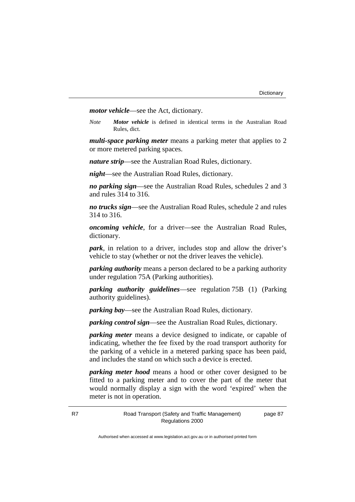*motor vehicle*—see the Act, dictionary.

*Note Motor vehicle* is defined in identical terms in the Australian Road Rules, dict.

*multi-space parking meter* means a parking meter that applies to 2 or more metered parking spaces.

*nature strip*—see the Australian Road Rules, dictionary.

*night*—see the Australian Road Rules, dictionary.

*no parking sign*—see the Australian Road Rules, schedules 2 and 3 and rules 314 to 316.

*no trucks sign*—see the Australian Road Rules, schedule 2 and rules 314 to 316.

*oncoming vehicle*, for a driver—see the Australian Road Rules, dictionary.

*park*, in relation to a driver, includes stop and allow the driver's vehicle to stay (whether or not the driver leaves the vehicle).

*parking authority* means a person declared to be a parking authority under regulation 75A (Parking authorities).

*parking authority guidelines*—see regulation 75B (1) (Parking authority guidelines).

*parking bay*—see the Australian Road Rules, dictionary.

*parking control sign*—see the Australian Road Rules, dictionary.

*parking meter* means a device designed to indicate, or capable of indicating, whether the fee fixed by the road transport authority for the parking of a vehicle in a metered parking space has been paid, and includes the stand on which such a device is erected.

*parking meter hood* means a hood or other cover designed to be fitted to a parking meter and to cover the part of the meter that would normally display a sign with the word 'expired' when the meter is not in operation.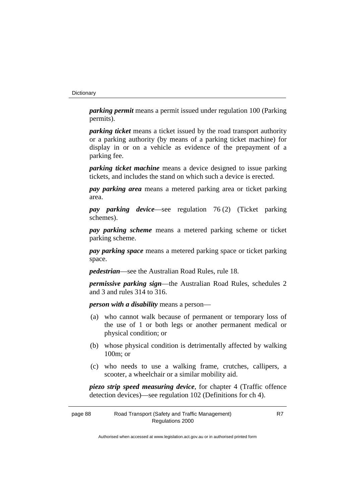#### **Dictionary**

*parking permit* means a permit issued under regulation 100 (Parking permits).

*parking ticket* means a ticket issued by the road transport authority or a parking authority (by means of a parking ticket machine) for display in or on a vehicle as evidence of the prepayment of a parking fee.

*parking ticket machine* means a device designed to issue parking tickets, and includes the stand on which such a device is erected.

*pay parking area* means a metered parking area or ticket parking area.

*pay parking device*—see regulation 76 (2) (Ticket parking schemes).

*pay parking scheme* means a metered parking scheme or ticket parking scheme.

*pay parking space* means a metered parking space or ticket parking space.

*pedestrian*—see the Australian Road Rules, rule 18.

*permissive parking sign*—the Australian Road Rules, schedules 2 and 3 and rules 314 to 316.

*person with a disability* means a person—

- (a) who cannot walk because of permanent or temporary loss of the use of 1 or both legs or another permanent medical or physical condition; or
- (b) whose physical condition is detrimentally affected by walking 100m; or
- (c) who needs to use a walking frame, crutches, callipers, a scooter, a wheelchair or a similar mobility aid.

*piezo strip speed measuring device*, for chapter 4 (Traffic offence detection devices)—see regulation 102 (Definitions for ch 4).

| page 88 | Road Transport (Safety and Traffic Management) |  |
|---------|------------------------------------------------|--|
|         | Regulations 2000                               |  |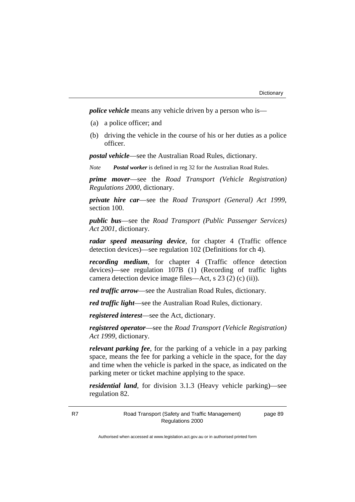*police vehicle* means any vehicle driven by a person who is—

- (a) a police officer; and
- (b) driving the vehicle in the course of his or her duties as a police officer.

*postal vehicle*—see the Australian Road Rules, dictionary.

*Note Postal worker* is defined in reg 32 for the Australian Road Rules.

*prime mover*—see the *Road Transport (Vehicle Registration) Regulations 2000*, dictionary.

*private hire car*—see the *Road Transport (General) Act 1999*, section 100.

*public bus*—see the *Road Transport (Public Passenger Services) Act 2001*, dictionary.

*radar speed measuring device*, for chapter 4 (Traffic offence detection devices)—see regulation 102 (Definitions for ch 4).

*recording medium*, for chapter 4 (Traffic offence detection devices)—see regulation 107B (1) (Recording of traffic lights camera detection device image files—Act, s 23 (2) (c) (ii)).

*red traffic arrow*—see the Australian Road Rules, dictionary.

*red traffic light*—see the Australian Road Rules, dictionary.

*registered interest*—see the Act, dictionary.

*registered operator*—see the *Road Transport (Vehicle Registration) Act 1999*, dictionary.

*relevant parking fee*, for the parking of a vehicle in a pay parking space, means the fee for parking a vehicle in the space, for the day and time when the vehicle is parked in the space, as indicated on the parking meter or ticket machine applying to the space.

*residential land*, for division 3.1.3 (Heavy vehicle parking)—see regulation 82.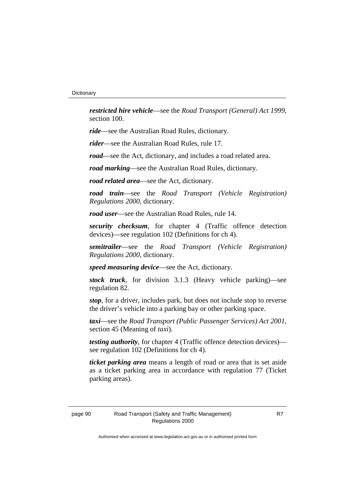*restricted hire vehicle*—see the *Road Transport (General) Act 1999*, section 100.

*ride*—see the Australian Road Rules, dictionary.

*rider*—see the Australian Road Rules, rule 17.

*road*—see the Act, dictionary, and includes a road related area.

*road marking*—see the Australian Road Rules, dictionary.

*road related area*—see the Act, dictionary.

*road train*—see the *Road Transport (Vehicle Registration) Regulations 2000*, dictionary.

*road user*—see the Australian Road Rules, rule 14.

*security checksum*, for chapter 4 (Traffic offence detection devices)—see regulation 102 (Definitions for ch 4).

*semitrailer*—see the *Road Transport (Vehicle Registration) Regulations 2000*, dictionary.

*speed measuring device*—see the Act, dictionary.

*stock truck*, for division 3.1.3 (Heavy vehicle parking)—see regulation 82.

*stop*, for a driver, includes park, but does not include stop to reverse the driver's vehicle into a parking bay or other parking space.

*taxi*—see the *Road Transport (Public Passenger Services) Act 2001*, section 45 (Meaning of *taxi*).

*testing authority*, for chapter 4 (Traffic offence detection devices) see regulation 102 (Definitions for ch 4).

*ticket parking area* means a length of road or area that is set aside as a ticket parking area in accordance with regulation 77 (Ticket parking areas).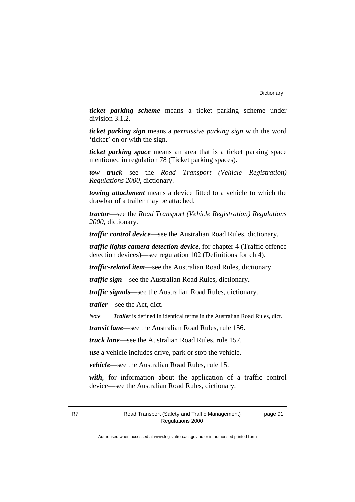*ticket parking scheme* means a ticket parking scheme under division 3.1.2.

*ticket parking sign* means a *permissive parking sign* with the word 'ticket' on or with the sign.

*ticket parking space* means an area that is a ticket parking space mentioned in regulation 78 (Ticket parking spaces).

*tow truck*—see the *Road Transport (Vehicle Registration) Regulations 2000*, dictionary.

*towing attachment* means a device fitted to a vehicle to which the drawbar of a trailer may be attached.

*tractor*—see the *Road Transport (Vehicle Registration) Regulations 2000*, dictionary.

*traffic control device*—see the Australian Road Rules, dictionary.

*traffic lights camera detection device*, for chapter 4 (Traffic offence detection devices)—see regulation 102 (Definitions for ch 4).

*traffic-related item*—see the Australian Road Rules, dictionary.

*traffic sign*—see the Australian Road Rules, dictionary.

*traffic signals*—see the Australian Road Rules, dictionary.

*trailer*—see the Act, dict.

*Note Trailer* is defined in identical terms in the Australian Road Rules, dict.

*transit lane*—see the Australian Road Rules, rule 156.

*truck lane*—see the Australian Road Rules, rule 157.

*use* a vehicle includes drive, park or stop the vehicle.

*vehicle*—see the Australian Road Rules, rule 15.

*with*, for information about the application of a traffic control device—see the Australian Road Rules, dictionary.

R7 Road Transport (Safety and Traffic Management) Regulations 2000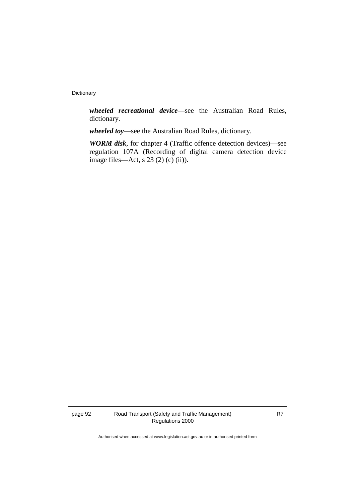Dictionary

*wheeled recreational device*—see the Australian Road Rules, dictionary.

*wheeled toy*—see the Australian Road Rules, dictionary.

*WORM disk*, for chapter 4 (Traffic offence detection devices)—see regulation 107A (Recording of digital camera detection device image files—Act, s 23 (2) (c) (ii)).

page 92 Road Transport (Safety and Traffic Management) Regulations 2000

R7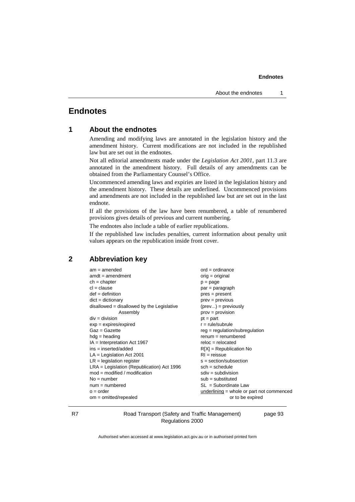## **Endnotes**

| 1 |  |  | <b>About the endnotes</b> |
|---|--|--|---------------------------|
|---|--|--|---------------------------|

Amending and modifying laws are annotated in the legislation history and the amendment history. Current modifications are not included in the republished law but are set out in the endnotes.

Not all editorial amendments made under the *Legislation Act 2001*, part 11.3 are annotated in the amendment history. Full details of any amendments can be obtained from the Parliamentary Counsel's Office.

Uncommenced amending laws and expiries are listed in the legislation history and the amendment history. These details are underlined. Uncommenced provisions and amendments are not included in the republished law but are set out in the last endnote.

If all the provisions of the law have been renumbered, a table of renumbered provisions gives details of previous and current numbering.

The endnotes also include a table of earlier republications.

If the republished law includes penalties, current information about penalty unit values appears on the republication inside front cover.

## **2 Abbreviation key**

| $am = amended$                               | $ord = ordinance$                         |
|----------------------------------------------|-------------------------------------------|
| $amdt = amendment$                           | $orig = original$                         |
| $ch = chapter$                               | $p = page$                                |
| $cl = clause$                                | $par = paragraph$                         |
| $def = definition$                           | $pres = present$                          |
| $dict = dictionary$                          | $prev = previous$                         |
| $disallowed = disallowed by the Legislative$ | $(\text{prev}) = \text{previously}$       |
| Assembly                                     | $prov = provision$                        |
| $div = division$                             | $pt = part$                               |
| $exp = expires/expired$                      | $r = rule/subrule$                        |
| $Gaz = Gazette$                              | $reg = regulation/subregulation$          |
| $hdg =$ heading                              | $renum = renumbered$                      |
| $IA = Interpretation Act 1967$               | $reloc = relocated$                       |
| $ins = inserted/added$                       | $R[X]$ = Republication No                 |
| $LA =$ Legislation Act 2001                  | $RI = reissue$                            |
| $LR =$ legislation register                  | s = section/subsection                    |
| $LRA =$ Legislation (Republication) Act 1996 | $sch = schedule$                          |
| $mod = modified / modified$                  | $sdiv = subdivision$                      |
| $No = number$                                | $sub =$ substituted                       |
| $num = numbered$                             | $SL = Subordinate$ Law                    |
| $o = order$                                  | underlining = whole or part not commenced |
| $om = omitted/repealed$                      | or to be expired                          |
|                                              |                                           |

R7 Road Transport (Safety and Traffic Management) Regulations 2000

page 93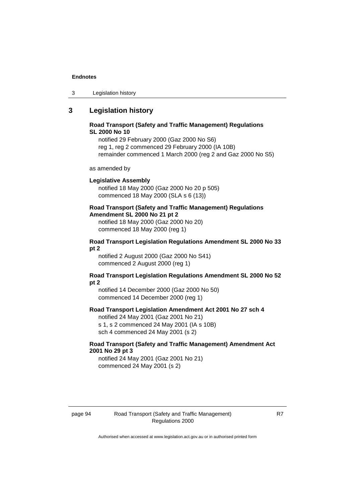3 Legislation history

## **3 Legislation history**

## **Road Transport (Safety and Traffic Management) Regulations SL 2000 No 10**

notified 29 February 2000 (Gaz 2000 No S6) reg 1, reg 2 commenced 29 February 2000 (IA 10B) remainder commenced 1 March 2000 (reg 2 and Gaz 2000 No S5)

as amended by

## **Legislative Assembly**

notified 18 May 2000 (Gaz 2000 No 20 p 505) commenced 18 May 2000 (SLA s 6 (13))

### **Road Transport (Safety and Traffic Management) Regulations Amendment SL 2000 No 21 pt 2**

notified 18 May 2000 (Gaz 2000 No 20) commenced 18 May 2000 (reg 1)

## **Road Transport Legislation Regulations Amendment SL 2000 No 33 pt 2**

notified 2 August 2000 (Gaz 2000 No S41) commenced 2 August 2000 (reg 1)

## **Road Transport Legislation Regulations Amendment SL 2000 No 52 pt 2**

notified 14 December 2000 (Gaz 2000 No 50) commenced 14 December 2000 (reg 1)

## **Road Transport Legislation Amendment Act 2001 No 27 sch 4**

notified 24 May 2001 (Gaz 2001 No 21) s 1, s 2 commenced 24 May 2001 (IA s 10B) sch 4 commenced 24 May 2001 (s 2)

## **Road Transport (Safety and Traffic Management) Amendment Act 2001 No 29 pt 3**

notified 24 May 2001 (Gaz 2001 No 21) commenced 24 May 2001 (s 2)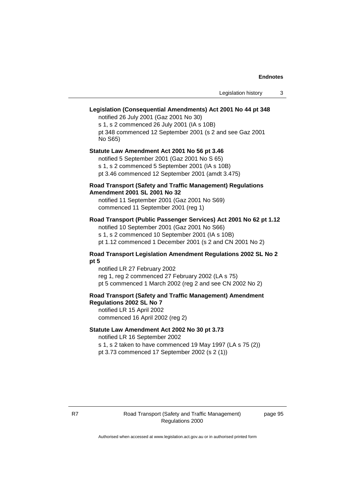## **Legislation (Consequential Amendments) Act 2001 No 44 pt 348**

notified 26 July 2001 (Gaz 2001 No 30) s 1, s 2 commenced 26 July 2001 (IA s 10B) pt 348 commenced 12 September 2001 (s 2 and see Gaz 2001 No S65)

## **Statute Law Amendment Act 2001 No 56 pt 3.46** notified 5 September 2001 (Gaz 2001 No S 65) s 1, s 2 commenced 5 September 2001 (IA s 10B)

pt 3.46 commenced 12 September 2001 (amdt 3.475)

## **Road Transport (Safety and Traffic Management) Regulations Amendment 2001 SL 2001 No 32**

notified 11 September 2001 (Gaz 2001 No S69) commenced 11 September 2001 (reg 1)

### **Road Transport (Public Passenger Services) Act 2001 No 62 pt 1.12**

notified 10 September 2001 (Gaz 2001 No S66) s 1, s 2 commenced 10 September 2001 (IA s 10B)

pt 1.12 commenced 1 December 2001 (s 2 and CN 2001 No 2)

## **Road Transport Legislation Amendment Regulations 2002 SL No 2 pt 5**

notified LR 27 February 2002 reg 1, reg 2 commenced 27 February 2002 (LA s 75) pt 5 commenced 1 March 2002 (reg 2 and see CN 2002 No 2)

#### **Road Transport (Safety and Traffic Management) Amendment Regulations 2002 SL No 7**

notified LR 15 April 2002 commenced 16 April 2002 (reg 2)

## **Statute Law Amendment Act 2002 No 30 pt 3.73**

notified LR 16 September 2002

s 1, s 2 taken to have commenced 19 May 1997 (LA s 75 (2)) pt 3.73 commenced 17 September 2002 (s 2 (1))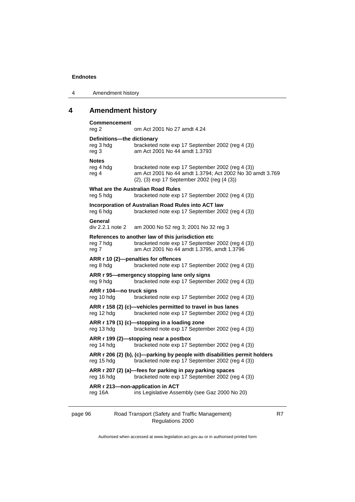| 4 | Amendment history |  |
|---|-------------------|--|
|---|-------------------|--|

# **4 Amendment history**

| <b>Commencement</b>                              | om Act 2001 No 27 amdt 4.24                                                                                                                                 |
|--------------------------------------------------|-------------------------------------------------------------------------------------------------------------------------------------------------------------|
| reg 2                                            |                                                                                                                                                             |
| Definitions-the dictionary<br>reg 3 hdg<br>reg 3 | bracketed note exp 17 September 2002 (reg 4 (3))<br>am Act 2001 No 44 amdt 1.3793                                                                           |
| <b>Notes</b>                                     |                                                                                                                                                             |
| reg 4 hdg<br>reg 4                               | bracketed note exp 17 September 2002 (reg 4 (3))<br>am Act 2001 No 44 amdt 1.3794; Act 2002 No 30 amdt 3.769<br>(2), (3) exp 17 September 2002 (reg (4 (3)) |
|                                                  | What are the Australian Road Rules                                                                                                                          |
| reg 5 hdg                                        | bracketed note exp 17 September 2002 (reg 4 (3))                                                                                                            |
| reg 6 hdg                                        | Incorporation of Australian Road Rules into ACT law<br>bracketed note exp 17 September 2002 (reg 4 (3))                                                     |
| General                                          |                                                                                                                                                             |
| div 2.2.1 note 2                                 | am 2000 No 52 reg 3; 2001 No 32 reg 3                                                                                                                       |
|                                                  | References to another law of this jurisdiction etc                                                                                                          |
| reg 7 hdg<br>reg 7                               | bracketed note exp 17 September 2002 (reg 4 (3))<br>am Act 2001 No 44 amdt 1.3795, amdt 1.3796                                                              |
|                                                  | ARR r 10 (2)-penalties for offences                                                                                                                         |
| reg 8 hdg                                        | bracketed note exp 17 September 2002 (reg 4 (3))                                                                                                            |
| rea 9 hda                                        | ARR r 95-emergency stopping lane only signs<br>bracketed note exp 17 September 2002 (reg 4 (3))                                                             |
| ARR r 104-no truck signs                         |                                                                                                                                                             |
| reg 10 hdg                                       | bracketed note exp 17 September 2002 (reg 4 (3))                                                                                                            |
|                                                  | ARR r 158 (2) (c)—vehicles permitted to travel in bus lanes                                                                                                 |
| reg 12 hdg                                       | bracketed note exp 17 September 2002 (reg 4 (3))                                                                                                            |
| reg 13 hdg                                       | ARR r 179 (1) (c)-stopping in a loading zone<br>bracketed note exp 17 September 2002 (reg 4 (3))                                                            |
|                                                  | ARR r 199 (2)-stopping near a postbox                                                                                                                       |
| reg 14 hdg                                       | bracketed note exp 17 September 2002 (reg 4 (3))                                                                                                            |
| reg 15 hdg                                       | ARR r 206 (2) (b), (c)-parking by people with disabilities permit holders<br>bracketed note exp 17 September 2002 (reg 4 (3))                               |
| reg 16 hdg                                       | ARR r 207 (2) (a)-fees for parking in pay parking spaces<br>bracketed note exp 17 September 2002 (reg 4 (3))                                                |
|                                                  | ARR r 213-non-application in ACT                                                                                                                            |
| reg 16A                                          | ins Legislative Assembly (see Gaz 2000 No 20)                                                                                                               |
|                                                  |                                                                                                                                                             |
|                                                  |                                                                                                                                                             |

page 96 Road Transport (Safety and Traffic Management) Regulations 2000

R7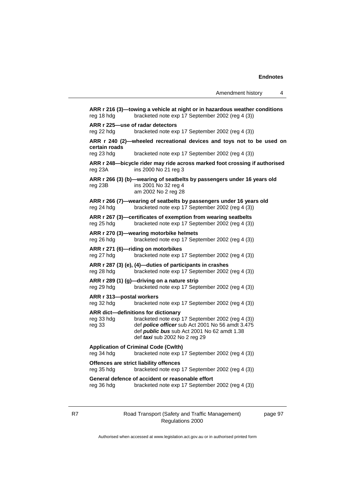**ARR r 216 (3)—towing a vehicle at night or in hazardous weather conditions** reg 18 hdg bracketed note exp 17 September 2002 (reg 4 (3)) **ARR r 225—use of radar detectors** reg 22 hdg bracketed note exp 17 September 2002 (reg 4 (3)) **ARR r 240 (2)—wheeled recreational devices and toys not to be used on certain roads** reg 23 hdg bracketed note exp 17 September 2002 (reg 4 (3)) **ARR r 248—bicycle rider may ride across marked foot crossing if authorised** reg 23A ins 2000 No 21 reg 3 **ARR r 266 (3) (b)—wearing of seatbelts by passengers under 16 years old** reg 23B ins 2001 No 32 reg 4 am 2002 No 2 reg 28 **ARR r 266 (7)—wearing of seatbelts by passengers under 16 years old** reg 24 hdg bracketed note exp 17 September 2002 (reg 4 (3)) **ARR r 267 (3)—certificates of exemption from wearing seatbelts** reg 25 hdg bracketed note exp 17 September 2002 (reg 4 (3)) **ARR r 270 (3)—wearing motorbike helmets** reg 26 hdg bracketed note exp 17 September 2002 (reg 4 (3)) **ARR r 271 (6)—riding on motorbikes** reg 27 hdg bracketed note exp 17 September 2002 (reg 4 (3)) **ARR r 287 (3) (e), (4)—duties of participants in crashes** reg 28 hdg bracketed note exp 17 September 2002 (reg 4 (3)) **ARR r 289 (1) (g)—driving on a nature strip** reg 29 hdg bracketed note exp 17 September 2002 (reg 4 (3)) **ARR r 313—postal workers** reg 32 hdg bracketed note exp 17 September 2002 (reg 4 (3)) **ARR dict—definitions for dictionary** reg 33 hdg bracketed note exp 17 September 2002 (reg 4 (3))<br>reg 33 def **police officer** sub Act 2001 No 56 amdt 3.475 def **police officer** sub Act 2001 No 56 amdt 3.475 def *public bus* sub Act 2001 No 62 amdt 1.38 def *taxi* sub 2002 No 2 reg 29 **Application of Criminal Code (Cwlth)** reg 34 hdg bracketed note exp 17 September 2002 (reg 4 (3)) **Offences are strict liability offences** reg 35 hdg bracketed note exp 17 September 2002 (reg 4 (3)) **General defence of accident or reasonable effort** reg 36 hdg bracketed note exp 17 September 2002 (reg 4 (3))

R7 Road Transport (Safety and Traffic Management) Regulations 2000

page 97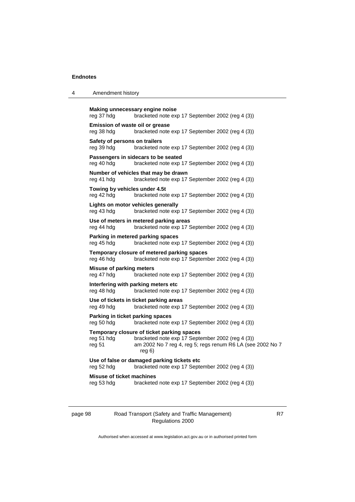| Amendment history<br>4 |  |
|------------------------|--|
|------------------------|--|

```
Making unnecessary engine noise
reg 37 hdg bracketed note exp 17 September 2002 (reg 4 (3))
Emission of waste oil or grease
reg 38 hdg bracketed note exp 17 September 2002 (reg 4 (3))
Safety of persons on trailers
reg 39 hdg bracketed note exp 17 September 2002 (reg 4 (3))
Passengers in sidecars to be seated
reg 40 hdg bracketed note exp 17 September 2002 (reg 4 (3))
Number of vehicles that may be drawn
reg 41 hdg bracketed note exp 17 September 2002 (reg 4 (3))
Towing by vehicles under 4.5t
reg 42 hdg bracketed note exp 17 September 2002 (reg 4 (3))
Lights on motor vehicles generally
reg 43 hdg bracketed note exp 17 September 2002 (reg 4 (3))
Use of meters in metered parking areas
reg 44 hdg bracketed note exp 17 September 2002 (reg 4 (3))
Parking in metered parking spaces
reg 45 hdg bracketed note exp 17 September 2002 (reg 4 (3))
Temporary closure of metered parking spaces
reg 46 hdg bracketed note exp 17 September 2002 (reg 4 (3))
Misuse of parking meters
reg 47 hdg bracketed note exp 17 September 2002 (reg 4 (3))
Interfering with parking meters etc
reg 48 hdg bracketed note exp 17 September 2002 (reg 4 (3))
Use of tickets in ticket parking areas
reg 49 hdg bracketed note exp 17 September 2002 (reg 4 (3))
Parking in ticket parking spaces
reg 50 hdg bracketed note exp 17 September 2002 (reg 4 (3))
Temporary closure of ticket parking spaces
reg 51 hdg bracketed note exp 17 September 2002 (reg 4 (3))
reg 51 am 2002 No 7 reg 4, reg 5; regs renum R6 LA (see 2002 No 7
                  reg 6)
Use of false or damaged parking tickets etc
reg 52 hdg bracketed note exp 17 September 2002 (reg 4 (3))
Misuse of ticket machines
reg 53 hdg bracketed note exp 17 September 2002 (reg 4 (3))
```
page 98 Road Transport (Safety and Traffic Management) Regulations 2000

R7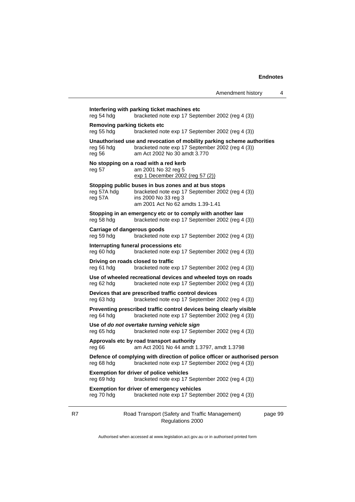**Interfering with parking ticket machines etc** reg 54 hdg bracketed note exp 17 September 2002 (reg 4 (3)) **Removing parking tickets etc**<br>reg 55 hdg bracketed no  $rac{1}{2}$  bracketed note exp 17 September 2002 (reg 4 (3)) **Unauthorised use and revocation of mobility parking scheme authorities**<br>reg 56 hdg bracketed note exp 17 September 2002 (reg 4 (3))<br>reg 56 am Act 2002 No 30 amdt 3.770 bracketed note exp 17 September 2002 (reg 4  $(3)$ ) am Act 2002 No 30 amdt 3.770 **No stopping on a road with a red kerb**<br>reg 57 am 2001 No 32 reg 5 am 2001 No 32 reg 5 exp 1 December 2002 (reg 57 (2)) **Stopping public buses in bus zones and at bus stops** reg 57A hdg bracketed note exp 17 September 2002 (reg 4 (3)) reg 57A ins 2000 No 33 reg 3 am 2001 Act No 62 amdts 1.39-1.41 **Stopping in an emergency etc or to comply with another law** reg 58 hdg bracketed note exp 17 September 2002 (reg 4 (3)) **Carriage of dangerous goods** reg 59 hdg bracketed note exp 17 September 2002 (reg 4 (3)) **Interrupting funeral processions etc** reg 60 hdg bracketed note exp 17 September 2002 (reg 4 (3)) **Driving on roads closed to traffic** reg 61 hdg bracketed note exp 17 September 2002 (reg 4 (3)) **Use of wheeled recreational devices and wheeled toys on roads** reg 62 hdg bracketed note exp 17 September 2002 (reg 4 (3)) **Devices that are prescribed traffic control devices** reg 63 hdg bracketed note exp 17 September 2002 (reg 4 (3)) **Preventing prescribed traffic control devices being clearly visible** reg 64 hdg bracketed note exp 17 September 2002 (reg 4 (3)) **Use of** *do not overtake turning vehicle sign* reg 65 hdg bracketed note exp 17 September 2002 (reg 4 (3)) **Approvals etc by road transport authority** reg 66 am Act 2001 No 44 amdt 1.3797, amdt 1.3798 reg 68 hdg bracketed note exp 17 September 2002 (reg 4 (3)) **Exemption for driver of police vehicles** reg 69 hdg bracketed note exp 17 September 2002 (reg 4 (3)) **Exemption for driver of emergency vehicles** reg 70 hdg bracketed note exp 17 September 2002 (reg 4 (3))

|                                                                                                                     | exp 1 December 2002 (reg 57 (2))                                                                                                                                     |
|---------------------------------------------------------------------------------------------------------------------|----------------------------------------------------------------------------------------------------------------------------------------------------------------------|
| reg 57A hdg<br>reg 57A                                                                                              | Stopping public buses in bus zones and at bus stops<br>bracketed note exp 17 September 2002 (reg 4 (3))<br>ins 2000 No 33 reg 3<br>am 2001 Act No 62 amdts 1.39-1.41 |
| reg 58 hdg                                                                                                          | Stopping in an emergency etc or to comply with another law<br>bracketed note exp 17 September 2002 (reg 4 (3))                                                       |
| <b>Carriage of dangerous goods</b><br>reg 59 hdg                                                                    | bracketed note exp 17 September 2002 (reg 4 (3))                                                                                                                     |
| reg 60 hdg                                                                                                          | Interrupting funeral processions etc<br>bracketed note exp 17 September 2002 (reg 4 (3))                                                                             |
| reg 61 hdg                                                                                                          | Driving on roads closed to traffic<br>bracketed note exp 17 September 2002 (reg 4 (3))                                                                               |
| reg 62 hdg                                                                                                          | Use of wheeled recreational devices and wheeled toys on roads<br>bracketed note exp 17 September 2002 (reg 4 (3))                                                    |
| reg 63 hdg                                                                                                          | Devices that are prescribed traffic control devices<br>bracketed note exp 17 September 2002 (reg 4 (3))                                                              |
| reg 64 hdg                                                                                                          | Preventing prescribed traffic control devices being clearly visible<br>bracketed note exp 17 September 2002 (reg 4 (3))                                              |
| reg 65 hdg                                                                                                          | Use of do not overtake turning vehicle sign<br>bracketed note exp 17 September 2002 (reg 4 (3))                                                                      |
| reg 66                                                                                                              | Approvals etc by road transport authority<br>am Act 2001 No 44 amdt 1.3797, amdt 1.3798                                                                              |
| reg 68 hdg                                                                                                          | Defence of complying with direction of police officer or authorised person<br>bracketed note exp 17 September 2002 (reg 4 (3))                                       |
| <b>Exemption for driver of police vehicles</b><br>bracketed note exp 17 September 2002 (reg 4 (3))<br>reg 69 hdg    |                                                                                                                                                                      |
| <b>Exemption for driver of emergency vehicles</b><br>reg 70 hdg<br>bracketed note exp 17 September 2002 (reg 4 (3)) |                                                                                                                                                                      |
|                                                                                                                     |                                                                                                                                                                      |

R7 Road Transport (Safety and Traffic Management) Regulations 2000

page 99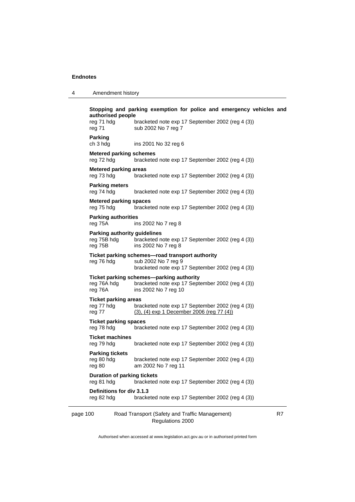4 Amendment history

| authorised people<br>reg 71 hdg                               | bracketed note exp 17 September 2002 (reg 4 (3))                                                                           |    |
|---------------------------------------------------------------|----------------------------------------------------------------------------------------------------------------------------|----|
| reg 71                                                        | sub 2002 No 7 reg 7                                                                                                        |    |
| Parking<br>ch 3 hdg                                           | ins 2001 No 32 reg 6                                                                                                       |    |
| <b>Metered parking schemes</b><br>reg 72 hdg                  | bracketed note exp 17 September 2002 (reg 4 (3))                                                                           |    |
| <b>Metered parking areas</b><br>reg 73 hdg                    | bracketed note exp 17 September 2002 (reg 4 (3))                                                                           |    |
| <b>Parking meters</b><br>reg 74 hdg                           | bracketed note exp 17 September 2002 (reg 4 (3))                                                                           |    |
| <b>Metered parking spaces</b><br>reg 75 hdg                   | bracketed note exp 17 September 2002 (reg 4 (3))                                                                           |    |
| <b>Parking authorities</b><br>reg 75A                         | ins 2002 No 7 reg 8                                                                                                        |    |
| <b>Parking authority guidelines</b><br>reg 75B hdg<br>reg 75B | bracketed note exp 17 September 2002 (reg 4 (3))<br>ins 2002 No 7 reg 8                                                    |    |
| reg 76 hdg                                                    | Ticket parking schemes-road transport authority<br>sub 2002 No 7 reg 9<br>bracketed note exp 17 September 2002 (reg 4 (3)) |    |
| reg 76A hdg<br>reg 76A                                        | Ticket parking schemes-parking authority<br>bracketed note exp 17 September 2002 (reg 4 (3))<br>ins 2002 No 7 reg 10       |    |
| <b>Ticket parking areas</b><br>reg 77 hdg<br>reg 77           | bracketed note exp 17 September 2002 (reg 4 (3))<br>(3), (4) exp 1 December 2006 (reg 77 (4))                              |    |
| <b>Ticket parking spaces</b><br>reg 78 hdg                    | bracketed note exp 17 September 2002 (reg 4 (3))                                                                           |    |
| <b>Ticket machines</b><br>reg 79 hdg                          | bracketed note exp 17 September 2002 (reg 4 (3))                                                                           |    |
| <b>Parking tickets</b><br>reg 80 hdg<br>reg 80                | bracketed note exp 17 September 2002 (reg 4 (3))<br>am 2002 No 7 reg 11                                                    |    |
| <b>Duration of parking tickets</b><br>reg 81 hdg              | bracketed note exp 17 September 2002 (reg 4 (3))                                                                           |    |
| Definitions for div 3.1.3<br>reg 82 hdg                       | bracketed note exp 17 September 2002 (reg 4 (3))                                                                           |    |
| page 100                                                      | Road Transport (Safety and Traffic Management)<br>Regulations 2000                                                         | R7 |

Authorised when accessed at www.legislation.act.gov.au or in authorised printed form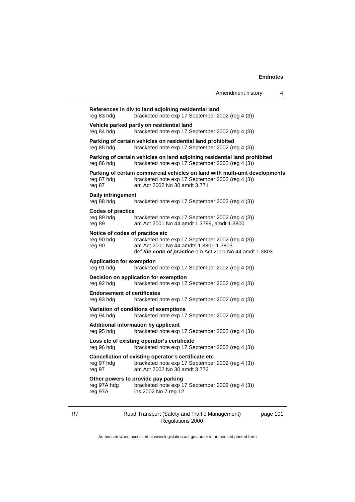| Amendment history |  |
|-------------------|--|
|                   |  |

| reg 83 hdg                                                                                                   | References in div to land adjoining residential land<br>bracketed note exp 17 September 2002 (reg 4 (3))                                                        |  |  |  |
|--------------------------------------------------------------------------------------------------------------|-----------------------------------------------------------------------------------------------------------------------------------------------------------------|--|--|--|
| Vehicle parked partly on residential land<br>reg 84 hdg                                                      | bracketed note exp 17 September 2002 (reg 4 (3))                                                                                                                |  |  |  |
| reg 85 hdg                                                                                                   | Parking of certain vehicles on residential land prohibited<br>bracketed note exp 17 September 2002 (reg 4 (3))                                                  |  |  |  |
| reg 86 hdg                                                                                                   | Parking of certain vehicles on land adjoining residential land prohibited<br>bracketed note exp 17 September 2002 (reg 4 (3))                                   |  |  |  |
| reg 87 hdg<br>reg 87                                                                                         | Parking of certain commercial vehicles on land with multi-unit developments<br>bracketed note exp 17 September 2002 (reg 4 (3))<br>am Act 2002 No 30 amdt 3.771 |  |  |  |
| Daily infringement<br>reg 88 hdg                                                                             | bracketed note exp 17 September 2002 (reg 4 (3))                                                                                                                |  |  |  |
| <b>Codes of practice</b><br>reg 89 hdg<br>reg 89                                                             | bracketed note exp 17 September 2002 (reg 4 (3))<br>am Act 2001 No 44 amdt 1.3799, amdt 1.3800                                                                  |  |  |  |
| Notice of codes of practice etc<br>reg 90 hdg<br>reg 90                                                      | bracketed note exp 17 September 2002 (reg 4 (3))<br>am Act 2001 No 44 amdts 1,3801-1,3803<br>def the code of practice om Act 2001 No 44 amdt 1.3803             |  |  |  |
| <b>Application for exemption</b><br>reg 91 hdg                                                               | bracketed note exp 17 September 2002 (reg 4 (3))                                                                                                                |  |  |  |
| Decision on application for exemption<br>reg 92 hdg                                                          | bracketed note exp 17 September 2002 (reg 4 (3))                                                                                                                |  |  |  |
| <b>Endorsement of certificates</b><br>reg 93 hdg                                                             | bracketed note exp 17 September 2002 (reg 4 (3))                                                                                                                |  |  |  |
| Variation of conditions of exemptions<br>reg 94 hdg                                                          | bracketed note exp 17 September 2002 (reg 4 (3))                                                                                                                |  |  |  |
| <b>Additional information by applicant</b><br>bracketed note exp 17 September 2002 (reg 4 (3))<br>reg 95 hdg |                                                                                                                                                                 |  |  |  |
| Loss etc of existing operator's certificate<br>reg 96 hdg                                                    | bracketed note exp 17 September 2002 (reg 4 (3))                                                                                                                |  |  |  |
| reg 97 hdg<br>reg 97                                                                                         | Cancellation of existing operator's certificate etc<br>bracketed note exp 17 September 2002 (reg 4 (3))<br>am Act 2002 No 30 amdt 3.772                         |  |  |  |
| Other powers to provide pay parking<br>reg 97A hdg<br>reg 97A                                                | bracketed note exp 17 September 2002 (reg 4 (3))<br>ins 2002 No 7 reg 12                                                                                        |  |  |  |
|                                                                                                              |                                                                                                                                                                 |  |  |  |

Regulations 2000

page 101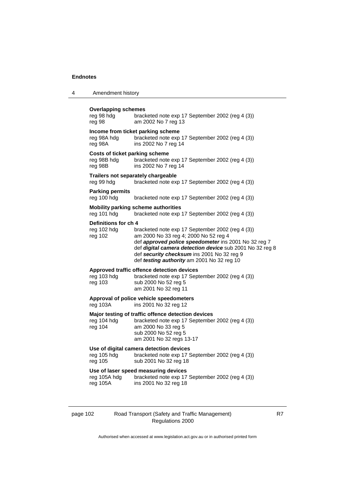| Overlapping schemes<br>reg 98 hdg<br>reg 98 | bracketed note exp 17 September 2002 (reg 4 (3))<br>am 2002 No 7 reg 13 |
|---------------------------------------------|-------------------------------------------------------------------------|
|                                             | Income from ticket parking scheme                                       |
| reg 98A hda                                 | hracketed note exp 17 September 2002 (reg 4 (3))                        |

4 Amendment history

**Income from ticket parking scheme** te exp 17 September 2002 (reg 4  $(3)$ ) reg 98A ins 2002 No 7 reg 14 **Costs of ticket parking scheme** reg 98B hdg bracketed note exp 17 September 2002 (reg 4 (3))<br>reg 98B ins 2002 No 7 reg 14 ins 2002 No 7 reg 14 **Trailers not separately chargeable** reg 99 hdg bracketed note exp 17 September 2002 (reg 4 (3)) **Parking permits** reg 100 hdg bracketed note exp 17 September 2002 (reg 4 (3)) **Mobility parking scheme authorities** reg 101 hdg bracketed note exp 17 September 2002 (reg 4 (3)) **Definitions for ch 4** reg 102 hdg br reg 102 hdg bracketed note exp 17 September 2002 (reg 4 (3))<br>reg 102 am 2000 No 33 reg 4; 2000 No 52 reg 4 am 2000 No 33 reg 4; 2000 No 52 reg 4 def *approved police speedometer* ins 2001 No 32 reg 7 def *digital camera detection device* sub 2001 No 32 reg 8 def *security checksum* ins 2001 No 32 reg 9 def *testing authority* am 2001 No 32 reg 10 **Approved traffic offence detection devices** reg 103 hdg bracketed note exp 17 September 2002 (reg 4 (3)) reg 103 sub 2000 No 52 reg 5 am 2001 No 32 reg 11 **Approval of police vehicle speedometers** reg 103A ins 2001 No 32 reg 12 **Major testing of traffic offence detection devices** reg 104 hdg bracketed note exp 17 September 2002 (reg 4 (3)) reg 104 am 2000 No 33 reg 5 sub 2000 No 52 reg 5 am 2001 No 32 regs 13-17

### **Use of digital camera detection devices**

reg 105 hdg bracketed note exp 17 September 2002 (reg 4 (3)) reg 105 sub 2001 No 32 reg 18

### **Use of laser speed measuring devices**

reg 105A hdg bracketed note exp 17 September 2002 (reg 4 (3)) reg 105A ins 2001 No 32 reg 18

### page 102 Road Transport (Safety and Traffic Management) Regulations 2000

R7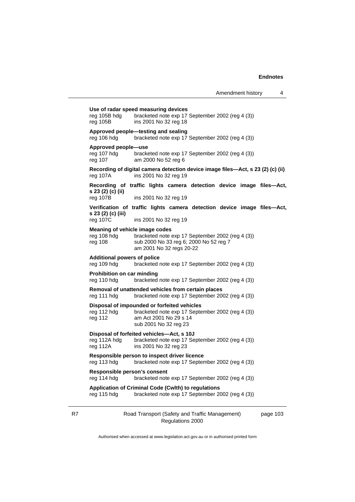page 103

| Use of radar speed measuring devices<br>reg 105B hdg<br>bracketed note exp 17 September 2002 (reg 4 (3))<br>reg 105B<br>ins 2001 No 32 reg 18                                      |                                                                                                                                                    |  |  |  |
|------------------------------------------------------------------------------------------------------------------------------------------------------------------------------------|----------------------------------------------------------------------------------------------------------------------------------------------------|--|--|--|
| reg 106 hdg                                                                                                                                                                        | Approved people-testing and sealing<br>bracketed note exp 17 September 2002 (reg 4 (3))                                                            |  |  |  |
| Approved people-use<br>reg 107 hdg<br>bracketed note exp 17 September 2002 (reg 4 (3))<br>reg 107<br>am 2000 No 52 reg 6                                                           |                                                                                                                                                    |  |  |  |
| reg 107A                                                                                                                                                                           | Recording of digital camera detection device image files-Act, s 23 (2) (c) (ii)<br>ins 2001 No 32 reg 19                                           |  |  |  |
| s 23 (2) (c) (ii)<br>reg 107B                                                                                                                                                      | Recording of traffic lights camera detection device image files-Act,<br>ins 2001 No 32 reg 19                                                      |  |  |  |
|                                                                                                                                                                                    |                                                                                                                                                    |  |  |  |
| s 23 (2) (c) (iii)                                                                                                                                                                 | Verification of traffic lights camera detection device image files—Act,                                                                            |  |  |  |
| reg 107C                                                                                                                                                                           | ins 2001 No 32 reg 19                                                                                                                              |  |  |  |
| Meaning of vehicle image codes<br>bracketed note exp 17 September 2002 (reg 4 (3))<br>reg 108 hdg<br>reg 108<br>sub 2000 No 33 reg 6; 2000 No 52 reg 7<br>am 2001 No 32 regs 20-22 |                                                                                                                                                    |  |  |  |
| <b>Additional powers of police</b><br>reg 109 hdg<br>bracketed note exp 17 September 2002 (reg 4 (3))                                                                              |                                                                                                                                                    |  |  |  |
| <b>Prohibition on car minding</b><br>reg 110 hdg<br>bracketed note exp 17 September 2002 (reg 4 (3))                                                                               |                                                                                                                                                    |  |  |  |
| Removal of unattended vehicles from certain places<br>bracketed note exp 17 September 2002 (reg 4 (3))<br>reg 111 hdg                                                              |                                                                                                                                                    |  |  |  |
| reg 112 hdg<br>reg 112                                                                                                                                                             | Disposal of impounded or forfeited vehicles<br>bracketed note exp 17 September 2002 (reg 4 (3))<br>am Act 2001 No 29 s 14<br>sub 2001 No 32 reg 23 |  |  |  |
| Disposal of forfeited vehicles—Act, s 10J<br>reg 112A hdg<br>bracketed note exp 17 September 2002 (reg 4 (3))<br>reg 112A<br>ins 2001 No 32 reg 23                                 |                                                                                                                                                    |  |  |  |
| reg 113 hdg                                                                                                                                                                        | Responsible person to inspect driver licence<br>bracketed note exp 17 September 2002 (reg 4 (3))                                                   |  |  |  |
| Responsible person's consent<br>reg 114 hdg<br>bracketed note exp 17 September 2002 (reg 4 (3))                                                                                    |                                                                                                                                                    |  |  |  |
| Application of Criminal Code (Cwlth) to regulations<br>bracketed note exp 17 September 2002 (reg 4 (3))<br>reg 115 hdg                                                             |                                                                                                                                                    |  |  |  |
|                                                                                                                                                                                    |                                                                                                                                                    |  |  |  |

R7 Road Transport (Safety and Traffic Management)

Regulations 2000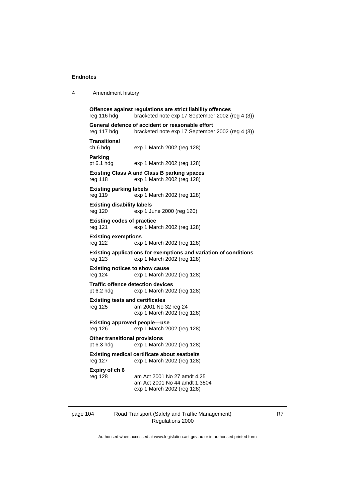| $\overline{4}$ | Amendment history |
|----------------|-------------------|
|----------------|-------------------|

**Offences against regulations are strict liability offences** reg 116 hdg bracketed note exp 17 September 2002 (reg 4 (3)) **General defence of accident or reasonable effort** reg 117 hdg bracketed note exp 17 September 2002 (reg 4 (3)) **Transitional** ch 6 hdg exp 1 March 2002 (reg 128) **Parking** pt 6.1 hdg exp 1 March 2002 (reg 128) **Existing Class A and Class B parking spaces** reg 118 exp 1 March 2002 (reg 128) **Existing parking labels** reg 119 exp 1 March 2002 (reg 128) **Existing disability labels** reg 120 exp 1 June 2000 (reg 120) **Existing codes of practice** reg 121 exp 1 March 2002 (reg 128) **Existing exemptions** reg 122 exp 1 March 2002 (reg 128) **Existing applications for exemptions and variation of conditions** reg 123 exp 1 March 2002 (reg 128) **Existing notices to show cause** reg 124 exp 1 March 2002 (reg 128) **Traffic offence detection devices** pt 6.2 hdg exp 1 March 2002 (reg 128) **Existing tests and certificates** reg 125 am 2001 No 32 reg 24 exp 1 March 2002 (reg 128) **Existing approved people—use** reg 126 exp 1 March 2002 (reg 128) **Other transitional provisions** pt 6.3 hdg exp 1 March 2002 (reg 128) **Existing medical certificate about seatbelts** reg 127 exp 1 March 2002 (reg 128) **Expiry of ch 6** reg 128 am Act 2001 No 27 amdt 4.25 am Act 2001 No 44 amdt 1.3804 exp 1 March 2002 (reg 128)

| page 104 |  |  |
|----------|--|--|
|          |  |  |

## Road Transport (Safety and Traffic Management) Regulations 2000

R7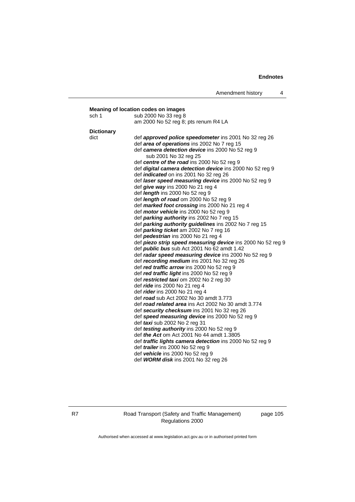| sch <sub>1</sub>  | sub 2000 No 33 reg 8                                                                 |
|-------------------|--------------------------------------------------------------------------------------|
|                   | am 2000 No 52 reg 8; pts renum R4 LA                                                 |
| <b>Dictionary</b> |                                                                                      |
| dict              | def <b>approved police speedometer</b> ins 2001 No 32 reg 26                         |
|                   | def area of operations ins 2002 No 7 reg 15                                          |
|                   | def camera detection device ins 2000 No 52 reg 9<br>sub 2001 No 32 reg 25            |
|                   | def centre of the road ins 2000 No 52 reg 9                                          |
|                   | def digital camera detection device ins 2000 No 52 reg 9                             |
|                   | def <i>indicated</i> on ins 2001 No 32 reg 26                                        |
|                   | def laser speed measuring device ins 2000 No 52 reg 9                                |
|                   | def give way ins 2000 No 21 reg 4                                                    |
|                   | def length ins 2000 No 52 reg 9                                                      |
|                   | def length of road om 2000 No 52 reg 9                                               |
|                   | def marked foot crossing ins 2000 No 21 reg 4                                        |
|                   | def motor vehicle ins 2000 No 52 reg 9<br>def parking authority ins 2002 No 7 reg 15 |
|                   | def parking authority guidelines ins 2002 No 7 reg 15                                |
|                   | def <i>parking ticket</i> am 2002 No 7 reg 16                                        |
|                   | def pedestrian ins 2000 No 21 reg 4                                                  |
|                   | def piezo strip speed measuring device ins 2000 No 52 reg 9                          |
|                   | def <i>public bus</i> sub Act 2001 No 62 amdt 1.42                                   |
|                   | def radar speed measuring device ins 2000 No 52 reg 9                                |
|                   | def recording medium ins 2001 No 32 reg 26                                           |
|                   | def red traffic arrow ins 2000 No 52 reg 9                                           |
|                   | def red traffic light ins 2000 No 52 reg 9                                           |
|                   | def restricted taxi om 2002 No 2 reg 30                                              |
|                   | def <i>ride</i> ins 2000 No 21 reg 4                                                 |
|                   | def <i>rider</i> ins 2000 No 21 reg 4                                                |
|                   | def road sub Act 2002 No 30 amdt 3.773                                               |
|                   | def road related area ins Act 2002 No 30 amdt 3.774                                  |
|                   | def security checksum ins 2001 No 32 reg 26                                          |
|                   | def speed measuring device ins 2000 No 52 reg 9                                      |
|                   | def taxi sub 2002 No 2 reg 31<br>def testing authority ins 2000 No 52 reg 9          |
|                   | def <i>the Act</i> om Act 2001 No 44 amdt 1.3805                                     |
|                   | def <i>traffic lights camera detection</i> ins 2000 No 52 reg 9                      |
|                   | def <i>trailer</i> ins 2000 No 52 reg 9                                              |
|                   | def vehicle ins 2000 No 52 reg 9                                                     |
|                   | def WORM disk ins 2001 No 32 reg 26                                                  |

R7 Road Transport (Safety and Traffic Management) Regulations 2000

page 105